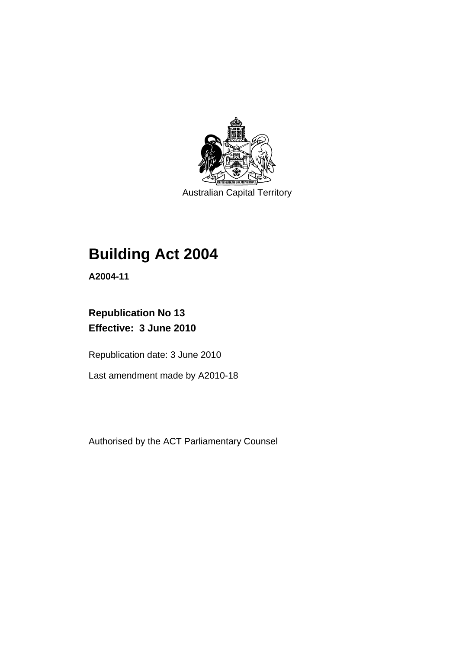

Australian Capital Territory

# **[Building Act 2004](#page-10-0)**

**A2004-11** 

# **Republication No 13 Effective: 3 June 2010**

Republication date: 3 June 2010

Last amendment made by A2010-18

Authorised by the ACT Parliamentary Counsel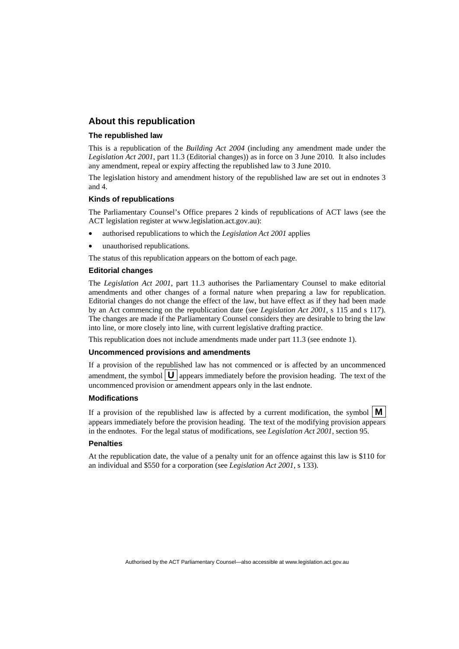# **About this republication**

#### **The republished law**

This is a republication of the *Building Act 2004* (including any amendment made under the *Legislation Act 2001*, part 11.3 (Editorial changes)) as in force on 3 June 2010*.* It also includes any amendment, repeal or expiry affecting the republished law to 3 June 2010.

The legislation history and amendment history of the republished law are set out in endnotes 3 and 4.

#### **Kinds of republications**

The Parliamentary Counsel's Office prepares 2 kinds of republications of ACT laws (see the ACT legislation register at www.legislation.act.gov.au):

- authorised republications to which the *Legislation Act 2001* applies
- unauthorised republications.

The status of this republication appears on the bottom of each page.

#### **Editorial changes**

The *Legislation Act 2001*, part 11.3 authorises the Parliamentary Counsel to make editorial amendments and other changes of a formal nature when preparing a law for republication. Editorial changes do not change the effect of the law, but have effect as if they had been made by an Act commencing on the republication date (see *Legislation Act 2001*, s 115 and s 117). The changes are made if the Parliamentary Counsel considers they are desirable to bring the law into line, or more closely into line, with current legislative drafting practice.

This republication does not include amendments made under part 11.3 (see endnote 1).

#### **Uncommenced provisions and amendments**

If a provision of the republished law has not commenced or is affected by an uncommenced amendment, the symbol  $\mathbf{U}$  appears immediately before the provision heading. The text of the uncommenced provision or amendment appears only in the last endnote.

#### **Modifications**

If a provision of the republished law is affected by a current modification, the symbol  $\mathbf{M}$ appears immediately before the provision heading. The text of the modifying provision appears in the endnotes. For the legal status of modifications, see *Legislation Act 2001*, section 95.

#### **Penalties**

At the republication date, the value of a penalty unit for an offence against this law is \$110 for an individual and \$550 for a corporation (see *Legislation Act 2001*, s 133).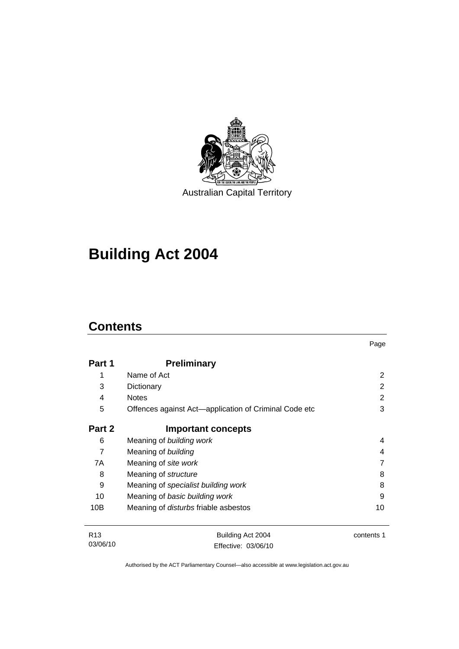

Australian Capital Territory

# **[Building Act 2004](#page-10-0)**

# **Contents**

| Part 1          | <b>Preliminary</b>                                    |            |
|-----------------|-------------------------------------------------------|------------|
| 1               | Name of Act                                           | 2          |
| 3               | Dictionary                                            | 2          |
| 4               | <b>Notes</b>                                          | 2          |
| 5               | Offences against Act-application of Criminal Code etc | 3          |
| Part 2          | <b>Important concepts</b>                             |            |
| 6               | Meaning of building work                              | 4          |
| $\overline{7}$  | Meaning of building                                   | 4          |
| 7A              | Meaning of site work                                  |            |
| 8               | Meaning of structure                                  | 8          |
| 9               | Meaning of specialist building work                   | 8          |
| 10              | Meaning of basic building work                        | 9          |
| 10B             | Meaning of <i>disturbs</i> friable asbestos           | 10         |
| R <sub>13</sub> | Building Act 2004                                     | contents 1 |
| 03/06/10        | Effective: 03/06/10                                   |            |

Page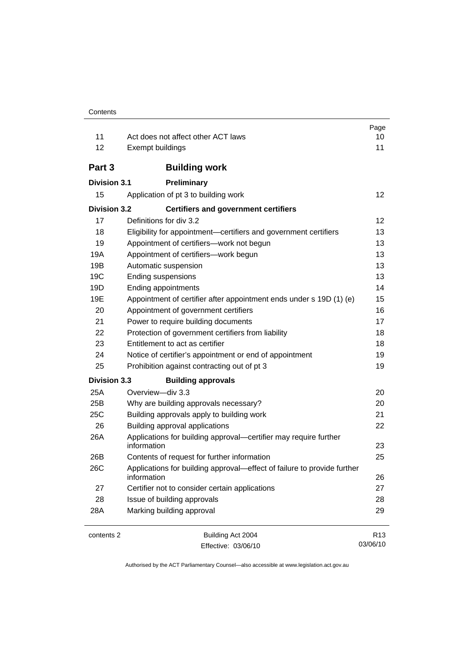| 11                  | Act does not affect other ACT laws                                                     | Page<br>10      |
|---------------------|----------------------------------------------------------------------------------------|-----------------|
| 12                  | Exempt buildings                                                                       | 11              |
|                     |                                                                                        |                 |
| Part 3              | <b>Building work</b>                                                                   |                 |
| <b>Division 3.1</b> | Preliminary                                                                            |                 |
| 15                  | Application of pt 3 to building work                                                   | 12              |
| <b>Division 3.2</b> | <b>Certifiers and government certifiers</b>                                            |                 |
| 17                  | Definitions for div 3.2                                                                | 12              |
| 18                  | Eligibility for appointment-certifiers and government certifiers                       | 13              |
| 19                  | Appointment of certifiers-work not begun                                               | 13              |
| 19A                 | Appointment of certifiers-work begun                                                   | 13              |
| 19B                 | Automatic suspension                                                                   | 13              |
| 19C                 | <b>Ending suspensions</b>                                                              | 13              |
| 19D                 | <b>Ending appointments</b>                                                             | 14              |
| 19E                 | Appointment of certifier after appointment ends under s 19D (1) (e)                    | 15              |
| 20                  | Appointment of government certifiers                                                   | 16              |
| 21                  | Power to require building documents                                                    | 17              |
| 22                  | Protection of government certifiers from liability                                     | 18              |
| 23                  | Entitlement to act as certifier                                                        | 18              |
| 24                  | Notice of certifier's appointment or end of appointment                                | 19              |
| 25                  | Prohibition against contracting out of pt 3                                            | 19              |
| <b>Division 3.3</b> | <b>Building approvals</b>                                                              |                 |
| 25A                 | Overview-div 3.3                                                                       | 20              |
| 25B                 | Why are building approvals necessary?                                                  | 20              |
| 25C                 | Building approvals apply to building work                                              | 21              |
| 26                  | Building approval applications                                                         | 22              |
| 26A                 | Applications for building approval-certifier may require further<br>information        | 23              |
| 26B                 | Contents of request for further information                                            | 25              |
| 26C                 | Applications for building approval-effect of failure to provide further<br>information | 26              |
| 27                  | Certifier not to consider certain applications                                         | 27              |
| 28                  | Issue of building approvals                                                            | 28              |
| 28A                 | Marking building approval                                                              | 29              |
| contents 2          | Building Act 2004                                                                      | R <sub>13</sub> |

Effective: 03/06/10

Authorised by the ACT Parliamentary Counsel—also accessible at www.legislation.act.gov.au

03/06/10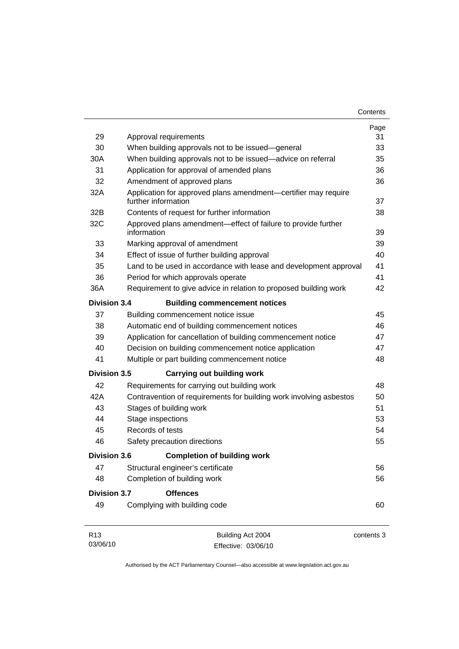| Contents |
|----------|
|----------|

| 29                          | Approval requirements                                                                 | Page<br>31 |
|-----------------------------|---------------------------------------------------------------------------------------|------------|
| 30                          | When building approvals not to be issued-general                                      | 33         |
| 30A                         | When building approvals not to be issued—advice on referral                           | 35         |
| 31                          | Application for approval of amended plans                                             | 36         |
| 32                          | Amendment of approved plans                                                           | 36         |
| 32A                         | Application for approved plans amendment-certifier may require<br>further information | 37         |
| 32B                         | Contents of request for further information                                           | 38         |
| 32C                         | Approved plans amendment-effect of failure to provide further<br>information          | 39         |
| 33                          | Marking approval of amendment                                                         | 39         |
| 34                          | Effect of issue of further building approval                                          | 40         |
| 35                          | Land to be used in accordance with lease and development approval                     | 41         |
| 36                          | Period for which approvals operate                                                    | 41         |
| 36A                         | Requirement to give advice in relation to proposed building work                      | 42         |
| <b>Division 3.4</b>         | <b>Building commencement notices</b>                                                  |            |
| 37                          | Building commencement notice issue                                                    | 45         |
| 38                          | Automatic end of building commencement notices                                        | 46         |
| 39                          | Application for cancellation of building commencement notice                          | 47         |
| 40                          | Decision on building commencement notice application                                  | 47         |
| 41                          | Multiple or part building commencement notice                                         | 48         |
| <b>Division 3.5</b>         | <b>Carrying out building work</b>                                                     |            |
| 42                          | Requirements for carrying out building work                                           | 48         |
| 42A                         | Contravention of requirements for building work involving asbestos                    | 50         |
| 43                          | Stages of building work                                                               | 51         |
| 44                          | Stage inspections                                                                     | 53         |
| 45                          | Records of tests                                                                      | 54         |
| 46                          | Safety precaution directions                                                          | 55         |
| <b>Division 3.6</b>         | <b>Completion of building work</b>                                                    |            |
| 47                          | Structural engineer's certificate                                                     | 56         |
| 48                          | Completion of building work                                                           | 56         |
| <b>Division 3.7</b>         | <b>Offences</b>                                                                       |            |
| 49                          | Complying with building code                                                          | 60         |
| R <sub>13</sub><br>03/06/10 | Building Act 2004<br>Effective: 03/06/10                                              | contents 3 |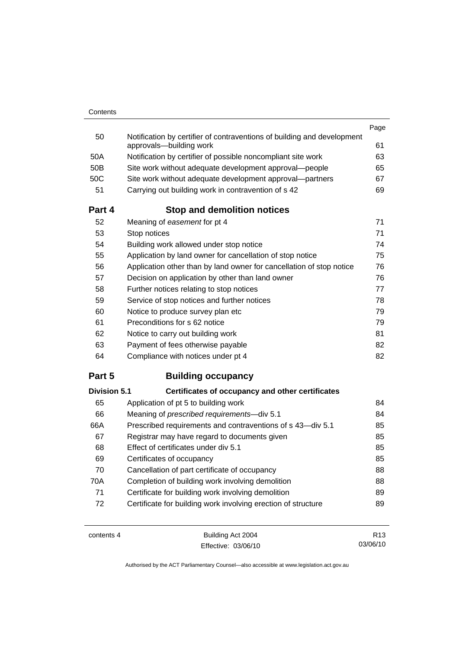| Part 4 | <b>Stop and demolition notices</b>                                                                 |      |
|--------|----------------------------------------------------------------------------------------------------|------|
| 51     | Carrying out building work in contravention of s 42                                                | 69   |
| 50C    | Site work without adequate development approval—partners                                           | 67   |
| 50B    | Site work without adequate development approval-people                                             | 65   |
| 50A    | Notification by certifier of possible noncompliant site work                                       | 63   |
| 50     | Notification by certifier of contraventions of building and development<br>approvals-building work | 61   |
|        |                                                                                                    | Page |

| 52 | Meaning of easement for pt 4                                         | 71 |
|----|----------------------------------------------------------------------|----|
| 53 | Stop notices                                                         | 71 |
| 54 | Building work allowed under stop notice                              | 74 |
| 55 | Application by land owner for cancellation of stop notice            | 75 |
| 56 | Application other than by land owner for cancellation of stop notice | 76 |
| 57 | Decision on application by other than land owner                     | 76 |
| 58 | Further notices relating to stop notices                             | 77 |
| 59 | Service of stop notices and further notices                          | 78 |
| 60 | Notice to produce survey plan etc                                    | 79 |
| 61 | Preconditions for s 62 notice                                        | 79 |
| 62 | Notice to carry out building work                                    | 81 |
| 63 | Payment of fees otherwise payable                                    | 82 |
| 64 | Compliance with notices under pt 4                                   | 82 |

# **Part 5 Building occupancy**

| <b>Division 5.1</b> | Certificates of occupancy and other certificates              |    |
|---------------------|---------------------------------------------------------------|----|
| 65                  | Application of pt 5 to building work                          | 84 |
| 66                  | Meaning of prescribed requirements-div 5.1                    | 84 |
| 66A                 | Prescribed requirements and contraventions of s 43-div 5.1    | 85 |
| 67                  | Registrar may have regard to documents given                  | 85 |
| 68                  | Effect of certificates under div 5.1                          | 85 |
| 69                  | Certificates of occupancy                                     | 85 |
| 70                  | Cancellation of part certificate of occupancy                 | 88 |
| 70A                 | Completion of building work involving demolition              | 88 |
| 71                  | Certificate for building work involving demolition            | 89 |
| 72                  | Certificate for building work involving erection of structure | 89 |

contents 4 Building Act 2004 Effective: 03/06/10

R13 03/06/10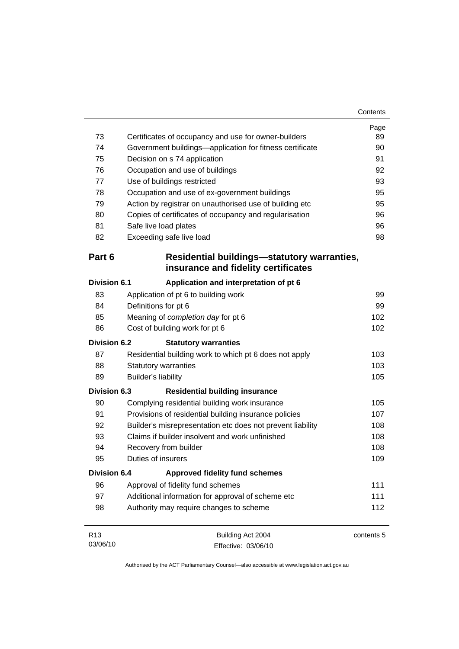| 73                          | Certificates of occupancy and use for owner-builders                               | Page<br>89 |
|-----------------------------|------------------------------------------------------------------------------------|------------|
| 74                          | Government buildings-application for fitness certificate                           | 90         |
| 75                          | Decision on s 74 application                                                       | 91         |
| 76                          | Occupation and use of buildings                                                    | 92         |
| 77                          | Use of buildings restricted                                                        | 93         |
| 78                          | Occupation and use of ex-government buildings                                      | 95         |
| 79                          | Action by registrar on unauthorised use of building etc                            | 95         |
| 80                          | Copies of certificates of occupancy and regularisation                             | 96         |
| 81                          | Safe live load plates                                                              | 96         |
| 82                          | Exceeding safe live load                                                           | 98         |
| Part 6                      | Residential buildings-statutory warranties,<br>insurance and fidelity certificates |            |
| <b>Division 6.1</b>         | Application and interpretation of pt 6                                             |            |
| 83                          | Application of pt 6 to building work                                               | 99         |
| 84                          | Definitions for pt 6                                                               | 99         |
| 85                          | Meaning of completion day for pt 6                                                 | 102        |
| 86                          | Cost of building work for pt 6                                                     | 102        |
| Division 6.2                | <b>Statutory warranties</b>                                                        |            |
| 87                          | Residential building work to which pt 6 does not apply                             | 103        |
| 88                          | <b>Statutory warranties</b>                                                        | 103        |
| 89                          | <b>Builder's liability</b>                                                         | 105        |
| <b>Division 6.3</b>         | <b>Residential building insurance</b>                                              |            |
| 90                          | Complying residential building work insurance                                      | 105        |
| 91                          | Provisions of residential building insurance policies                              | 107        |
| 92                          | Builder's misrepresentation etc does not prevent liability                         | 108        |
| 93                          | Claims if builder insolvent and work unfinished                                    | 108        |
| 94                          | Recovery from builder                                                              | 108        |
| 95                          | Duties of insurers                                                                 | 109        |
| <b>Division 6.4</b>         | <b>Approved fidelity fund schemes</b>                                              |            |
| 96                          | Approval of fidelity fund schemes                                                  | 111        |
| 97                          | Additional information for approval of scheme etc                                  | 111        |
| 98                          | Authority may require changes to scheme                                            | 112        |
| R <sub>13</sub><br>03/06/10 | Building Act 2004<br>Fffective: 03/06/10                                           | contents 5 |

Effective: 03/06/10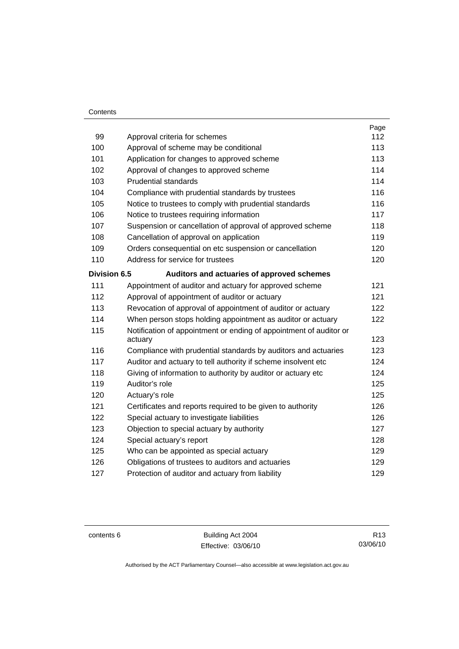### **Contents**

| 99                  |                                                                    | Page<br>112 |
|---------------------|--------------------------------------------------------------------|-------------|
|                     | Approval criteria for schemes                                      | 113         |
| 100                 | Approval of scheme may be conditional                              |             |
| 101                 | Application for changes to approved scheme                         | 113         |
| 102                 | Approval of changes to approved scheme                             | 114         |
| 103                 | <b>Prudential standards</b>                                        | 114         |
| 104                 | Compliance with prudential standards by trustees                   | 116         |
| 105                 | Notice to trustees to comply with prudential standards             | 116         |
| 106                 | Notice to trustees requiring information                           | 117         |
| 107                 | Suspension or cancellation of approval of approved scheme          | 118         |
| 108                 | Cancellation of approval on application                            | 119         |
| 109                 | Orders consequential on etc suspension or cancellation             | 120         |
| 110                 | Address for service for trustees                                   | 120         |
| <b>Division 6.5</b> | Auditors and actuaries of approved schemes                         |             |
| 111                 | Appointment of auditor and actuary for approved scheme             | 121         |
| 112                 | Approval of appointment of auditor or actuary                      | 121         |
| 113                 | Revocation of approval of appointment of auditor or actuary        | 122         |
| 114                 | When person stops holding appointment as auditor or actuary        | 122         |
| 115                 | Notification of appointment or ending of appointment of auditor or |             |
|                     | actuary                                                            | 123         |
| 116                 | Compliance with prudential standards by auditors and actuaries     | 123         |
| 117                 | Auditor and actuary to tell authority if scheme insolvent etc      | 124         |
| 118                 | Giving of information to authority by auditor or actuary etc       | 124         |
| 119                 | Auditor's role                                                     | 125         |
| 120                 | Actuary's role                                                     | 125         |
| 121                 | Certificates and reports required to be given to authority         | 126         |
| 122                 | Special actuary to investigate liabilities                         | 126         |
| 123                 | Objection to special actuary by authority                          | 127         |
| 124                 | Special actuary's report                                           | 128         |
| 125                 | Who can be appointed as special actuary                            | 129         |
| 126                 | Obligations of trustees to auditors and actuaries                  | 129         |
| 127                 | Protection of auditor and actuary from liability                   | 129         |

contents 6 Building Act 2004 Effective: 03/06/10

R13 03/06/10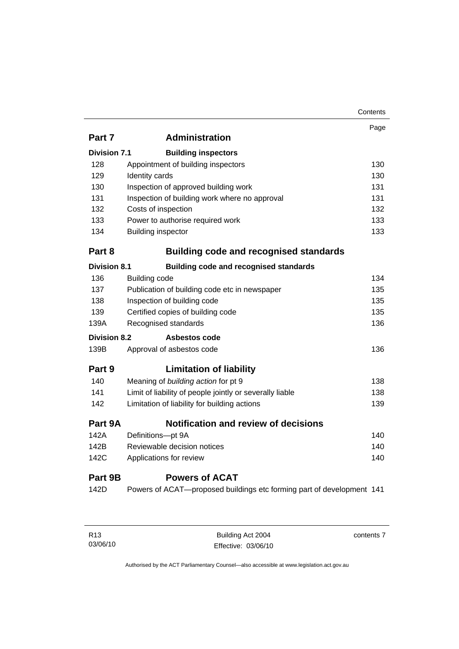|                     |                                                                       | Contents |
|---------------------|-----------------------------------------------------------------------|----------|
|                     |                                                                       | Page     |
| Part 7              | <b>Administration</b>                                                 |          |
| <b>Division 7.1</b> | <b>Building inspectors</b>                                            |          |
| 128                 | Appointment of building inspectors                                    | 130      |
| 129                 | Identity cards                                                        | 130      |
| 130                 | Inspection of approved building work                                  | 131      |
| 131                 | Inspection of building work where no approval                         | 131      |
| 132                 | Costs of inspection                                                   | 132      |
| 133                 | Power to authorise required work                                      | 133      |
| 134                 | <b>Building inspector</b>                                             | 133      |
| Part 8              | <b>Building code and recognised standards</b>                         |          |
| <b>Division 8.1</b> | <b>Building code and recognised standards</b>                         |          |
| 136                 | <b>Building code</b>                                                  | 134      |
| 137                 | Publication of building code etc in newspaper                         | 135      |
| 138                 | Inspection of building code                                           | 135      |
| 139                 | Certified copies of building code                                     | 135      |
| 139A                | Recognised standards                                                  | 136      |
| Division 8.2        | Asbestos code                                                         |          |
| 139B                | Approval of asbestos code                                             | 136      |
| Part 9              | <b>Limitation of liability</b>                                        |          |
| 140                 | Meaning of building action for pt 9                                   | 138      |
| 141                 | Limit of liability of people jointly or severally liable              | 138      |
| 142                 | Limitation of liability for building actions                          | 139      |
| Part 9A             | <b>Notification and review of decisions</b>                           |          |
| 142A                | Definitions-pt 9A                                                     | 140      |
| 142B                | Reviewable decision notices                                           | 140      |
| 142C                | Applications for review                                               | 140      |
| Part 9B             | <b>Powers of ACAT</b>                                                 |          |
| 142D                | Powers of ACAT-proposed buildings etc forming part of development 141 |          |
|                     |                                                                       |          |

| R <sub>13</sub> | Building Act 2004   | contents 7 |
|-----------------|---------------------|------------|
| 03/06/10        | Effective: 03/06/10 |            |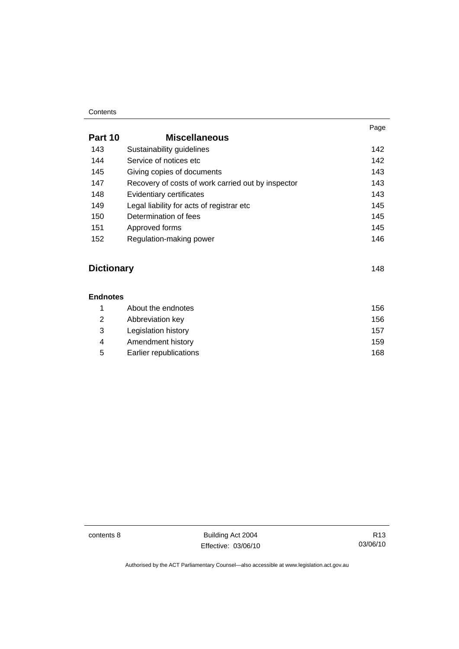#### **Contents**

|         |                                                    | Page |
|---------|----------------------------------------------------|------|
| Part 10 | <b>Miscellaneous</b>                               |      |
| 143     | Sustainability guidelines                          | 142  |
| 144     | Service of notices etc.                            | 142  |
| 145     | Giving copies of documents                         | 143  |
| 147     | Recovery of costs of work carried out by inspector | 143  |
| 148     | Evidentiary certificates                           | 143  |
| 149     | Legal liability for acts of registrar etc          | 145  |
| 150     | Determination of fees                              | 145  |
| 151     | Approved forms                                     | 145  |
| 152     | Regulation-making power                            | 146  |

# **Dictionary** [148](#page-157-0)

#### **Endnotes**

|   | About the endnotes     | 156  |
|---|------------------------|------|
| 2 | Abbreviation key       | 156  |
| 3 | Legislation history    | 157  |
| 4 | Amendment history      | 159  |
| 5 | Earlier republications | 168. |

contents 8 Building Act 2004 Effective: 03/06/10

R13 03/06/10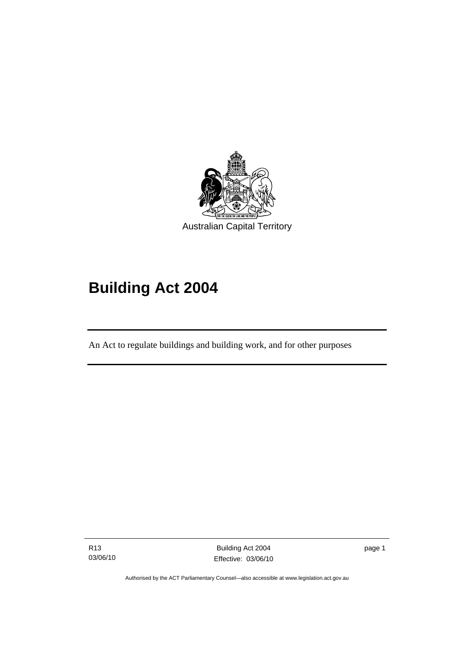<span id="page-10-0"></span>

# **Building Act 2004**

An Act to regulate buildings and building work, and for other purposes

R13 03/06/10

I

Building Act 2004 Effective: 03/06/10 page 1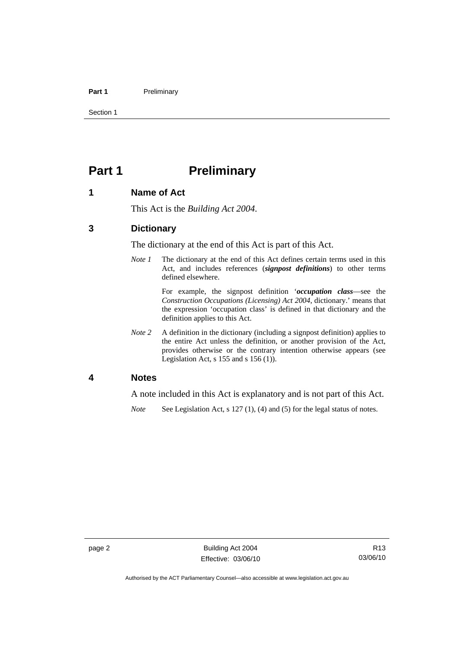#### <span id="page-11-0"></span>Part 1 **Preliminary**

Section 1

# **Part 1** Preliminary

### **1 Name of Act**

This Act is the *Building Act 2004*.

# **3 Dictionary**

The dictionary at the end of this Act is part of this Act.

*Note 1* The dictionary at the end of this Act defines certain terms used in this Act, and includes references (*signpost definitions*) to other terms defined elsewhere.

> For example, the signpost definition '*occupation class*—see the *Construction Occupations (Licensing) Act 2004*, dictionary.' means that the expression 'occupation class' is defined in that dictionary and the definition applies to this Act.

*Note 2* A definition in the dictionary (including a signpost definition) applies to the entire Act unless the definition, or another provision of the Act, provides otherwise or the contrary intention otherwise appears (see Legislation Act, s 155 and s 156 (1)).

### **4 Notes**

A note included in this Act is explanatory and is not part of this Act.

*Note* See Legislation Act, s 127 (1), (4) and (5) for the legal status of notes.

Authorised by the ACT Parliamentary Counsel—also accessible at www.legislation.act.gov.au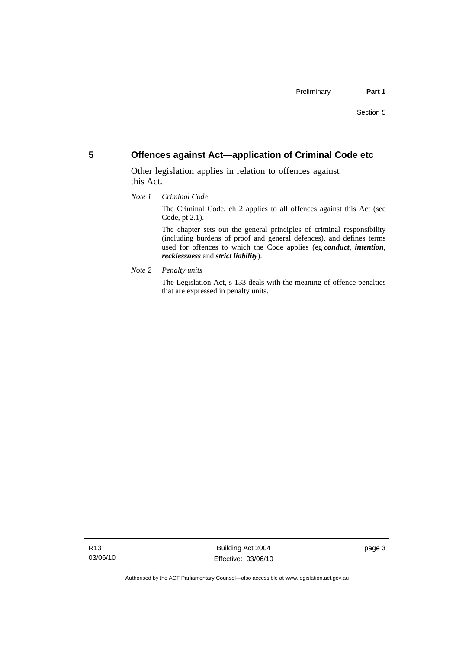# <span id="page-12-0"></span>**5 Offences against Act—application of Criminal Code etc**

Other legislation applies in relation to offences against this Act.

#### *Note 1 Criminal Code*

The Criminal Code, ch 2 applies to all offences against this Act (see Code, pt 2.1).

The chapter sets out the general principles of criminal responsibility (including burdens of proof and general defences), and defines terms used for offences to which the Code applies (eg *conduct*, *intention*, *recklessness* and *strict liability*).

*Note 2 Penalty units* 

The Legislation Act, s 133 deals with the meaning of offence penalties that are expressed in penalty units.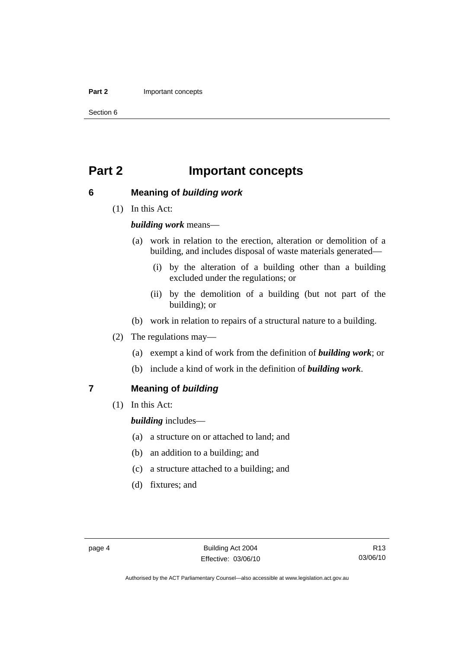#### <span id="page-13-0"></span>**Part 2 Important concepts**

Section 6

# **Part 2 Important concepts**

# **6 Meaning of** *building work*

(1) In this Act:

### *building work* means—

- (a) work in relation to the erection, alteration or demolition of a building, and includes disposal of waste materials generated—
	- (i) by the alteration of a building other than a building excluded under the regulations; or
	- (ii) by the demolition of a building (but not part of the building); or
- (b) work in relation to repairs of a structural nature to a building.
- (2) The regulations may—
	- (a) exempt a kind of work from the definition of *building work*; or
	- (b) include a kind of work in the definition of *building work*.

# **7 Meaning of** *building*

(1) In this Act:

*building* includes—

- (a) a structure on or attached to land; and
- (b) an addition to a building; and
- (c) a structure attached to a building; and
- (d) fixtures; and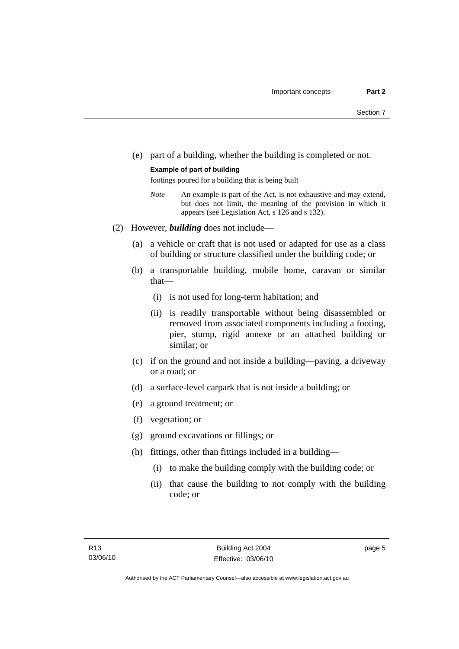(e) part of a building, whether the building is completed or not.

#### **Example of part of building**

footings poured for a building that is being built

- *Note* An example is part of the Act, is not exhaustive and may extend, but does not limit, the meaning of the provision in which it appears (see Legislation Act, s 126 and s 132).
- (2) However, *building* does not include—
	- (a) a vehicle or craft that is not used or adapted for use as a class of building or structure classified under the building code; or
	- (b) a transportable building, mobile home, caravan or similar that—
		- (i) is not used for long-term habitation; and
		- (ii) is readily transportable without being disassembled or removed from associated components including a footing, pier, stump, rigid annexe or an attached building or similar; or
	- (c) if on the ground and not inside a building—paving, a driveway or a road; or
	- (d) a surface-level carpark that is not inside a building; or
	- (e) a ground treatment; or
	- (f) vegetation; or
	- (g) ground excavations or fillings; or
	- (h) fittings, other than fittings included in a building—
		- (i) to make the building comply with the building code; or
		- (ii) that cause the building to not comply with the building code; or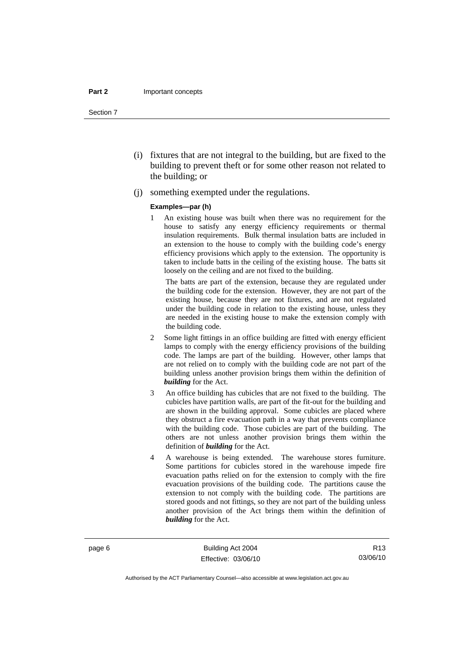#### **Part 2** Important concepts

Section 7

- (i) fixtures that are not integral to the building, but are fixed to the building to prevent theft or for some other reason not related to the building; or
- (j) something exempted under the regulations.

#### **Examples—par (h)**

1 An existing house was built when there was no requirement for the house to satisfy any energy efficiency requirements or thermal insulation requirements. Bulk thermal insulation batts are included in an extension to the house to comply with the building code's energy efficiency provisions which apply to the extension. The opportunity is taken to include batts in the ceiling of the existing house. The batts sit loosely on the ceiling and are not fixed to the building.

 The batts are part of the extension, because they are regulated under the building code for the extension. However, they are not part of the existing house, because they are not fixtures, and are not regulated under the building code in relation to the existing house, unless they are needed in the existing house to make the extension comply with the building code.

- 2 Some light fittings in an office building are fitted with energy efficient lamps to comply with the energy efficiency provisions of the building code. The lamps are part of the building. However, other lamps that are not relied on to comply with the building code are not part of the building unless another provision brings them within the definition of *building* for the Act.
- 3 An office building has cubicles that are not fixed to the building. The cubicles have partition walls, are part of the fit-out for the building and are shown in the building approval. Some cubicles are placed where they obstruct a fire evacuation path in a way that prevents compliance with the building code. Those cubicles are part of the building. The others are not unless another provision brings them within the definition of *building* for the Act.
- 4 A warehouse is being extended. The warehouse stores furniture. Some partitions for cubicles stored in the warehouse impede fire evacuation paths relied on for the extension to comply with the fire evacuation provisions of the building code. The partitions cause the extension to not comply with the building code. The partitions are stored goods and not fittings, so they are not part of the building unless another provision of the Act brings them within the definition of *building* for the Act.

page 6 Building Act 2004 Effective: 03/06/10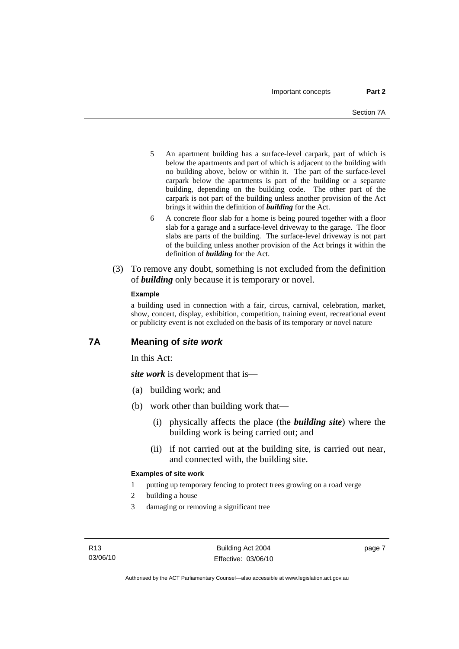- <span id="page-16-0"></span>5 An apartment building has a surface-level carpark, part of which is below the apartments and part of which is adjacent to the building with no building above, below or within it. The part of the surface-level carpark below the apartments is part of the building or a separate building, depending on the building code. The other part of the carpark is not part of the building unless another provision of the Act brings it within the definition of *building* for the Act.
- 6 A concrete floor slab for a home is being poured together with a floor slab for a garage and a surface-level driveway to the garage. The floor slabs are parts of the building. The surface-level driveway is not part of the building unless another provision of the Act brings it within the definition of *building* for the Act.
- (3) To remove any doubt, something is not excluded from the definition of *building* only because it is temporary or novel.

#### **Example**

a building used in connection with a fair, circus, carnival, celebration, market, show, concert, display, exhibition, competition, training event, recreational event or publicity event is not excluded on the basis of its temporary or novel nature

# **7A Meaning of** *site work*

In this Act:

*site work* is development that is—

- (a) building work; and
- (b) work other than building work that—
	- (i) physically affects the place (the *building site*) where the building work is being carried out; and
	- (ii) if not carried out at the building site, is carried out near, and connected with, the building site.

#### **Examples of site work**

1 putting up temporary fencing to protect trees growing on a road verge

- 2 building a house
- 3 damaging or removing a significant tree

page 7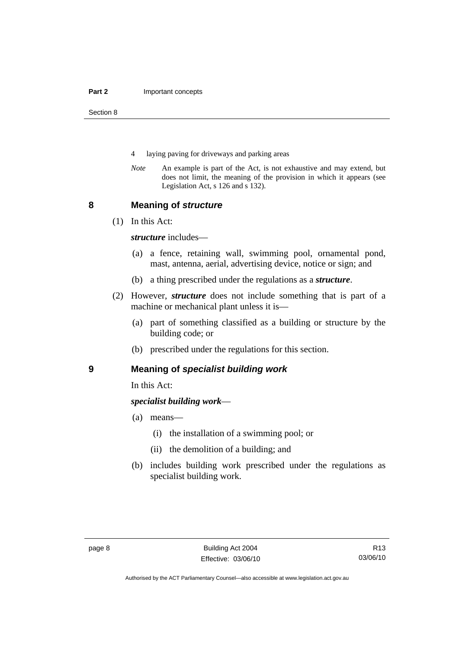<span id="page-17-0"></span>Section 8

- 4 laying paving for driveways and parking areas
- *Note* An example is part of the Act, is not exhaustive and may extend, but does not limit, the meaning of the provision in which it appears (see Legislation Act, s 126 and s 132).

### **8 Meaning of** *structure*

(1) In this Act:

*structure* includes—

- (a) a fence, retaining wall, swimming pool, ornamental pond, mast, antenna, aerial, advertising device, notice or sign; and
- (b) a thing prescribed under the regulations as a *structure*.
- (2) However, *structure* does not include something that is part of a machine or mechanical plant unless it is—
	- (a) part of something classified as a building or structure by the building code; or
	- (b) prescribed under the regulations for this section.

# **9 Meaning of** *specialist building work*

In this Act:

# *specialist building work*—

- (a) means—
	- (i) the installation of a swimming pool; or
	- (ii) the demolition of a building; and
- (b) includes building work prescribed under the regulations as specialist building work.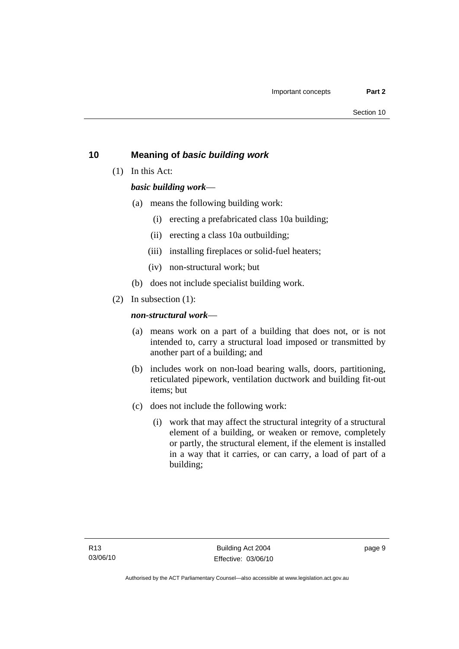# <span id="page-18-0"></span>**10 Meaning of** *basic building work*

(1) In this Act:

# *basic building work*—

- (a) means the following building work:
	- (i) erecting a prefabricated class 10a building;
	- (ii) erecting a class 10a outbuilding;
	- (iii) installing fireplaces or solid-fuel heaters;
	- (iv) non-structural work; but
- (b) does not include specialist building work.
- (2) In subsection (1):

# *non-structural work*—

- (a) means work on a part of a building that does not, or is not intended to, carry a structural load imposed or transmitted by another part of a building; and
- (b) includes work on non-load bearing walls, doors, partitioning, reticulated pipework, ventilation ductwork and building fit-out items; but
- (c) does not include the following work:
	- (i) work that may affect the structural integrity of a structural element of a building, or weaken or remove, completely or partly, the structural element, if the element is installed in a way that it carries, or can carry, a load of part of a building;

page 9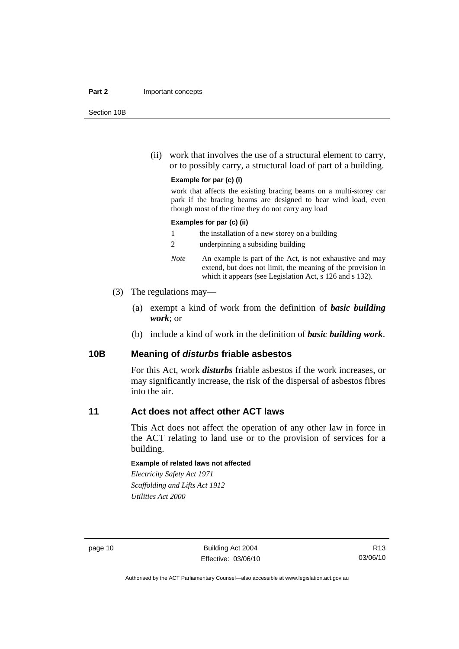#### <span id="page-19-0"></span>**Part 2** Important concepts

Section 10B

 (ii) work that involves the use of a structural element to carry, or to possibly carry, a structural load of part of a building.

#### **Example for par (c) (i)**

work that affects the existing bracing beams on a multi-storey car park if the bracing beams are designed to bear wind load, even though most of the time they do not carry any load

#### **Examples for par (c) (ii)**

| the installation of a new storey on a building |  |
|------------------------------------------------|--|
|------------------------------------------------|--|

- 2 underpinning a subsiding building
- *Note* An example is part of the Act, is not exhaustive and may extend, but does not limit, the meaning of the provision in which it appears (see Legislation Act, s 126 and s 132).
- (3) The regulations may—
	- (a) exempt a kind of work from the definition of *basic building work*; or
	- (b) include a kind of work in the definition of *basic building work*.

### **10B Meaning of** *disturbs* **friable asbestos**

For this Act, work *disturbs* friable asbestos if the work increases, or may significantly increase, the risk of the dispersal of asbestos fibres into the air.

# **11 Act does not affect other ACT laws**

This Act does not affect the operation of any other law in force in the ACT relating to land use or to the provision of services for a building.

#### **Example of related laws not affected**

*Electricity Safety Act 1971 Scaffolding and Lifts Act 1912 Utilities Act 2000* 

page 10 Building Act 2004 Effective: 03/06/10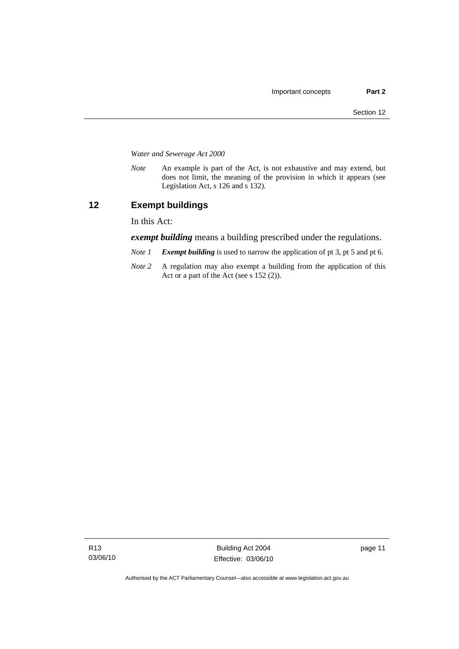<span id="page-20-0"></span>*Water and Sewerage Act 2000* 

*Note* An example is part of the Act, is not exhaustive and may extend, but does not limit, the meaning of the provision in which it appears (see Legislation Act, s 126 and s 132).

# **12 Exempt buildings**

In this Act:

*exempt building* means a building prescribed under the regulations.

- *Note 1 Exempt building* is used to narrow the application of pt 3, pt 5 and pt 6.
- *Note 2* A regulation may also exempt a building from the application of this Act or a part of the Act (see s 152 (2)).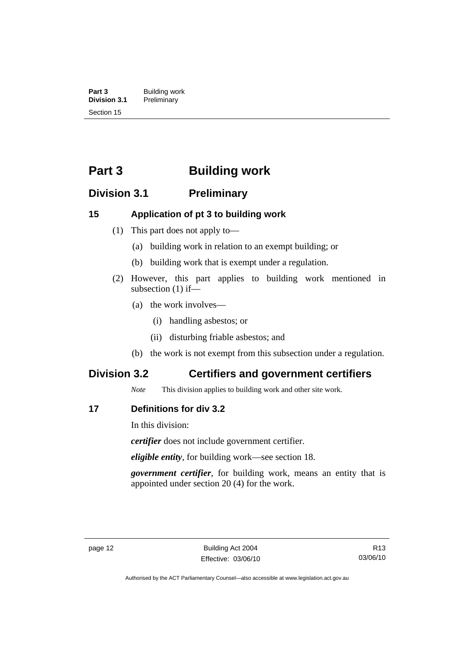<span id="page-21-0"></span>**Part 3 Building work**<br>**Division 3.1 Preliminary Division 3.1** Preliminary Section 15

# **Part 3 Building work**

# **Division 3.1 Preliminary**

# **15 Application of pt 3 to building work**

- (1) This part does not apply to—
	- (a) building work in relation to an exempt building; or
	- (b) building work that is exempt under a regulation.
- (2) However, this part applies to building work mentioned in subsection (1) if—
	- (a) the work involves—
		- (i) handling asbestos; or
		- (ii) disturbing friable asbestos; and
	- (b) the work is not exempt from this subsection under a regulation.

# **Division 3.2 Certifiers and government certifiers**

*Note* This division applies to building work and other site work.

# **17 Definitions for div 3.2**

In this division:

*certifier* does not include government certifier.

*eligible entity*, for building work—see section 18.

*government certifier*, for building work, means an entity that is appointed under section 20 (4) for the work.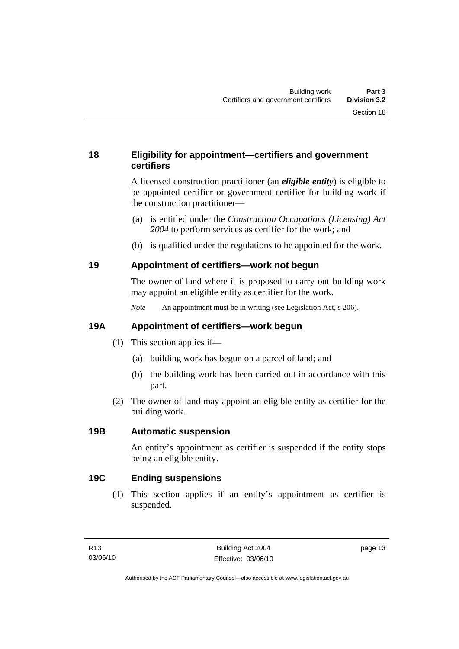# <span id="page-22-0"></span>**18 Eligibility for appointment—certifiers and government certifiers**

A licensed construction practitioner (an *eligible entity*) is eligible to be appointed certifier or government certifier for building work if the construction practitioner—

- (a) is entitled under the *Construction Occupations (Licensing) Act 2004* to perform services as certifier for the work; and
- (b) is qualified under the regulations to be appointed for the work.

# **19 Appointment of certifiers—work not begun**

The owner of land where it is proposed to carry out building work may appoint an eligible entity as certifier for the work.

*Note* An appointment must be in writing (see Legislation Act, s 206).

# **19A Appointment of certifiers—work begun**

- (1) This section applies if—
	- (a) building work has begun on a parcel of land; and
	- (b) the building work has been carried out in accordance with this part.
- (2) The owner of land may appoint an eligible entity as certifier for the building work.

# **19B Automatic suspension**

An entity's appointment as certifier is suspended if the entity stops being an eligible entity.

# **19C Ending suspensions**

 (1) This section applies if an entity's appointment as certifier is suspended.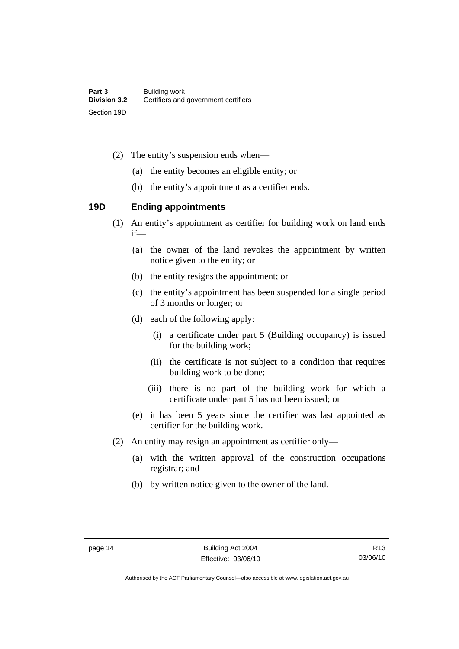- <span id="page-23-0"></span> (2) The entity's suspension ends when—
	- (a) the entity becomes an eligible entity; or
	- (b) the entity's appointment as a certifier ends.

# **19D Ending appointments**

- (1) An entity's appointment as certifier for building work on land ends if—
	- (a) the owner of the land revokes the appointment by written notice given to the entity; or
	- (b) the entity resigns the appointment; or
	- (c) the entity's appointment has been suspended for a single period of 3 months or longer; or
	- (d) each of the following apply:
		- (i) a certificate under part 5 (Building occupancy) is issued for the building work;
		- (ii) the certificate is not subject to a condition that requires building work to be done;
		- (iii) there is no part of the building work for which a certificate under part 5 has not been issued; or
	- (e) it has been 5 years since the certifier was last appointed as certifier for the building work.
- (2) An entity may resign an appointment as certifier only—
	- (a) with the written approval of the construction occupations registrar; and
	- (b) by written notice given to the owner of the land.

Authorised by the ACT Parliamentary Counsel—also accessible at www.legislation.act.gov.au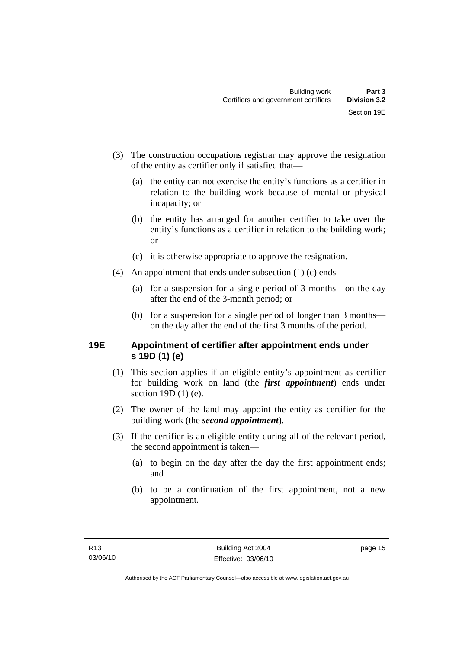- <span id="page-24-0"></span> (3) The construction occupations registrar may approve the resignation of the entity as certifier only if satisfied that—
	- (a) the entity can not exercise the entity's functions as a certifier in relation to the building work because of mental or physical incapacity; or
	- (b) the entity has arranged for another certifier to take over the entity's functions as a certifier in relation to the building work; or
	- (c) it is otherwise appropriate to approve the resignation.
- (4) An appointment that ends under subsection (1) (c) ends—
	- (a) for a suspension for a single period of 3 months—on the day after the end of the 3-month period; or
	- (b) for a suspension for a single period of longer than 3 months on the day after the end of the first 3 months of the period.

# **19E Appointment of certifier after appointment ends under s 19D (1) (e)**

- (1) This section applies if an eligible entity's appointment as certifier for building work on land (the *first appointment*) ends under section 19D (1) (e).
- (2) The owner of the land may appoint the entity as certifier for the building work (the *second appointment*).
- (3) If the certifier is an eligible entity during all of the relevant period, the second appointment is taken—
	- (a) to begin on the day after the day the first appointment ends; and
	- (b) to be a continuation of the first appointment, not a new appointment.

page 15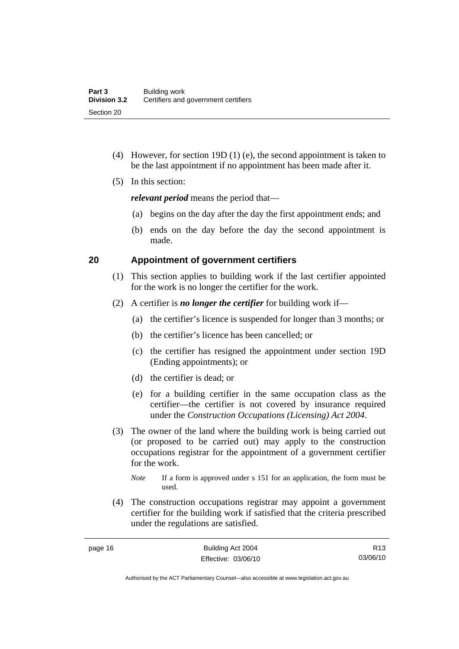- <span id="page-25-0"></span> (4) However, for section 19D (1) (e), the second appointment is taken to be the last appointment if no appointment has been made after it.
- (5) In this section:

*relevant period* means the period that—

- (a) begins on the day after the day the first appointment ends; and
- (b) ends on the day before the day the second appointment is made.

# **20 Appointment of government certifiers**

- (1) This section applies to building work if the last certifier appointed for the work is no longer the certifier for the work.
- (2) A certifier is *no longer the certifier* for building work if—
	- (a) the certifier's licence is suspended for longer than 3 months; or
	- (b) the certifier's licence has been cancelled; or
	- (c) the certifier has resigned the appointment under section 19D (Ending appointments); or
	- (d) the certifier is dead; or
	- (e) for a building certifier in the same occupation class as the certifier—the certifier is not covered by insurance required under the *Construction Occupations (Licensing) Act 2004*.
- (3) The owner of the land where the building work is being carried out (or proposed to be carried out) may apply to the construction occupations registrar for the appointment of a government certifier for the work.
	- *Note* If a form is approved under s 151 for an application, the form must be used.
- (4) The construction occupations registrar may appoint a government certifier for the building work if satisfied that the criteria prescribed under the regulations are satisfied.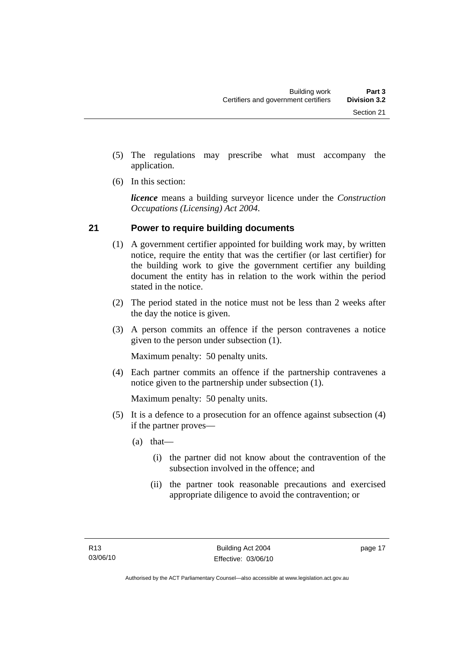- <span id="page-26-0"></span> (5) The regulations may prescribe what must accompany the application.
- (6) In this section:

*licence* means a building surveyor licence under the *Construction Occupations (Licensing) Act 2004*.

# **21 Power to require building documents**

- (1) A government certifier appointed for building work may, by written notice, require the entity that was the certifier (or last certifier) for the building work to give the government certifier any building document the entity has in relation to the work within the period stated in the notice.
- (2) The period stated in the notice must not be less than 2 weeks after the day the notice is given.
- (3) A person commits an offence if the person contravenes a notice given to the person under subsection (1).

Maximum penalty: 50 penalty units.

 (4) Each partner commits an offence if the partnership contravenes a notice given to the partnership under subsection (1).

Maximum penalty: 50 penalty units.

- (5) It is a defence to a prosecution for an offence against subsection (4) if the partner proves—
	- (a) that—
		- (i) the partner did not know about the contravention of the subsection involved in the offence; and
		- (ii) the partner took reasonable precautions and exercised appropriate diligence to avoid the contravention; or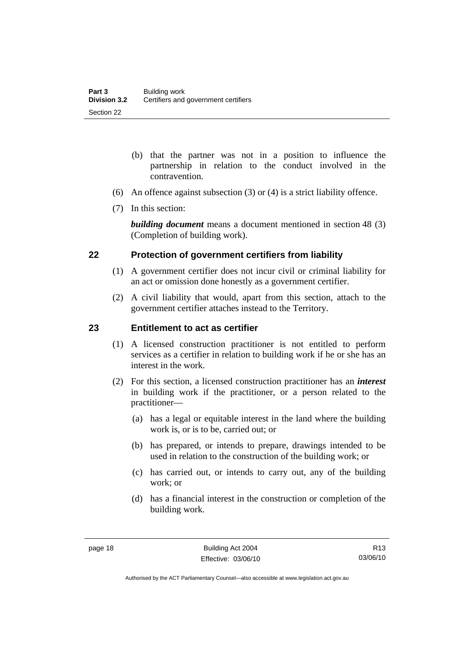- <span id="page-27-0"></span> (b) that the partner was not in a position to influence the partnership in relation to the conduct involved in the contravention.
- (6) An offence against subsection (3) or (4) is a strict liability offence.
- (7) In this section:

*building document* means a document mentioned in section 48 (3) (Completion of building work).

# **22 Protection of government certifiers from liability**

- (1) A government certifier does not incur civil or criminal liability for an act or omission done honestly as a government certifier.
- (2) A civil liability that would, apart from this section, attach to the government certifier attaches instead to the Territory.

# **23 Entitlement to act as certifier**

- (1) A licensed construction practitioner is not entitled to perform services as a certifier in relation to building work if he or she has an interest in the work.
- (2) For this section, a licensed construction practitioner has an *interest*  in building work if the practitioner, or a person related to the practitioner—
	- (a) has a legal or equitable interest in the land where the building work is, or is to be, carried out; or
	- (b) has prepared, or intends to prepare, drawings intended to be used in relation to the construction of the building work; or
	- (c) has carried out, or intends to carry out, any of the building work; or
	- (d) has a financial interest in the construction or completion of the building work.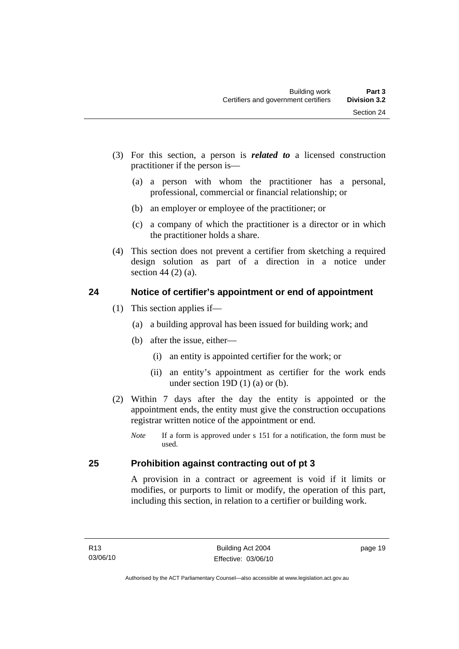- <span id="page-28-0"></span> (3) For this section, a person is *related to* a licensed construction practitioner if the person is—
	- (a) a person with whom the practitioner has a personal, professional, commercial or financial relationship; or
	- (b) an employer or employee of the practitioner; or
	- (c) a company of which the practitioner is a director or in which the practitioner holds a share.
- (4) This section does not prevent a certifier from sketching a required design solution as part of a direction in a notice under section 44 (2) (a).

# **24 Notice of certifier's appointment or end of appointment**

- (1) This section applies if—
	- (a) a building approval has been issued for building work; and
	- (b) after the issue, either—
		- (i) an entity is appointed certifier for the work; or
		- (ii) an entity's appointment as certifier for the work ends under section 19D $(1)$  $(a)$  or  $(b)$ .
- (2) Within 7 days after the day the entity is appointed or the appointment ends, the entity must give the construction occupations registrar written notice of the appointment or end.
	- *Note* If a form is approved under s 151 for a notification, the form must be used.

# **25 Prohibition against contracting out of pt 3**

A provision in a contract or agreement is void if it limits or modifies, or purports to limit or modify, the operation of this part, including this section, in relation to a certifier or building work.

page 19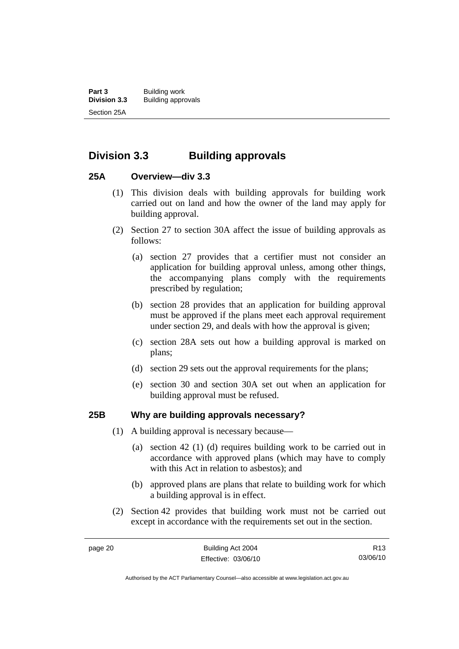# <span id="page-29-0"></span>**Division 3.3 Building approvals**

# **25A Overview—div 3.3**

- (1) This division deals with building approvals for building work carried out on land and how the owner of the land may apply for building approval.
- (2) Section 27 to section 30A affect the issue of building approvals as follows:
	- (a) section 27 provides that a certifier must not consider an application for building approval unless, among other things, the accompanying plans comply with the requirements prescribed by regulation;
	- (b) section 28 provides that an application for building approval must be approved if the plans meet each approval requirement under section 29, and deals with how the approval is given;
	- (c) section 28A sets out how a building approval is marked on plans;
	- (d) section 29 sets out the approval requirements for the plans;
	- (e) section 30 and section 30A set out when an application for building approval must be refused.

# **25B Why are building approvals necessary?**

- (1) A building approval is necessary because—
	- (a) section 42 (1) (d) requires building work to be carried out in accordance with approved plans (which may have to comply with this Act in relation to asbestos); and
	- (b) approved plans are plans that relate to building work for which a building approval is in effect.
- (2) Section 42 provides that building work must not be carried out except in accordance with the requirements set out in the section.

Authorised by the ACT Parliamentary Counsel—also accessible at www.legislation.act.gov.au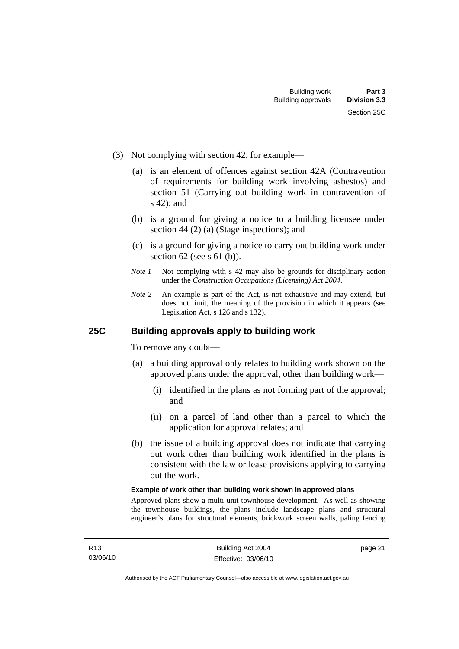- <span id="page-30-0"></span> (3) Not complying with section 42, for example—
	- (a) is an element of offences against section 42A (Contravention of requirements for building work involving asbestos) and section 51 (Carrying out building work in contravention of s 42); and
	- (b) is a ground for giving a notice to a building licensee under section 44 (2) (a) (Stage inspections); and
	- (c) is a ground for giving a notice to carry out building work under section 62 (see s 61 (b)).
	- *Note 1* Not complying with s 42 may also be grounds for disciplinary action under the *Construction Occupations (Licensing) Act 2004*.
	- *Note* 2 An example is part of the Act, is not exhaustive and may extend, but does not limit, the meaning of the provision in which it appears (see Legislation Act, s 126 and s 132).

# **25C Building approvals apply to building work**

To remove any doubt—

- (a) a building approval only relates to building work shown on the approved plans under the approval, other than building work—
	- (i) identified in the plans as not forming part of the approval; and
	- (ii) on a parcel of land other than a parcel to which the application for approval relates; and
- (b) the issue of a building approval does not indicate that carrying out work other than building work identified in the plans is consistent with the law or lease provisions applying to carrying out the work.

#### **Example of work other than building work shown in approved plans**

Approved plans show a multi-unit townhouse development. As well as showing the townhouse buildings, the plans include landscape plans and structural engineer's plans for structural elements, brickwork screen walls, paling fencing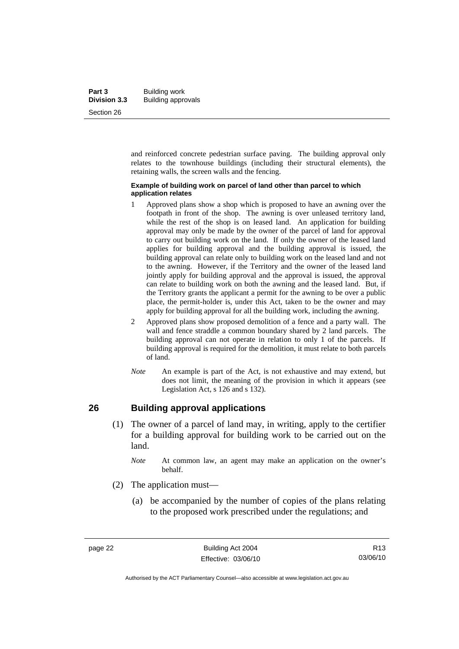<span id="page-31-0"></span>and reinforced concrete pedestrian surface paving. The building approval only relates to the townhouse buildings (including their structural elements), the retaining walls, the screen walls and the fencing.

#### **Example of building work on parcel of land other than parcel to which application relates**

- 1 Approved plans show a shop which is proposed to have an awning over the footpath in front of the shop. The awning is over unleased territory land, while the rest of the shop is on leased land. An application for building approval may only be made by the owner of the parcel of land for approval to carry out building work on the land. If only the owner of the leased land applies for building approval and the building approval is issued, the building approval can relate only to building work on the leased land and not to the awning. However, if the Territory and the owner of the leased land jointly apply for building approval and the approval is issued, the approval can relate to building work on both the awning and the leased land. But, if the Territory grants the applicant a permit for the awning to be over a public place, the permit-holder is, under this Act, taken to be the owner and may apply for building approval for all the building work, including the awning.
- 2 Approved plans show proposed demolition of a fence and a party wall. The wall and fence straddle a common boundary shared by 2 land parcels. The building approval can not operate in relation to only 1 of the parcels. If building approval is required for the demolition, it must relate to both parcels of land.
- *Note* An example is part of the Act, is not exhaustive and may extend, but does not limit, the meaning of the provision in which it appears (see Legislation Act, s 126 and s 132).

# **26 Building approval applications**

- (1) The owner of a parcel of land may, in writing, apply to the certifier for a building approval for building work to be carried out on the land.
	- *Note* At common law, an agent may make an application on the owner's behalf.
- (2) The application must—
	- (a) be accompanied by the number of copies of the plans relating to the proposed work prescribed under the regulations; and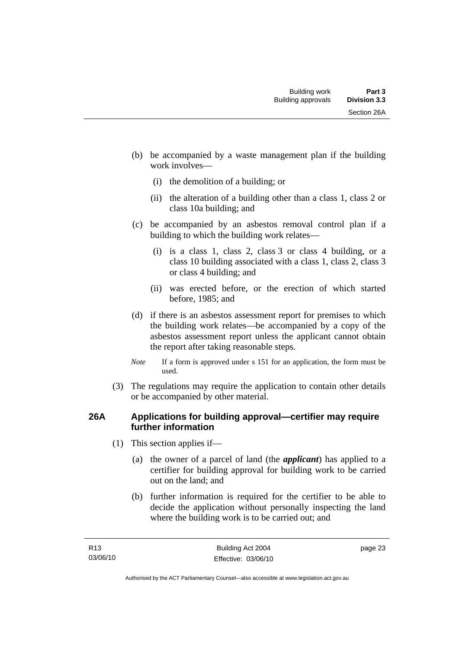- <span id="page-32-0"></span> (b) be accompanied by a waste management plan if the building work involves—
	- (i) the demolition of a building; or
	- (ii) the alteration of a building other than a class 1, class 2 or class 10a building; and
- (c) be accompanied by an asbestos removal control plan if a building to which the building work relates—
	- (i) is a class 1, class 2, class 3 or class 4 building, or a class 10 building associated with a class 1, class 2, class 3 or class 4 building; and
	- (ii) was erected before, or the erection of which started before, 1985; and
- (d) if there is an asbestos assessment report for premises to which the building work relates—be accompanied by a copy of the asbestos assessment report unless the applicant cannot obtain the report after taking reasonable steps.
- *Note* If a form is approved under s 151 for an application, the form must be used.
- (3) The regulations may require the application to contain other details or be accompanied by other material.

# **26A Applications for building approval—certifier may require further information**

- (1) This section applies if—
	- (a) the owner of a parcel of land (the *applicant*) has applied to a certifier for building approval for building work to be carried out on the land; and
	- (b) further information is required for the certifier to be able to decide the application without personally inspecting the land where the building work is to be carried out; and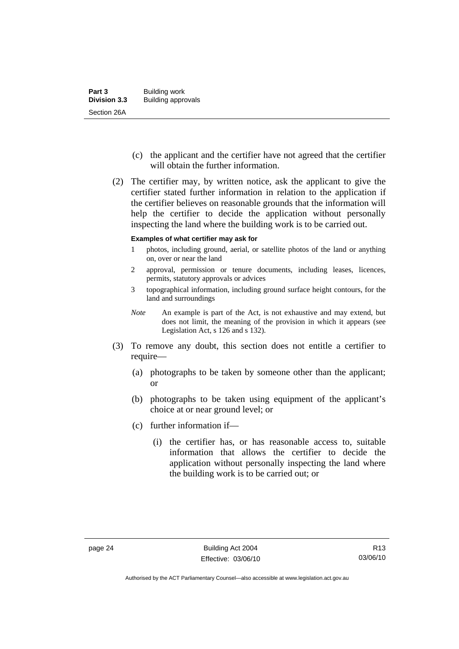- (c) the applicant and the certifier have not agreed that the certifier will obtain the further information.
- (2) The certifier may, by written notice, ask the applicant to give the certifier stated further information in relation to the application if the certifier believes on reasonable grounds that the information will help the certifier to decide the application without personally inspecting the land where the building work is to be carried out.

#### **Examples of what certifier may ask for**

- 1 photos, including ground, aerial, or satellite photos of the land or anything on, over or near the land
- 2 approval, permission or tenure documents, including leases, licences, permits, statutory approvals or advices
- 3 topographical information, including ground surface height contours, for the land and surroundings
- *Note* An example is part of the Act, is not exhaustive and may extend, but does not limit, the meaning of the provision in which it appears (see Legislation Act, s 126 and s 132).
- (3) To remove any doubt, this section does not entitle a certifier to require—
	- (a) photographs to be taken by someone other than the applicant; or
	- (b) photographs to be taken using equipment of the applicant's choice at or near ground level; or
	- (c) further information if—
		- (i) the certifier has, or has reasonable access to, suitable information that allows the certifier to decide the application without personally inspecting the land where the building work is to be carried out; or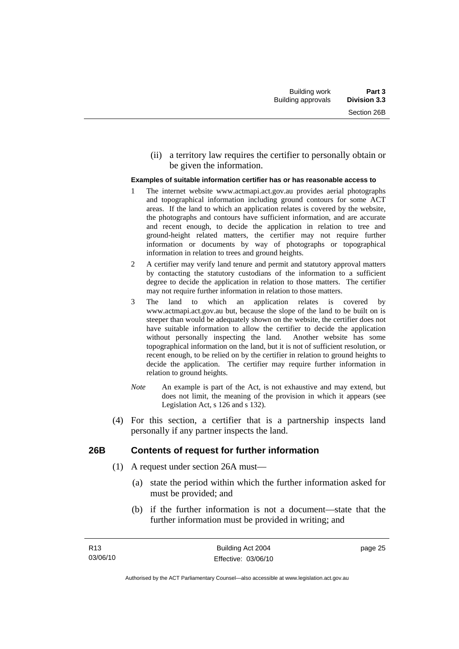<span id="page-34-0"></span> (ii) a territory law requires the certifier to personally obtain or be given the information.

#### **Examples of suitable information certifier has or has reasonable access to**

- 1 The internet website www.actmapi.act.gov.au provides aerial photographs and topographical information including ground contours for some ACT areas. If the land to which an application relates is covered by the website, the photographs and contours have sufficient information, and are accurate and recent enough, to decide the application in relation to tree and ground-height related matters, the certifier may not require further information or documents by way of photographs or topographical information in relation to trees and ground heights.
- 2 A certifier may verify land tenure and permit and statutory approval matters by contacting the statutory custodians of the information to a sufficient degree to decide the application in relation to those matters. The certifier may not require further information in relation to those matters.
- 3 The land to which an application relates is covered by www.actmapi.act.gov.au but, because the slope of the land to be built on is steeper than would be adequately shown on the website, the certifier does not have suitable information to allow the certifier to decide the application without personally inspecting the land. Another website has some topographical information on the land, but it is not of sufficient resolution, or recent enough, to be relied on by the certifier in relation to ground heights to decide the application. The certifier may require further information in relation to ground heights.
- *Note* An example is part of the Act, is not exhaustive and may extend, but does not limit, the meaning of the provision in which it appears (see Legislation Act, s 126 and s 132).
- (4) For this section, a certifier that is a partnership inspects land personally if any partner inspects the land.

### **26B Contents of request for further information**

- (1) A request under section 26A must—
	- (a) state the period within which the further information asked for must be provided; and
	- (b) if the further information is not a document—state that the further information must be provided in writing; and

page 25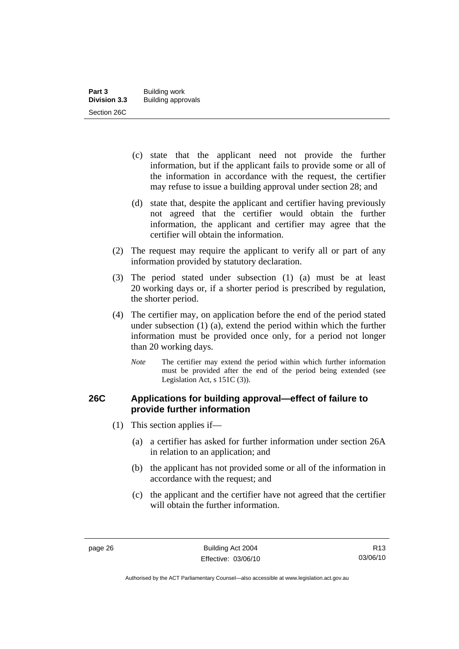- <span id="page-35-0"></span> (c) state that the applicant need not provide the further information, but if the applicant fails to provide some or all of the information in accordance with the request, the certifier may refuse to issue a building approval under section 28; and
- (d) state that, despite the applicant and certifier having previously not agreed that the certifier would obtain the further information, the applicant and certifier may agree that the certifier will obtain the information.
- (2) The request may require the applicant to verify all or part of any information provided by statutory declaration.
- (3) The period stated under subsection (1) (a) must be at least 20 working days or, if a shorter period is prescribed by regulation, the shorter period.
- (4) The certifier may, on application before the end of the period stated under subsection (1) (a), extend the period within which the further information must be provided once only, for a period not longer than 20 working days.
	- *Note* The certifier may extend the period within which further information must be provided after the end of the period being extended (see Legislation Act, s 151C (3)).

# **26C Applications for building approval—effect of failure to provide further information**

- (1) This section applies if—
	- (a) a certifier has asked for further information under section 26A in relation to an application; and
	- (b) the applicant has not provided some or all of the information in accordance with the request; and
	- (c) the applicant and the certifier have not agreed that the certifier will obtain the further information.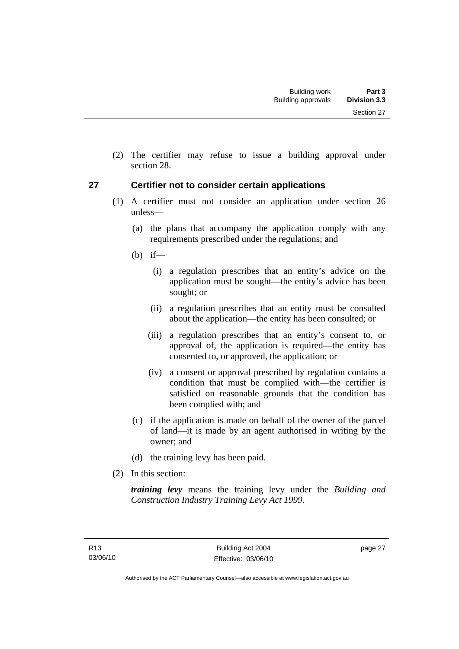Section 27

 (2) The certifier may refuse to issue a building approval under section 28.

### **27 Certifier not to consider certain applications**

- (1) A certifier must not consider an application under section 26 unless—
	- (a) the plans that accompany the application comply with any requirements prescribed under the regulations; and
	- $(b)$  if—
		- (i) a regulation prescribes that an entity's advice on the application must be sought—the entity's advice has been sought; or
		- (ii) a regulation prescribes that an entity must be consulted about the application—the entity has been consulted; or
		- (iii) a regulation prescribes that an entity's consent to, or approval of, the application is required—the entity has consented to, or approved, the application; or
		- (iv) a consent or approval prescribed by regulation contains a condition that must be complied with—the certifier is satisfied on reasonable grounds that the condition has been complied with; and
	- (c) if the application is made on behalf of the owner of the parcel of land—it is made by an agent authorised in writing by the owner; and
	- (d) the training levy has been paid.
- (2) In this section:

*training levy* means the training levy under the *Building and Construction Industry Training Levy Act 1999*.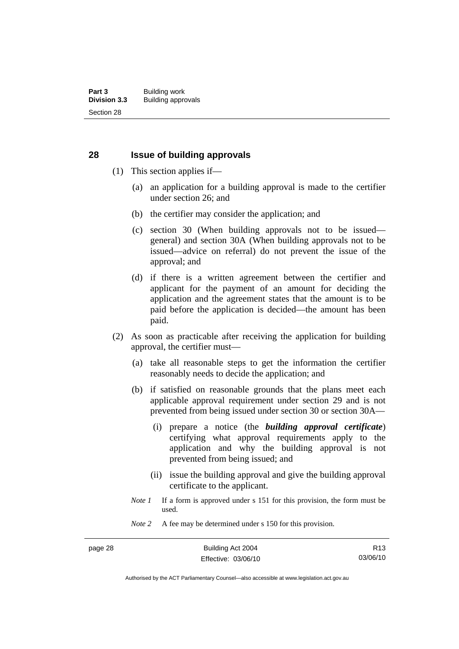#### **28 Issue of building approvals**

- (1) This section applies if—
	- (a) an application for a building approval is made to the certifier under section 26; and
	- (b) the certifier may consider the application; and
	- (c) section 30 (When building approvals not to be issued general) and section 30A (When building approvals not to be issued—advice on referral) do not prevent the issue of the approval; and
	- (d) if there is a written agreement between the certifier and applicant for the payment of an amount for deciding the application and the agreement states that the amount is to be paid before the application is decided—the amount has been paid.
- (2) As soon as practicable after receiving the application for building approval, the certifier must—
	- (a) take all reasonable steps to get the information the certifier reasonably needs to decide the application; and
	- (b) if satisfied on reasonable grounds that the plans meet each applicable approval requirement under section 29 and is not prevented from being issued under section 30 or section 30A—
		- (i) prepare a notice (the *building approval certificate*) certifying what approval requirements apply to the application and why the building approval is not prevented from being issued; and
		- (ii) issue the building approval and give the building approval certificate to the applicant.
	- *Note 1* If a form is approved under s 151 for this provision, the form must be used.
	- *Note* 2 A fee may be determined under s 150 for this provision.

Authorised by the ACT Parliamentary Counsel—also accessible at www.legislation.act.gov.au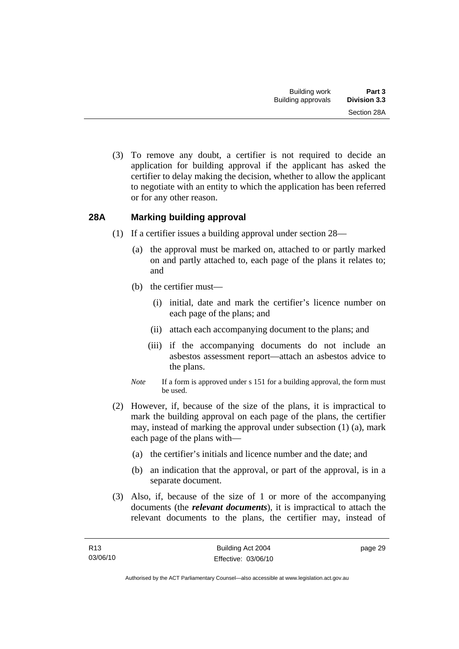(3) To remove any doubt, a certifier is not required to decide an application for building approval if the applicant has asked the certifier to delay making the decision, whether to allow the applicant to negotiate with an entity to which the application has been referred or for any other reason.

## **28A Marking building approval**

- (1) If a certifier issues a building approval under section 28—
	- (a) the approval must be marked on, attached to or partly marked on and partly attached to, each page of the plans it relates to; and
	- (b) the certifier must—
		- (i) initial, date and mark the certifier's licence number on each page of the plans; and
		- (ii) attach each accompanying document to the plans; and
		- (iii) if the accompanying documents do not include an asbestos assessment report—attach an asbestos advice to the plans.
	- *Note* If a form is approved under s 151 for a building approval, the form must be used.
- (2) However, if, because of the size of the plans, it is impractical to mark the building approval on each page of the plans, the certifier may, instead of marking the approval under subsection (1) (a), mark each page of the plans with—
	- (a) the certifier's initials and licence number and the date; and
	- (b) an indication that the approval, or part of the approval, is in a separate document.
- (3) Also, if, because of the size of 1 or more of the accompanying documents (the *relevant documents*), it is impractical to attach the relevant documents to the plans, the certifier may, instead of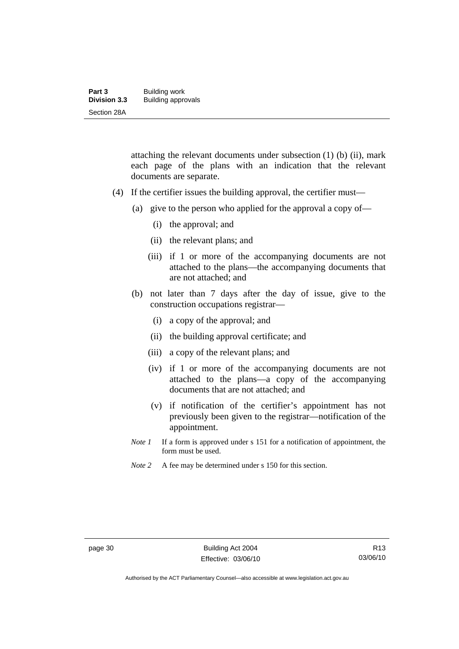| Part 3              | Building work             |
|---------------------|---------------------------|
| <b>Division 3.3</b> | <b>Building approvals</b> |
| Section 28A         |                           |

attaching the relevant documents under subsection (1) (b) (ii), mark each page of the plans with an indication that the relevant documents are separate.

- (4) If the certifier issues the building approval, the certifier must—
	- (a) give to the person who applied for the approval a copy of—
		- (i) the approval; and
		- (ii) the relevant plans; and
		- (iii) if 1 or more of the accompanying documents are not attached to the plans—the accompanying documents that are not attached; and
	- (b) not later than 7 days after the day of issue, give to the construction occupations registrar—
		- (i) a copy of the approval; and
		- (ii) the building approval certificate; and
		- (iii) a copy of the relevant plans; and
		- (iv) if 1 or more of the accompanying documents are not attached to the plans—a copy of the accompanying documents that are not attached; and
		- (v) if notification of the certifier's appointment has not previously been given to the registrar—notification of the appointment.
	- *Note 1* If a form is approved under s 151 for a notification of appointment, the form must be used.
	- *Note* 2 A fee may be determined under s 150 for this section.

Authorised by the ACT Parliamentary Counsel—also accessible at www.legislation.act.gov.au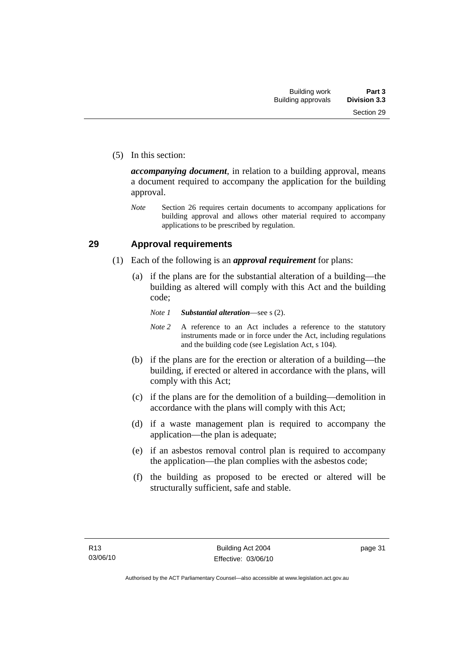(5) In this section:

*accompanying document*, in relation to a building approval, means a document required to accompany the application for the building approval.

*Note* Section 26 requires certain documents to accompany applications for building approval and allows other material required to accompany applications to be prescribed by regulation.

#### **29 Approval requirements**

- (1) Each of the following is an *approval requirement* for plans:
	- (a) if the plans are for the substantial alteration of a building—the building as altered will comply with this Act and the building code;
		- *Note 1 Substantial alteration*—see s (2).
		- *Note* 2 A reference to an Act includes a reference to the statutory instruments made or in force under the Act, including regulations and the building code (see Legislation Act, s 104).
	- (b) if the plans are for the erection or alteration of a building—the building, if erected or altered in accordance with the plans, will comply with this Act;
	- (c) if the plans are for the demolition of a building—demolition in accordance with the plans will comply with this Act;
	- (d) if a waste management plan is required to accompany the application—the plan is adequate;
	- (e) if an asbestos removal control plan is required to accompany the application—the plan complies with the asbestos code;
	- (f) the building as proposed to be erected or altered will be structurally sufficient, safe and stable.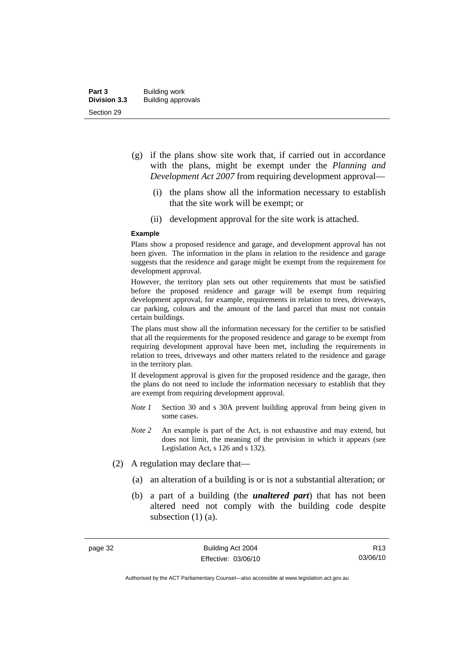- (g) if the plans show site work that, if carried out in accordance with the plans, might be exempt under the *Planning and Development Act 2007* from requiring development approval—
	- (i) the plans show all the information necessary to establish that the site work will be exempt; or
	- (ii) development approval for the site work is attached.

#### **Example**

Plans show a proposed residence and garage, and development approval has not been given. The information in the plans in relation to the residence and garage suggests that the residence and garage might be exempt from the requirement for development approval.

However, the territory plan sets out other requirements that must be satisfied before the proposed residence and garage will be exempt from requiring development approval, for example, requirements in relation to trees, driveways, car parking, colours and the amount of the land parcel that must not contain certain buildings.

The plans must show all the information necessary for the certifier to be satisfied that all the requirements for the proposed residence and garage to be exempt from requiring development approval have been met, including the requirements in relation to trees, driveways and other matters related to the residence and garage in the territory plan.

If development approval is given for the proposed residence and the garage, then the plans do not need to include the information necessary to establish that they are exempt from requiring development approval.

- *Note 1* Section 30 and s 30A prevent building approval from being given in some cases.
- *Note 2* An example is part of the Act, is not exhaustive and may extend, but does not limit, the meaning of the provision in which it appears (see Legislation Act, s 126 and s 132).
- (2) A regulation may declare that—
	- (a) an alteration of a building is or is not a substantial alteration; or
	- (b) a part of a building (the *unaltered part*) that has not been altered need not comply with the building code despite subsection (1) (a).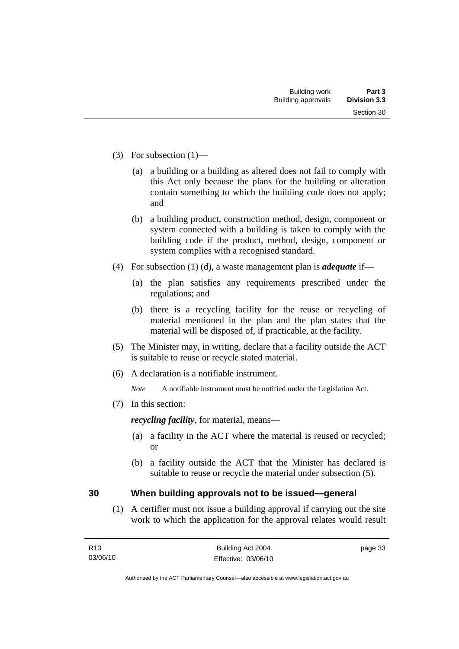- (3) For subsection (1)—
	- (a) a building or a building as altered does not fail to comply with this Act only because the plans for the building or alteration contain something to which the building code does not apply; and
	- (b) a building product, construction method, design, component or system connected with a building is taken to comply with the building code if the product, method, design, component or system complies with a recognised standard.
- (4) For subsection (1) (d), a waste management plan is *adequate* if—
	- (a) the plan satisfies any requirements prescribed under the regulations; and
	- (b) there is a recycling facility for the reuse or recycling of material mentioned in the plan and the plan states that the material will be disposed of, if practicable, at the facility.
- (5) The Minister may, in writing, declare that a facility outside the ACT is suitable to reuse or recycle stated material.
- (6) A declaration is a notifiable instrument.

*Note* A notifiable instrument must be notified under the Legislation Act.

(7) In this section:

*recycling facility*, for material, means—

- (a) a facility in the ACT where the material is reused or recycled; or
- (b) a facility outside the ACT that the Minister has declared is suitable to reuse or recycle the material under subsection (5).

#### **30 When building approvals not to be issued—general**

 (1) A certifier must not issue a building approval if carrying out the site work to which the application for the approval relates would result

page 33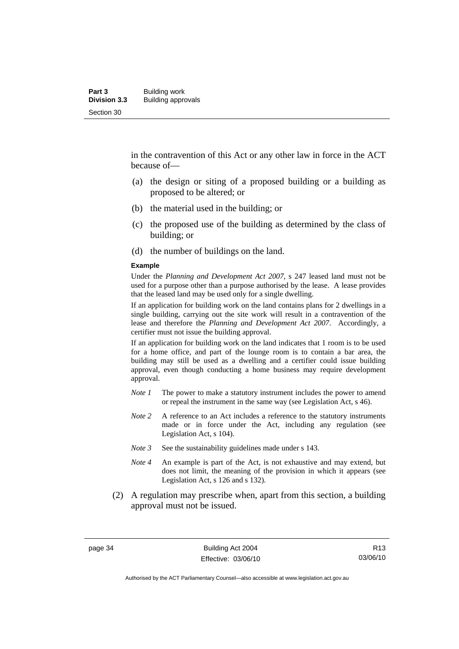in the contravention of this Act or any other law in force in the ACT because of—

- (a) the design or siting of a proposed building or a building as proposed to be altered; or
- (b) the material used in the building; or
- (c) the proposed use of the building as determined by the class of building; or
- (d) the number of buildings on the land.

#### **Example**

Under the *Planning and Development Act 2007*, s 247 leased land must not be used for a purpose other than a purpose authorised by the lease. A lease provides that the leased land may be used only for a single dwelling.

If an application for building work on the land contains plans for 2 dwellings in a single building, carrying out the site work will result in a contravention of the lease and therefore the *Planning and Development Act 2007*. Accordingly, a certifier must not issue the building approval.

If an application for building work on the land indicates that 1 room is to be used for a home office, and part of the lounge room is to contain a bar area, the building may still be used as a dwelling and a certifier could issue building approval, even though conducting a home business may require development approval.

- *Note 1* The power to make a statutory instrument includes the power to amend or repeal the instrument in the same way (see Legislation Act, s 46).
- *Note 2* A reference to an Act includes a reference to the statutory instruments made or in force under the Act, including any regulation (see Legislation Act, s 104).
- *Note 3* See the sustainability guidelines made under s 143.
- *Note 4* An example is part of the Act, is not exhaustive and may extend, but does not limit, the meaning of the provision in which it appears (see Legislation Act, s 126 and s 132).
- (2) A regulation may prescribe when, apart from this section, a building approval must not be issued.

page 34 Building Act 2004 Effective: 03/06/10

R13 03/06/10

Authorised by the ACT Parliamentary Counsel—also accessible at www.legislation.act.gov.au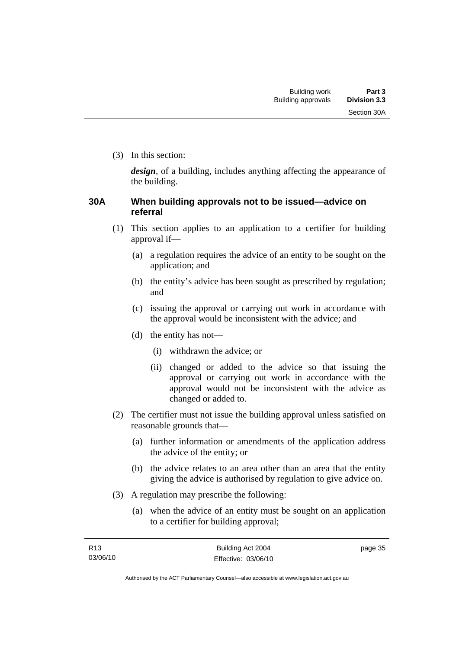(3) In this section:

*design*, of a building, includes anything affecting the appearance of the building.

### **30A When building approvals not to be issued—advice on referral**

- (1) This section applies to an application to a certifier for building approval if—
	- (a) a regulation requires the advice of an entity to be sought on the application; and
	- (b) the entity's advice has been sought as prescribed by regulation; and
	- (c) issuing the approval or carrying out work in accordance with the approval would be inconsistent with the advice; and
	- (d) the entity has not—
		- (i) withdrawn the advice; or
		- (ii) changed or added to the advice so that issuing the approval or carrying out work in accordance with the approval would not be inconsistent with the advice as changed or added to.
- (2) The certifier must not issue the building approval unless satisfied on reasonable grounds that—
	- (a) further information or amendments of the application address the advice of the entity; or
	- (b) the advice relates to an area other than an area that the entity giving the advice is authorised by regulation to give advice on.
- (3) A regulation may prescribe the following:
	- (a) when the advice of an entity must be sought on an application to a certifier for building approval;

page 35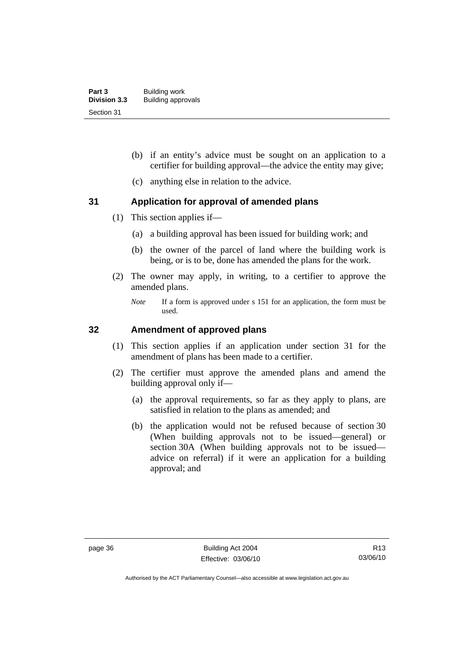- (b) if an entity's advice must be sought on an application to a certifier for building approval—the advice the entity may give;
- (c) anything else in relation to the advice.

### **31 Application for approval of amended plans**

- (1) This section applies if—
	- (a) a building approval has been issued for building work; and
	- (b) the owner of the parcel of land where the building work is being, or is to be, done has amended the plans for the work.
- (2) The owner may apply, in writing, to a certifier to approve the amended plans.
	- *Note* If a form is approved under s 151 for an application, the form must be used.

#### **32 Amendment of approved plans**

- (1) This section applies if an application under section 31 for the amendment of plans has been made to a certifier.
- (2) The certifier must approve the amended plans and amend the building approval only if—
	- (a) the approval requirements, so far as they apply to plans, are satisfied in relation to the plans as amended; and
	- (b) the application would not be refused because of section 30 (When building approvals not to be issued—general) or section 30A (When building approvals not to be issued advice on referral) if it were an application for a building approval; and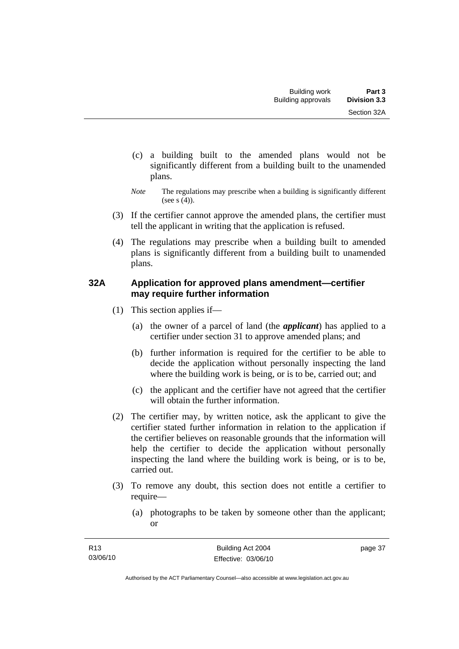- (c) a building built to the amended plans would not be significantly different from a building built to the unamended plans.
- *Note* The regulations may prescribe when a building is significantly different (see s  $(4)$ ).
- (3) If the certifier cannot approve the amended plans, the certifier must tell the applicant in writing that the application is refused.
- (4) The regulations may prescribe when a building built to amended plans is significantly different from a building built to unamended plans.

### **32A Application for approved plans amendment—certifier may require further information**

- (1) This section applies if—
	- (a) the owner of a parcel of land (the *applicant*) has applied to a certifier under section 31 to approve amended plans; and
	- (b) further information is required for the certifier to be able to decide the application without personally inspecting the land where the building work is being, or is to be, carried out; and
	- (c) the applicant and the certifier have not agreed that the certifier will obtain the further information.
- (2) The certifier may, by written notice, ask the applicant to give the certifier stated further information in relation to the application if the certifier believes on reasonable grounds that the information will help the certifier to decide the application without personally inspecting the land where the building work is being, or is to be, carried out.
- (3) To remove any doubt, this section does not entitle a certifier to require—
	- (a) photographs to be taken by someone other than the applicant; or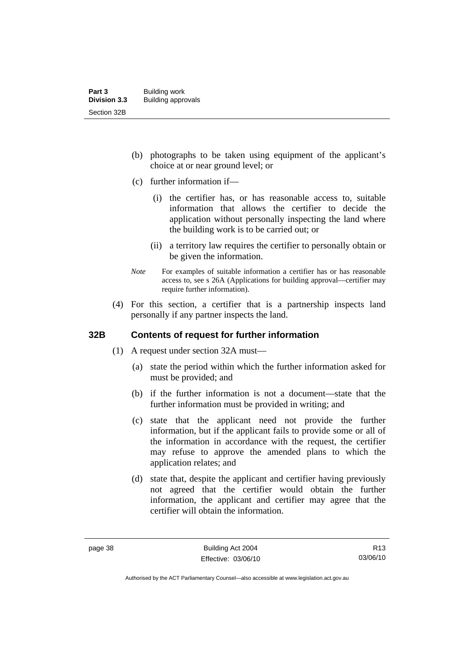- (b) photographs to be taken using equipment of the applicant's choice at or near ground level; or
- (c) further information if—
	- (i) the certifier has, or has reasonable access to, suitable information that allows the certifier to decide the application without personally inspecting the land where the building work is to be carried out; or
	- (ii) a territory law requires the certifier to personally obtain or be given the information.
- *Note* For examples of suitable information a certifier has or has reasonable access to, see s 26A (Applications for building approval—certifier may require further information).
- (4) For this section, a certifier that is a partnership inspects land personally if any partner inspects the land.

#### **32B Contents of request for further information**

- (1) A request under section 32A must—
	- (a) state the period within which the further information asked for must be provided; and
	- (b) if the further information is not a document—state that the further information must be provided in writing; and
	- (c) state that the applicant need not provide the further information, but if the applicant fails to provide some or all of the information in accordance with the request, the certifier may refuse to approve the amended plans to which the application relates; and
	- (d) state that, despite the applicant and certifier having previously not agreed that the certifier would obtain the further information, the applicant and certifier may agree that the certifier will obtain the information.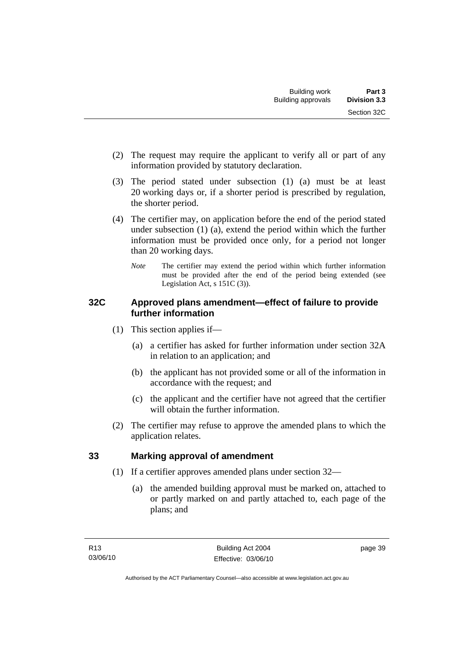- (2) The request may require the applicant to verify all or part of any information provided by statutory declaration.
- (3) The period stated under subsection (1) (a) must be at least 20 working days or, if a shorter period is prescribed by regulation, the shorter period.
- (4) The certifier may, on application before the end of the period stated under subsection (1) (a), extend the period within which the further information must be provided once only, for a period not longer than 20 working days.
	- *Note* The certifier may extend the period within which further information must be provided after the end of the period being extended (see Legislation Act, s 151C (3)).

## **32C Approved plans amendment—effect of failure to provide further information**

- (1) This section applies if—
	- (a) a certifier has asked for further information under section 32A in relation to an application; and
	- (b) the applicant has not provided some or all of the information in accordance with the request; and
	- (c) the applicant and the certifier have not agreed that the certifier will obtain the further information.
- (2) The certifier may refuse to approve the amended plans to which the application relates.

# **33 Marking approval of amendment**

- (1) If a certifier approves amended plans under section 32—
	- (a) the amended building approval must be marked on, attached to or partly marked on and partly attached to, each page of the plans; and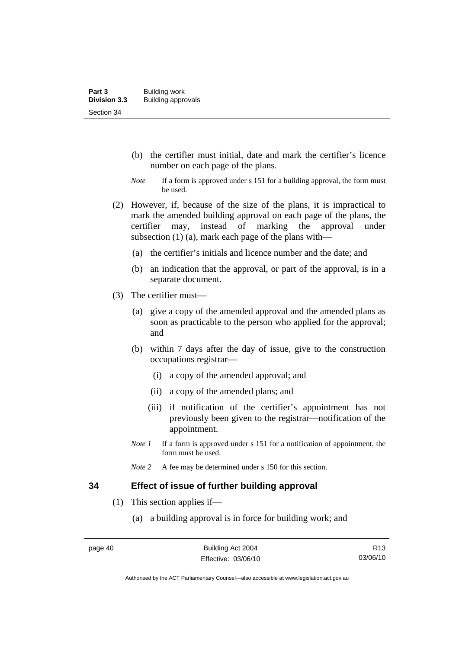- (b) the certifier must initial, date and mark the certifier's licence number on each page of the plans.
- *Note* If a form is approved under s 151 for a building approval, the form must be used.
- (2) However, if, because of the size of the plans, it is impractical to mark the amended building approval on each page of the plans, the certifier may, instead of marking the approval under subsection (1) (a), mark each page of the plans with—
	- (a) the certifier's initials and licence number and the date; and
	- (b) an indication that the approval, or part of the approval, is in a separate document.
- (3) The certifier must—
	- (a) give a copy of the amended approval and the amended plans as soon as practicable to the person who applied for the approval; and
	- (b) within 7 days after the day of issue, give to the construction occupations registrar—
		- (i) a copy of the amended approval; and
		- (ii) a copy of the amended plans; and
		- (iii) if notification of the certifier's appointment has not previously been given to the registrar—notification of the appointment.
	- *Note 1* If a form is approved under s 151 for a notification of appointment, the form must be used.
	- *Note* 2 A fee may be determined under s 150 for this section.

#### **34 Effect of issue of further building approval**

- (1) This section applies if—
	- (a) a building approval is in force for building work; and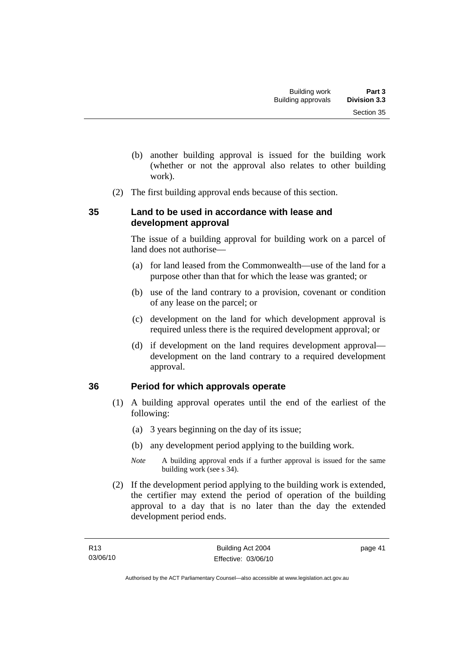- (b) another building approval is issued for the building work (whether or not the approval also relates to other building work).
- (2) The first building approval ends because of this section.

## **35 Land to be used in accordance with lease and development approval**

The issue of a building approval for building work on a parcel of land does not authorise—

- (a) for land leased from the Commonwealth—use of the land for a purpose other than that for which the lease was granted; or
- (b) use of the land contrary to a provision, covenant or condition of any lease on the parcel; or
- (c) development on the land for which development approval is required unless there is the required development approval; or
- (d) if development on the land requires development approval development on the land contrary to a required development approval.

# **36 Period for which approvals operate**

- (1) A building approval operates until the end of the earliest of the following:
	- (a) 3 years beginning on the day of its issue;
	- (b) any development period applying to the building work.
	- *Note* A building approval ends if a further approval is issued for the same building work (see s 34).
- (2) If the development period applying to the building work is extended, the certifier may extend the period of operation of the building approval to a day that is no later than the day the extended development period ends.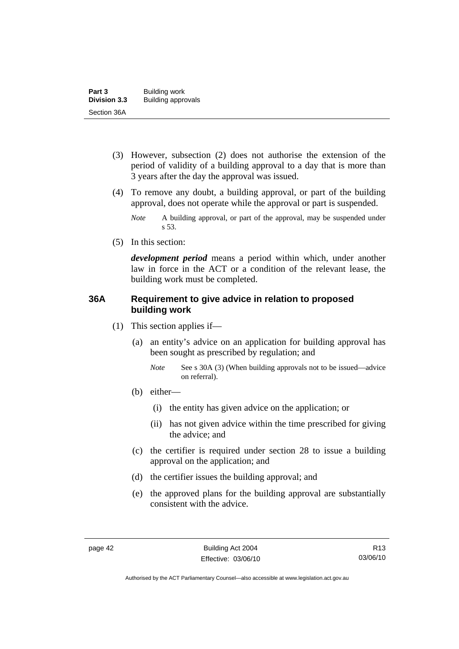- (3) However, subsection (2) does not authorise the extension of the period of validity of a building approval to a day that is more than 3 years after the day the approval was issued.
- (4) To remove any doubt, a building approval, or part of the building approval, does not operate while the approval or part is suspended.
	- *Note* A building approval, or part of the approval, may be suspended under s 53.
- (5) In this section:

*development period* means a period within which, under another law in force in the ACT or a condition of the relevant lease, the building work must be completed.

### **36A Requirement to give advice in relation to proposed building work**

- (1) This section applies if—
	- (a) an entity's advice on an application for building approval has been sought as prescribed by regulation; and
		- *Note* See s 30A (3) (When building approvals not to be issued—advice on referral).
	- (b) either—
		- (i) the entity has given advice on the application; or
		- (ii) has not given advice within the time prescribed for giving the advice; and
	- (c) the certifier is required under section 28 to issue a building approval on the application; and
	- (d) the certifier issues the building approval; and
	- (e) the approved plans for the building approval are substantially consistent with the advice.

Authorised by the ACT Parliamentary Counsel—also accessible at www.legislation.act.gov.au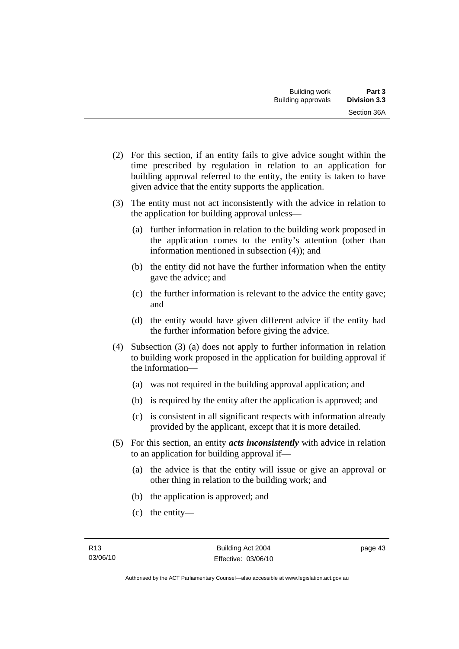- (2) For this section, if an entity fails to give advice sought within the time prescribed by regulation in relation to an application for building approval referred to the entity, the entity is taken to have given advice that the entity supports the application.
- (3) The entity must not act inconsistently with the advice in relation to the application for building approval unless—
	- (a) further information in relation to the building work proposed in the application comes to the entity's attention (other than information mentioned in subsection (4)); and
	- (b) the entity did not have the further information when the entity gave the advice; and
	- (c) the further information is relevant to the advice the entity gave; and
	- (d) the entity would have given different advice if the entity had the further information before giving the advice.
- (4) Subsection (3) (a) does not apply to further information in relation to building work proposed in the application for building approval if the information—
	- (a) was not required in the building approval application; and
	- (b) is required by the entity after the application is approved; and
	- (c) is consistent in all significant respects with information already provided by the applicant, except that it is more detailed.
- (5) For this section, an entity *acts inconsistently* with advice in relation to an application for building approval if—
	- (a) the advice is that the entity will issue or give an approval or other thing in relation to the building work; and
	- (b) the application is approved; and
	- (c) the entity—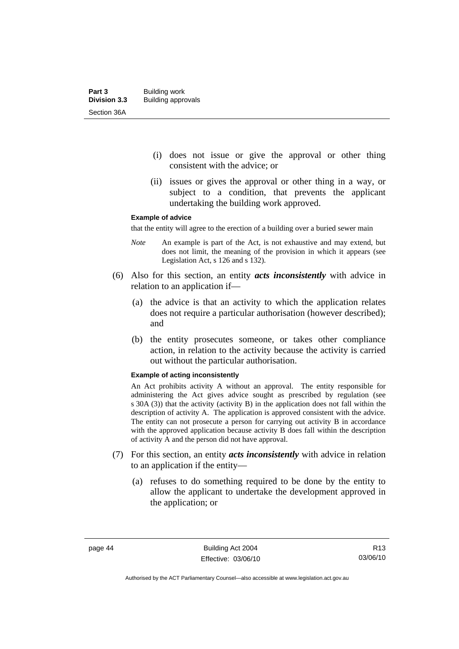- (i) does not issue or give the approval or other thing consistent with the advice; or
- (ii) issues or gives the approval or other thing in a way, or subject to a condition, that prevents the applicant undertaking the building work approved.

#### **Example of advice**

that the entity will agree to the erection of a building over a buried sewer main

- *Note* An example is part of the Act, is not exhaustive and may extend, but does not limit, the meaning of the provision in which it appears (see Legislation Act, s 126 and s 132).
- (6) Also for this section, an entity *acts inconsistently* with advice in relation to an application if—
	- (a) the advice is that an activity to which the application relates does not require a particular authorisation (however described); and
	- (b) the entity prosecutes someone, or takes other compliance action, in relation to the activity because the activity is carried out without the particular authorisation.

#### **Example of acting inconsistently**

An Act prohibits activity A without an approval. The entity responsible for administering the Act gives advice sought as prescribed by regulation (see s 30A (3)) that the activity (activity B) in the application does not fall within the description of activity A. The application is approved consistent with the advice. The entity can not prosecute a person for carrying out activity B in accordance with the approved application because activity B does fall within the description of activity A and the person did not have approval.

- (7) For this section, an entity *acts inconsistently* with advice in relation to an application if the entity—
	- (a) refuses to do something required to be done by the entity to allow the applicant to undertake the development approved in the application; or

R13 03/06/10

Authorised by the ACT Parliamentary Counsel—also accessible at www.legislation.act.gov.au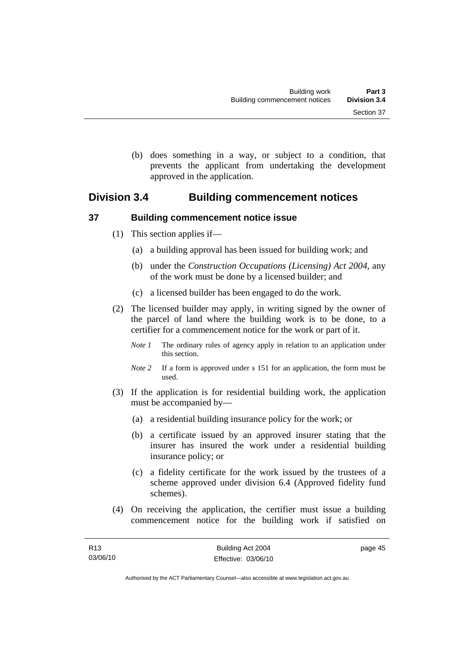(b) does something in a way, or subject to a condition, that prevents the applicant from undertaking the development approved in the application.

# **Division 3.4 Building commencement notices**

## **37 Building commencement notice issue**

- (1) This section applies if—
	- (a) a building approval has been issued for building work; and
	- (b) under the *Construction Occupations (Licensing) Act 2004*, any of the work must be done by a licensed builder; and
	- (c) a licensed builder has been engaged to do the work.
- (2) The licensed builder may apply, in writing signed by the owner of the parcel of land where the building work is to be done, to a certifier for a commencement notice for the work or part of it.
	- *Note 1* The ordinary rules of agency apply in relation to an application under this section.
	- *Note 2* If a form is approved under s 151 for an application, the form must be used.
- (3) If the application is for residential building work, the application must be accompanied by—
	- (a) a residential building insurance policy for the work; or
	- (b) a certificate issued by an approved insurer stating that the insurer has insured the work under a residential building insurance policy; or
	- (c) a fidelity certificate for the work issued by the trustees of a scheme approved under division 6.4 (Approved fidelity fund schemes).
- (4) On receiving the application, the certifier must issue a building commencement notice for the building work if satisfied on

page 45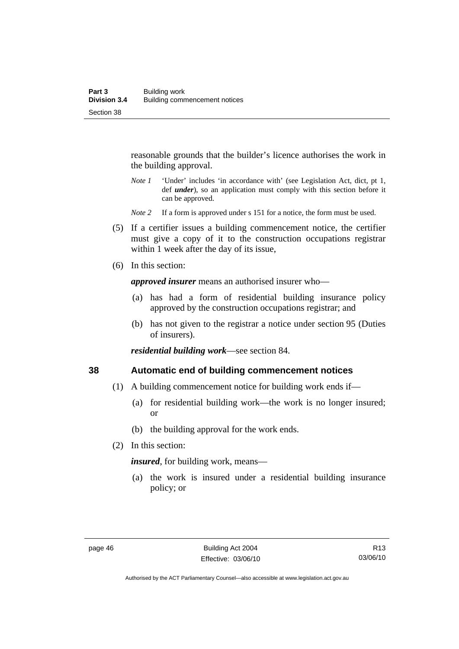reasonable grounds that the builder's licence authorises the work in the building approval.

- *Note 1* 'Under' includes 'in accordance with' (see Legislation Act, dict, pt 1, def *under*), so an application must comply with this section before it can be approved.
- *Note* 2 If a form is approved under s 151 for a notice, the form must be used.
- (5) If a certifier issues a building commencement notice, the certifier must give a copy of it to the construction occupations registrar within 1 week after the day of its issue.
- (6) In this section:

*approved insurer* means an authorised insurer who—

- (a) has had a form of residential building insurance policy approved by the construction occupations registrar; and
- (b) has not given to the registrar a notice under section 95 (Duties of insurers).

*residential building work*—see section 84.

#### **38 Automatic end of building commencement notices**

- (1) A building commencement notice for building work ends if—
	- (a) for residential building work—the work is no longer insured; or
	- (b) the building approval for the work ends.
- (2) In this section:

*insured*, for building work, means—

 (a) the work is insured under a residential building insurance policy; or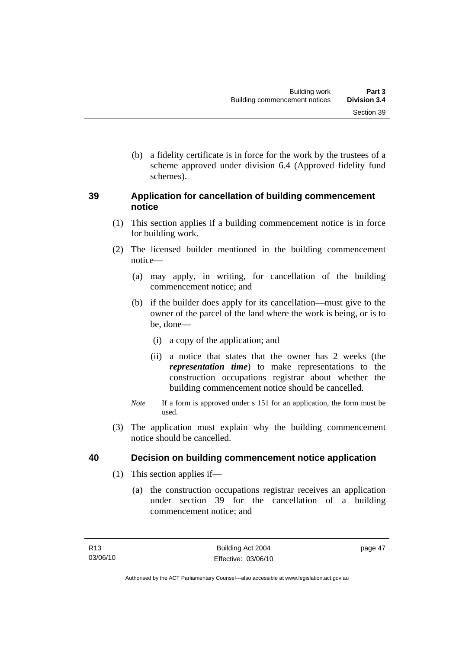(b) a fidelity certificate is in force for the work by the trustees of a scheme approved under division 6.4 (Approved fidelity fund schemes).

### **39 Application for cancellation of building commencement notice**

- (1) This section applies if a building commencement notice is in force for building work.
- (2) The licensed builder mentioned in the building commencement notice—
	- (a) may apply, in writing, for cancellation of the building commencement notice; and
	- (b) if the builder does apply for its cancellation—must give to the owner of the parcel of the land where the work is being, or is to be, done—
		- (i) a copy of the application; and
		- (ii) a notice that states that the owner has 2 weeks (the *representation time*) to make representations to the construction occupations registrar about whether the building commencement notice should be cancelled.
	- *Note* If a form is approved under s 151 for an application, the form must be used.
- (3) The application must explain why the building commencement notice should be cancelled.

# **40 Decision on building commencement notice application**

- (1) This section applies if—
	- (a) the construction occupations registrar receives an application under section 39 for the cancellation of a building commencement notice; and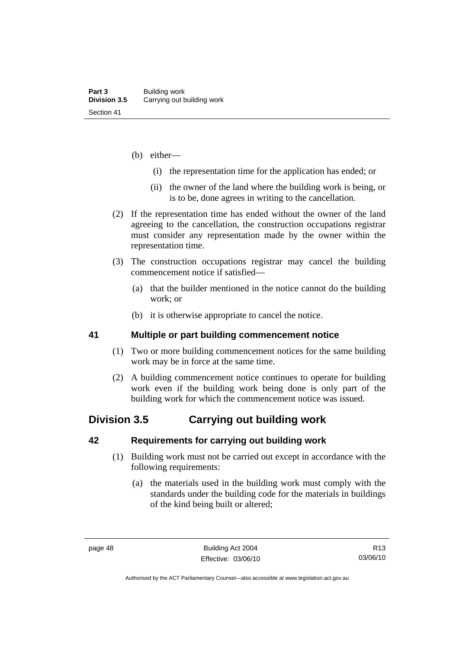- (b) either—
	- (i) the representation time for the application has ended; or
	- (ii) the owner of the land where the building work is being, or is to be, done agrees in writing to the cancellation.
- (2) If the representation time has ended without the owner of the land agreeing to the cancellation, the construction occupations registrar must consider any representation made by the owner within the representation time.
- (3) The construction occupations registrar may cancel the building commencement notice if satisfied—
	- (a) that the builder mentioned in the notice cannot do the building work; or
	- (b) it is otherwise appropriate to cancel the notice.

### **41 Multiple or part building commencement notice**

- (1) Two or more building commencement notices for the same building work may be in force at the same time.
- (2) A building commencement notice continues to operate for building work even if the building work being done is only part of the building work for which the commencement notice was issued.

# **Division 3.5 Carrying out building work**

#### **42 Requirements for carrying out building work**

- (1) Building work must not be carried out except in accordance with the following requirements:
	- (a) the materials used in the building work must comply with the standards under the building code for the materials in buildings of the kind being built or altered;

page 48 Building Act 2004 Effective: 03/06/10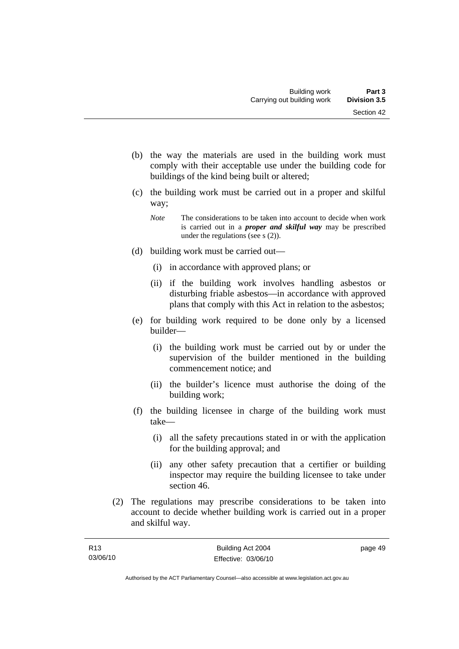- (b) the way the materials are used in the building work must comply with their acceptable use under the building code for buildings of the kind being built or altered;
- (c) the building work must be carried out in a proper and skilful way;
	- *Note* The considerations to be taken into account to decide when work is carried out in a *proper and skilful way* may be prescribed under the regulations (see s (2)).
- (d) building work must be carried out—
	- (i) in accordance with approved plans; or
	- (ii) if the building work involves handling asbestos or disturbing friable asbestos—in accordance with approved plans that comply with this Act in relation to the asbestos;
- (e) for building work required to be done only by a licensed builder—
	- (i) the building work must be carried out by or under the supervision of the builder mentioned in the building commencement notice; and
	- (ii) the builder's licence must authorise the doing of the building work;
- (f) the building licensee in charge of the building work must take—
	- (i) all the safety precautions stated in or with the application for the building approval; and
	- (ii) any other safety precaution that a certifier or building inspector may require the building licensee to take under section 46.
- (2) The regulations may prescribe considerations to be taken into account to decide whether building work is carried out in a proper and skilful way.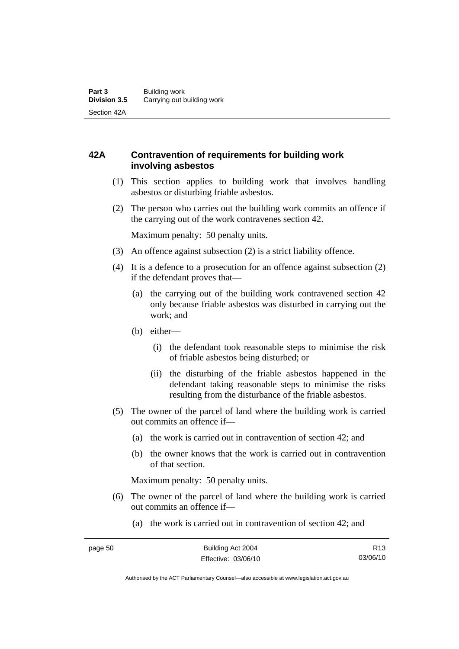## **42A Contravention of requirements for building work involving asbestos**

- (1) This section applies to building work that involves handling asbestos or disturbing friable asbestos.
- (2) The person who carries out the building work commits an offence if the carrying out of the work contravenes section 42.

Maximum penalty: 50 penalty units.

- (3) An offence against subsection (2) is a strict liability offence.
- (4) It is a defence to a prosecution for an offence against subsection (2) if the defendant proves that—
	- (a) the carrying out of the building work contravened section 42 only because friable asbestos was disturbed in carrying out the work; and
	- (b) either—
		- (i) the defendant took reasonable steps to minimise the risk of friable asbestos being disturbed; or
		- (ii) the disturbing of the friable asbestos happened in the defendant taking reasonable steps to minimise the risks resulting from the disturbance of the friable asbestos.
- (5) The owner of the parcel of land where the building work is carried out commits an offence if—
	- (a) the work is carried out in contravention of section 42; and
	- (b) the owner knows that the work is carried out in contravention of that section.

Maximum penalty: 50 penalty units.

- (6) The owner of the parcel of land where the building work is carried out commits an offence if—
	- (a) the work is carried out in contravention of section 42; and

R13 03/06/10

Authorised by the ACT Parliamentary Counsel—also accessible at www.legislation.act.gov.au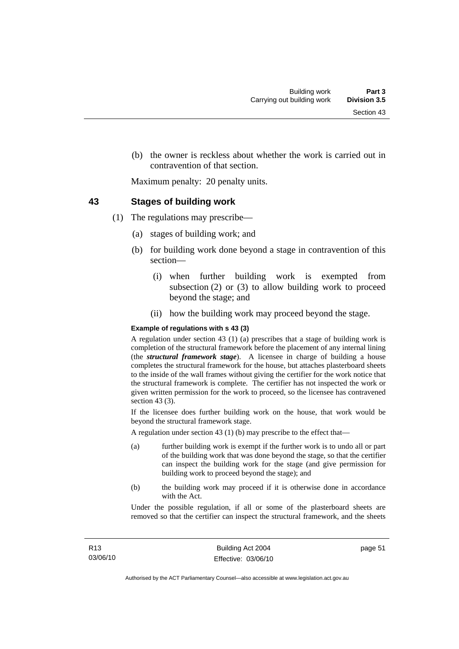(b) the owner is reckless about whether the work is carried out in contravention of that section.

Maximum penalty: 20 penalty units.

#### **43 Stages of building work**

- (1) The regulations may prescribe—
	- (a) stages of building work; and
	- (b) for building work done beyond a stage in contravention of this section—
		- (i) when further building work is exempted from subsection (2) or (3) to allow building work to proceed beyond the stage; and
		- (ii) how the building work may proceed beyond the stage.

#### **Example of regulations with s 43 (3)**

A regulation under section 43 (1) (a) prescribes that a stage of building work is completion of the structural framework before the placement of any internal lining (the *structural framework stage*). A licensee in charge of building a house completes the structural framework for the house, but attaches plasterboard sheets to the inside of the wall frames without giving the certifier for the work notice that the structural framework is complete. The certifier has not inspected the work or given written permission for the work to proceed, so the licensee has contravened section 43 $(3)$ .

If the licensee does further building work on the house, that work would be beyond the structural framework stage.

A regulation under section 43 (1) (b) may prescribe to the effect that—

- (a) further building work is exempt if the further work is to undo all or part of the building work that was done beyond the stage, so that the certifier can inspect the building work for the stage (and give permission for building work to proceed beyond the stage); and
- (b) the building work may proceed if it is otherwise done in accordance with the Act.

Under the possible regulation, if all or some of the plasterboard sheets are removed so that the certifier can inspect the structural framework, and the sheets

page 51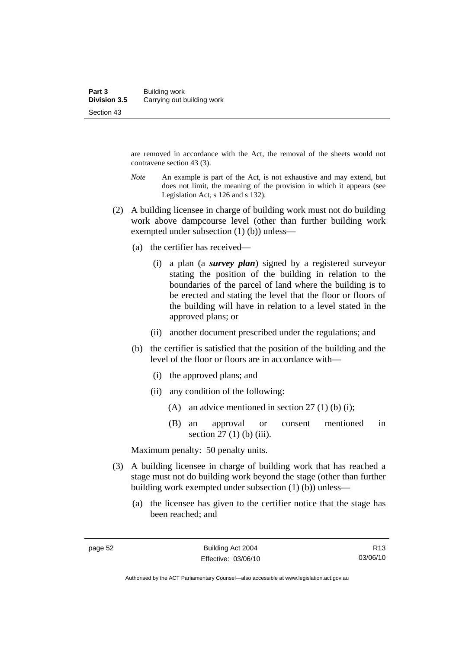are removed in accordance with the Act, the removal of the sheets would not contravene section 43 (3).

- *Note* An example is part of the Act, is not exhaustive and may extend, but does not limit, the meaning of the provision in which it appears (see Legislation Act, s 126 and s 132).
- (2) A building licensee in charge of building work must not do building work above dampcourse level (other than further building work exempted under subsection (1) (b)) unless—
	- (a) the certifier has received—
		- (i) a plan (a *survey plan*) signed by a registered surveyor stating the position of the building in relation to the boundaries of the parcel of land where the building is to be erected and stating the level that the floor or floors of the building will have in relation to a level stated in the approved plans; or
		- (ii) another document prescribed under the regulations; and
	- (b) the certifier is satisfied that the position of the building and the level of the floor or floors are in accordance with—
		- (i) the approved plans; and
		- (ii) any condition of the following:
			- (A) an advice mentioned in section 27 (1) (b) (i);
			- (B) an approval or consent mentioned in section  $27 (1)$  (b) (iii).

Maximum penalty: 50 penalty units.

- (3) A building licensee in charge of building work that has reached a stage must not do building work beyond the stage (other than further building work exempted under subsection (1) (b)) unless—
	- (a) the licensee has given to the certifier notice that the stage has been reached; and

Authorised by the ACT Parliamentary Counsel—also accessible at www.legislation.act.gov.au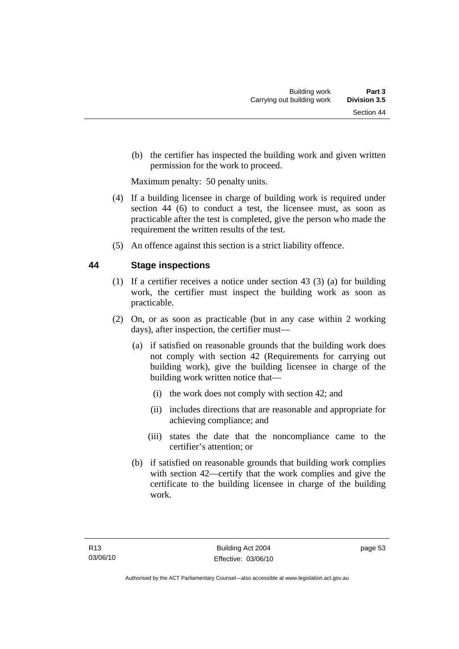(b) the certifier has inspected the building work and given written permission for the work to proceed.

Maximum penalty: 50 penalty units.

- (4) If a building licensee in charge of building work is required under section 44 (6) to conduct a test, the licensee must, as soon as practicable after the test is completed, give the person who made the requirement the written results of the test.
- (5) An offence against this section is a strict liability offence.

## **44 Stage inspections**

- (1) If a certifier receives a notice under section 43 (3) (a) for building work, the certifier must inspect the building work as soon as practicable.
- (2) On, or as soon as practicable (but in any case within 2 working days), after inspection, the certifier must—
	- (a) if satisfied on reasonable grounds that the building work does not comply with section 42 (Requirements for carrying out building work), give the building licensee in charge of the building work written notice that—
		- (i) the work does not comply with section 42; and
		- (ii) includes directions that are reasonable and appropriate for achieving compliance; and
		- (iii) states the date that the noncompliance came to the certifier's attention; or
	- (b) if satisfied on reasonable grounds that building work complies with section 42—certify that the work complies and give the certificate to the building licensee in charge of the building work.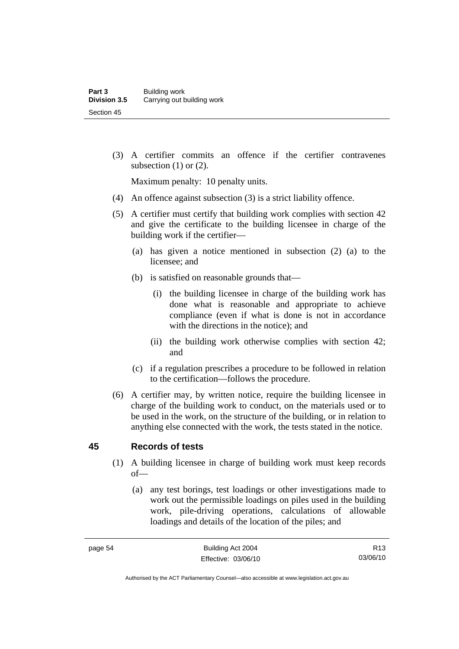(3) A certifier commits an offence if the certifier contravenes subsection  $(1)$  or  $(2)$ .

Maximum penalty: 10 penalty units.

- (4) An offence against subsection (3) is a strict liability offence.
- (5) A certifier must certify that building work complies with section 42 and give the certificate to the building licensee in charge of the building work if the certifier—
	- (a) has given a notice mentioned in subsection (2) (a) to the licensee; and
	- (b) is satisfied on reasonable grounds that—
		- (i) the building licensee in charge of the building work has done what is reasonable and appropriate to achieve compliance (even if what is done is not in accordance with the directions in the notice); and
		- (ii) the building work otherwise complies with section 42; and
	- (c) if a regulation prescribes a procedure to be followed in relation to the certification—follows the procedure.
- (6) A certifier may, by written notice, require the building licensee in charge of the building work to conduct, on the materials used or to be used in the work, on the structure of the building, or in relation to anything else connected with the work, the tests stated in the notice.

#### **45 Records of tests**

- (1) A building licensee in charge of building work must keep records of—
	- (a) any test borings, test loadings or other investigations made to work out the permissible loadings on piles used in the building work, pile-driving operations, calculations of allowable loadings and details of the location of the piles; and

Authorised by the ACT Parliamentary Counsel—also accessible at www.legislation.act.gov.au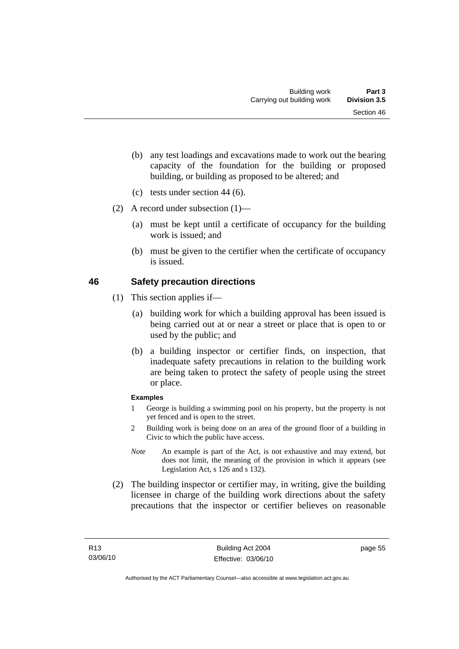- (b) any test loadings and excavations made to work out the bearing capacity of the foundation for the building or proposed building, or building as proposed to be altered; and
- (c) tests under section 44 (6).
- (2) A record under subsection (1)—
	- (a) must be kept until a certificate of occupancy for the building work is issued; and
	- (b) must be given to the certifier when the certificate of occupancy is issued.

## **46 Safety precaution directions**

- (1) This section applies if—
	- (a) building work for which a building approval has been issued is being carried out at or near a street or place that is open to or used by the public; and
	- (b) a building inspector or certifier finds, on inspection, that inadequate safety precautions in relation to the building work are being taken to protect the safety of people using the street or place.

#### **Examples**

- 1 George is building a swimming pool on his property, but the property is not yet fenced and is open to the street.
- 2 Building work is being done on an area of the ground floor of a building in Civic to which the public have access.
- *Note* An example is part of the Act, is not exhaustive and may extend, but does not limit, the meaning of the provision in which it appears (see Legislation Act, s 126 and s 132).
- (2) The building inspector or certifier may, in writing, give the building licensee in charge of the building work directions about the safety precautions that the inspector or certifier believes on reasonable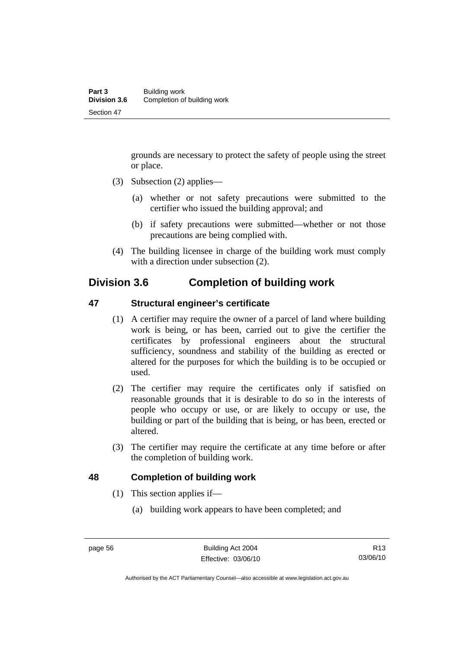grounds are necessary to protect the safety of people using the street or place.

- (3) Subsection (2) applies—
	- (a) whether or not safety precautions were submitted to the certifier who issued the building approval; and
	- (b) if safety precautions were submitted—whether or not those precautions are being complied with.
- (4) The building licensee in charge of the building work must comply with a direction under subsection  $(2)$ .

# **Division 3.6 Completion of building work**

### **47 Structural engineer's certificate**

- (1) A certifier may require the owner of a parcel of land where building work is being, or has been, carried out to give the certifier the certificates by professional engineers about the structural sufficiency, soundness and stability of the building as erected or altered for the purposes for which the building is to be occupied or used.
- (2) The certifier may require the certificates only if satisfied on reasonable grounds that it is desirable to do so in the interests of people who occupy or use, or are likely to occupy or use, the building or part of the building that is being, or has been, erected or altered.
- (3) The certifier may require the certificate at any time before or after the completion of building work.

#### **48 Completion of building work**

- (1) This section applies if—
	- (a) building work appears to have been completed; and

Authorised by the ACT Parliamentary Counsel—also accessible at www.legislation.act.gov.au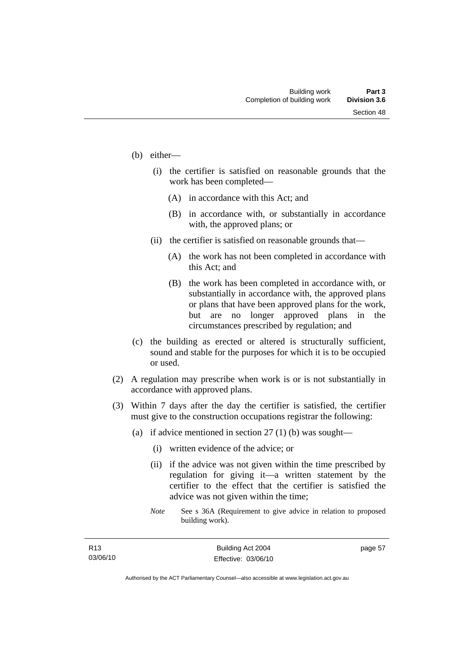- (b) either—
	- (i) the certifier is satisfied on reasonable grounds that the work has been completed—
		- (A) in accordance with this Act; and
		- (B) in accordance with, or substantially in accordance with, the approved plans; or
	- (ii) the certifier is satisfied on reasonable grounds that—
		- (A) the work has not been completed in accordance with this Act; and
		- (B) the work has been completed in accordance with, or substantially in accordance with, the approved plans or plans that have been approved plans for the work, but are no longer approved plans in the circumstances prescribed by regulation; and
- (c) the building as erected or altered is structurally sufficient, sound and stable for the purposes for which it is to be occupied or used.
- (2) A regulation may prescribe when work is or is not substantially in accordance with approved plans.
- (3) Within 7 days after the day the certifier is satisfied, the certifier must give to the construction occupations registrar the following:
	- (a) if advice mentioned in section  $27(1)$  (b) was sought—
		- (i) written evidence of the advice; or
		- (ii) if the advice was not given within the time prescribed by regulation for giving it—a written statement by the certifier to the effect that the certifier is satisfied the advice was not given within the time;
		- *Note* See s 36A (Requirement to give advice in relation to proposed building work).

page 57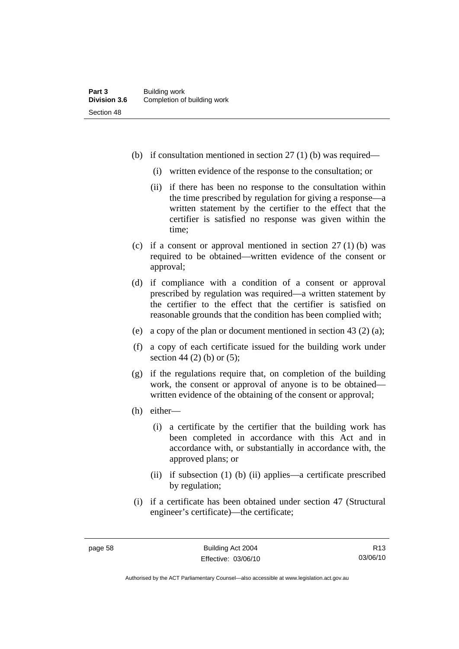- (b) if consultation mentioned in section 27 (1) (b) was required—
	- (i) written evidence of the response to the consultation; or
	- (ii) if there has been no response to the consultation within the time prescribed by regulation for giving a response—a written statement by the certifier to the effect that the certifier is satisfied no response was given within the time;
- (c) if a consent or approval mentioned in section  $27(1)$  (b) was required to be obtained—written evidence of the consent or approval;
- (d) if compliance with a condition of a consent or approval prescribed by regulation was required—a written statement by the certifier to the effect that the certifier is satisfied on reasonable grounds that the condition has been complied with;
- (e) a copy of the plan or document mentioned in section 43 (2) (a);
- (f) a copy of each certificate issued for the building work under section 44 (2) (b) or (5);
- (g) if the regulations require that, on completion of the building work, the consent or approval of anyone is to be obtained written evidence of the obtaining of the consent or approval;
- (h) either—
	- (i) a certificate by the certifier that the building work has been completed in accordance with this Act and in accordance with, or substantially in accordance with, the approved plans; or
	- (ii) if subsection (1) (b) (ii) applies—a certificate prescribed by regulation;
- (i) if a certificate has been obtained under section 47 (Structural engineer's certificate)—the certificate;

R13 03/06/10

Authorised by the ACT Parliamentary Counsel—also accessible at www.legislation.act.gov.au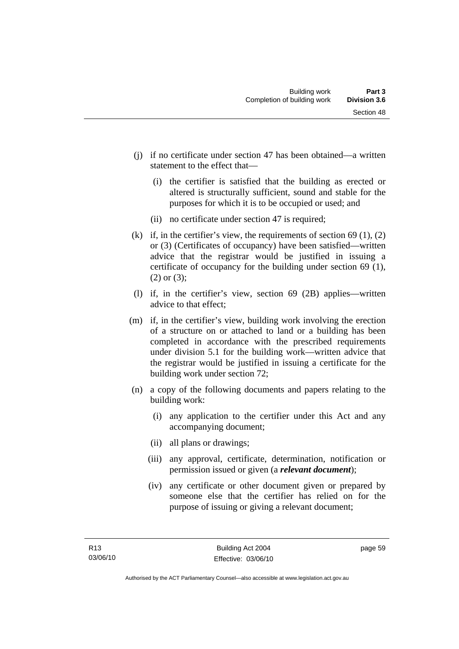- (j) if no certificate under section 47 has been obtained—a written statement to the effect that—
	- (i) the certifier is satisfied that the building as erected or altered is structurally sufficient, sound and stable for the purposes for which it is to be occupied or used; and
	- (ii) no certificate under section 47 is required;
- (k) if, in the certifier's view, the requirements of section  $69(1)$ ,  $(2)$ or (3) (Certificates of occupancy) have been satisfied—written advice that the registrar would be justified in issuing a certificate of occupancy for the building under section 69 (1), (2) or (3);
- (l) if, in the certifier's view, section 69 (2B) applies—written advice to that effect;
- (m) if, in the certifier's view, building work involving the erection of a structure on or attached to land or a building has been completed in accordance with the prescribed requirements under division 5.1 for the building work—written advice that the registrar would be justified in issuing a certificate for the building work under section 72;
- (n) a copy of the following documents and papers relating to the building work:
	- (i) any application to the certifier under this Act and any accompanying document;
	- (ii) all plans or drawings;
	- (iii) any approval, certificate, determination, notification or permission issued or given (a *relevant document*);
	- (iv) any certificate or other document given or prepared by someone else that the certifier has relied on for the purpose of issuing or giving a relevant document;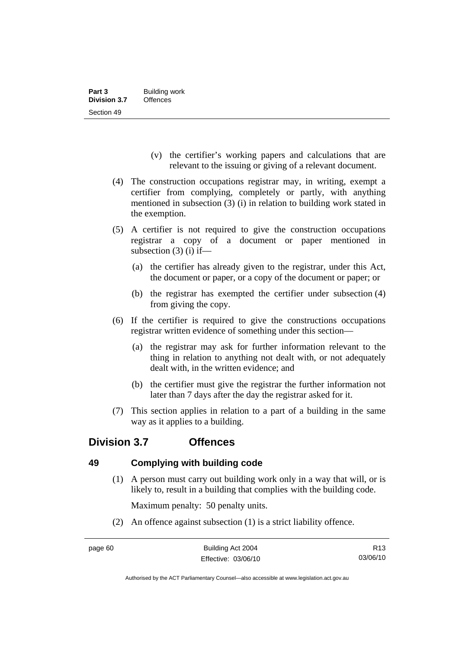- (v) the certifier's working papers and calculations that are relevant to the issuing or giving of a relevant document.
- (4) The construction occupations registrar may, in writing, exempt a certifier from complying, completely or partly, with anything mentioned in subsection (3) (i) in relation to building work stated in the exemption.
- (5) A certifier is not required to give the construction occupations registrar a copy of a document or paper mentioned in subsection  $(3)$  (i) if—
	- (a) the certifier has already given to the registrar, under this Act, the document or paper, or a copy of the document or paper; or
	- (b) the registrar has exempted the certifier under subsection (4) from giving the copy.
- (6) If the certifier is required to give the constructions occupations registrar written evidence of something under this section—
	- (a) the registrar may ask for further information relevant to the thing in relation to anything not dealt with, or not adequately dealt with, in the written evidence; and
	- (b) the certifier must give the registrar the further information not later than 7 days after the day the registrar asked for it.
- (7) This section applies in relation to a part of a building in the same way as it applies to a building.

# **Division 3.7 Offences**

# **49 Complying with building code**

 (1) A person must carry out building work only in a way that will, or is likely to, result in a building that complies with the building code.

Maximum penalty: 50 penalty units.

(2) An offence against subsection (1) is a strict liability offence.

Authorised by the ACT Parliamentary Counsel—also accessible at www.legislation.act.gov.au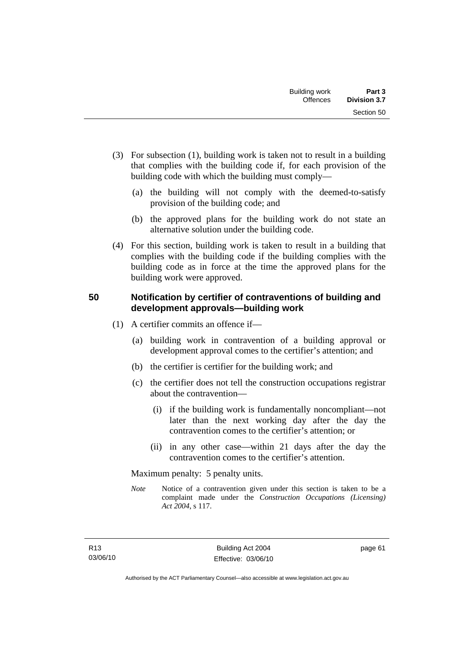- (3) For subsection (1), building work is taken not to result in a building that complies with the building code if, for each provision of the building code with which the building must comply—
	- (a) the building will not comply with the deemed-to-satisfy provision of the building code; and
	- (b) the approved plans for the building work do not state an alternative solution under the building code.
- (4) For this section, building work is taken to result in a building that complies with the building code if the building complies with the building code as in force at the time the approved plans for the building work were approved.

### **50 Notification by certifier of contraventions of building and development approvals—building work**

- (1) A certifier commits an offence if—
	- (a) building work in contravention of a building approval or development approval comes to the certifier's attention; and
	- (b) the certifier is certifier for the building work; and
	- (c) the certifier does not tell the construction occupations registrar about the contravention—
		- (i) if the building work is fundamentally noncompliant—not later than the next working day after the day the contravention comes to the certifier's attention; or
		- (ii) in any other case—within 21 days after the day the contravention comes to the certifier's attention.

Maximum penalty: 5 penalty units.

*Note* Notice of a contravention given under this section is taken to be a complaint made under the *Construction Occupations (Licensing) Act 2004*, s 117.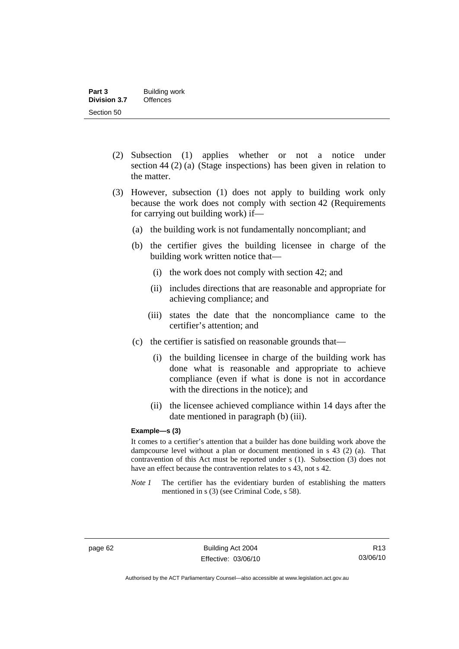- (2) Subsection (1) applies whether or not a notice under section 44 (2) (a) (Stage inspections) has been given in relation to the matter.
- (3) However, subsection (1) does not apply to building work only because the work does not comply with section 42 (Requirements for carrying out building work) if—
	- (a) the building work is not fundamentally noncompliant; and
	- (b) the certifier gives the building licensee in charge of the building work written notice that—
		- (i) the work does not comply with section 42; and
		- (ii) includes directions that are reasonable and appropriate for achieving compliance; and
		- (iii) states the date that the noncompliance came to the certifier's attention; and
	- (c) the certifier is satisfied on reasonable grounds that—
		- (i) the building licensee in charge of the building work has done what is reasonable and appropriate to achieve compliance (even if what is done is not in accordance with the directions in the notice); and
		- (ii) the licensee achieved compliance within 14 days after the date mentioned in paragraph (b) (iii).

#### **Example—s (3)**

It comes to a certifier's attention that a builder has done building work above the dampcourse level without a plan or document mentioned in s 43 (2) (a). That contravention of this Act must be reported under s (1). Subsection (3) does not have an effect because the contravention relates to s 43, not s 42.

*Note 1* The certifier has the evidentiary burden of establishing the matters mentioned in s (3) (see Criminal Code, s 58).

Authorised by the ACT Parliamentary Counsel—also accessible at www.legislation.act.gov.au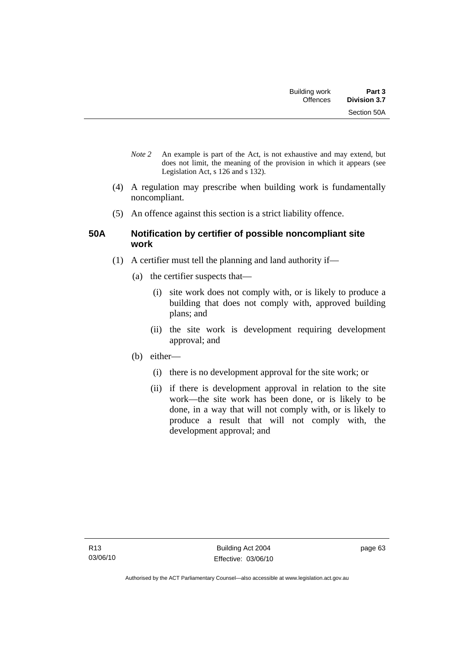- *Note 2* An example is part of the Act, is not exhaustive and may extend, but does not limit, the meaning of the provision in which it appears (see Legislation Act, s 126 and s 132).
- (4) A regulation may prescribe when building work is fundamentally noncompliant.
- (5) An offence against this section is a strict liability offence.

### **50A Notification by certifier of possible noncompliant site work**

- (1) A certifier must tell the planning and land authority if—
	- (a) the certifier suspects that—
		- (i) site work does not comply with, or is likely to produce a building that does not comply with, approved building plans; and
		- (ii) the site work is development requiring development approval; and
	- (b) either—
		- (i) there is no development approval for the site work; or
		- (ii) if there is development approval in relation to the site work—the site work has been done, or is likely to be done, in a way that will not comply with, or is likely to produce a result that will not comply with, the development approval; and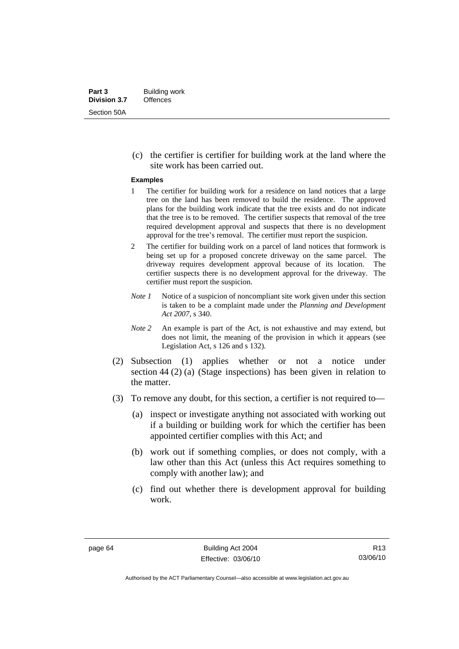(c) the certifier is certifier for building work at the land where the site work has been carried out.

#### **Examples**

- 1 The certifier for building work for a residence on land notices that a large tree on the land has been removed to build the residence. The approved plans for the building work indicate that the tree exists and do not indicate that the tree is to be removed. The certifier suspects that removal of the tree required development approval and suspects that there is no development approval for the tree's removal. The certifier must report the suspicion.
- 2 The certifier for building work on a parcel of land notices that formwork is being set up for a proposed concrete driveway on the same parcel. The driveway requires development approval because of its location. The certifier suspects there is no development approval for the driveway. The certifier must report the suspicion.
- *Note 1* Notice of a suspicion of noncompliant site work given under this section is taken to be a complaint made under the *Planning and Development Act 2007*, s 340.
- *Note 2* An example is part of the Act, is not exhaustive and may extend, but does not limit, the meaning of the provision in which it appears (see Legislation Act, s 126 and s 132).
- (2) Subsection (1) applies whether or not a notice under section 44 (2) (a) (Stage inspections) has been given in relation to the matter.
- (3) To remove any doubt, for this section, a certifier is not required to—
	- (a) inspect or investigate anything not associated with working out if a building or building work for which the certifier has been appointed certifier complies with this Act; and
	- (b) work out if something complies, or does not comply, with a law other than this Act (unless this Act requires something to comply with another law); and
	- (c) find out whether there is development approval for building work.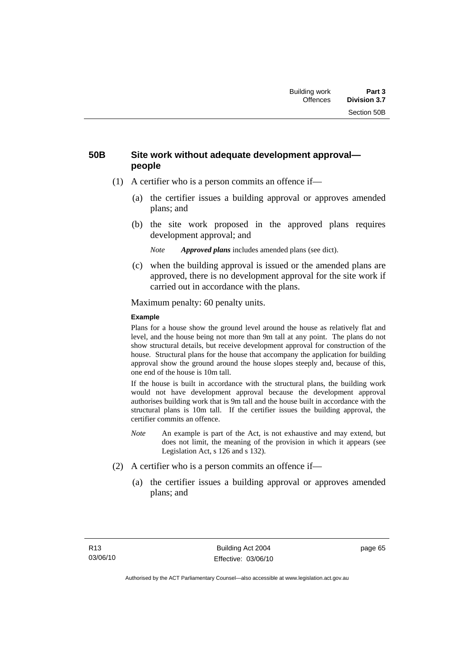### **50B Site work without adequate development approval people**

- (1) A certifier who is a person commits an offence if—
	- (a) the certifier issues a building approval or approves amended plans; and
	- (b) the site work proposed in the approved plans requires development approval; and

*Note Approved plans* includes amended plans (see dict).

 (c) when the building approval is issued or the amended plans are approved, there is no development approval for the site work if carried out in accordance with the plans.

Maximum penalty: 60 penalty units.

### **Example**

Plans for a house show the ground level around the house as relatively flat and level, and the house being not more than 9m tall at any point. The plans do not show structural details, but receive development approval for construction of the house. Structural plans for the house that accompany the application for building approval show the ground around the house slopes steeply and, because of this, one end of the house is 10m tall.

If the house is built in accordance with the structural plans, the building work would not have development approval because the development approval authorises building work that is 9m tall and the house built in accordance with the structural plans is 10m tall. If the certifier issues the building approval, the certifier commits an offence.

- *Note* An example is part of the Act, is not exhaustive and may extend, but does not limit, the meaning of the provision in which it appears (see Legislation Act, s 126 and s 132).
- (2) A certifier who is a person commits an offence if—
	- (a) the certifier issues a building approval or approves amended plans; and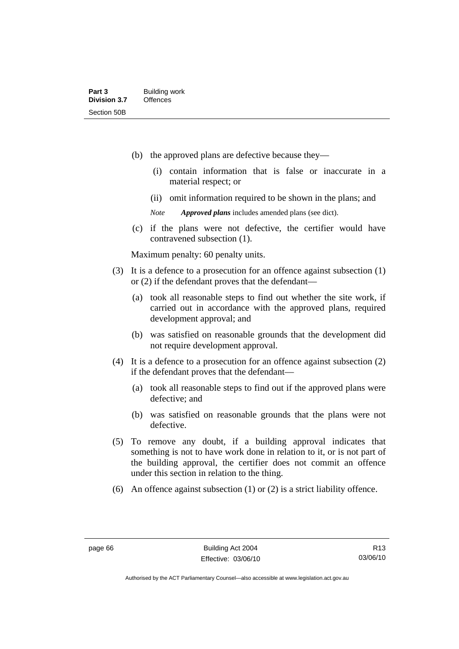- (b) the approved plans are defective because they—
	- (i) contain information that is false or inaccurate in a material respect; or
	- (ii) omit information required to be shown in the plans; and
	- *Note Approved plans* includes amended plans (see dict).
- (c) if the plans were not defective, the certifier would have contravened subsection (1).

Maximum penalty: 60 penalty units.

- (3) It is a defence to a prosecution for an offence against subsection (1) or (2) if the defendant proves that the defendant—
	- (a) took all reasonable steps to find out whether the site work, if carried out in accordance with the approved plans, required development approval; and
	- (b) was satisfied on reasonable grounds that the development did not require development approval.
- (4) It is a defence to a prosecution for an offence against subsection (2) if the defendant proves that the defendant—
	- (a) took all reasonable steps to find out if the approved plans were defective; and
	- (b) was satisfied on reasonable grounds that the plans were not defective.
- (5) To remove any doubt, if a building approval indicates that something is not to have work done in relation to it, or is not part of the building approval, the certifier does not commit an offence under this section in relation to the thing.
- (6) An offence against subsection (1) or (2) is a strict liability offence.

R13 03/06/10

Authorised by the ACT Parliamentary Counsel—also accessible at www.legislation.act.gov.au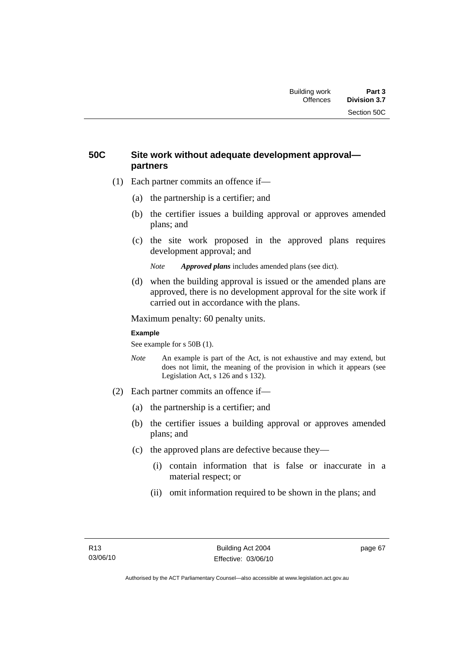### **50C Site work without adequate development approval partners**

- (1) Each partner commits an offence if—
	- (a) the partnership is a certifier; and
	- (b) the certifier issues a building approval or approves amended plans; and
	- (c) the site work proposed in the approved plans requires development approval; and

*Note Approved plans* includes amended plans (see dict).

 (d) when the building approval is issued or the amended plans are approved, there is no development approval for the site work if carried out in accordance with the plans.

Maximum penalty: 60 penalty units.

### **Example**

See example for s 50B (1).

- *Note* An example is part of the Act, is not exhaustive and may extend, but does not limit, the meaning of the provision in which it appears (see Legislation Act, s 126 and s 132).
- (2) Each partner commits an offence if—
	- (a) the partnership is a certifier; and
	- (b) the certifier issues a building approval or approves amended plans; and
	- (c) the approved plans are defective because they—
		- (i) contain information that is false or inaccurate in a material respect; or
		- (ii) omit information required to be shown in the plans; and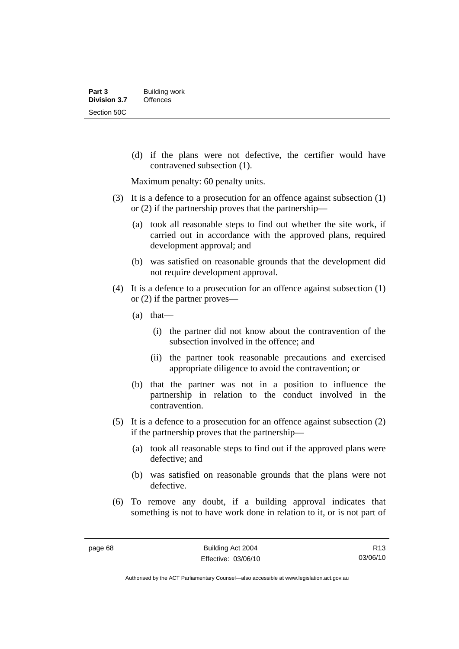(d) if the plans were not defective, the certifier would have contravened subsection (1).

Maximum penalty: 60 penalty units.

- (3) It is a defence to a prosecution for an offence against subsection (1) or (2) if the partnership proves that the partnership—
	- (a) took all reasonable steps to find out whether the site work, if carried out in accordance with the approved plans, required development approval; and
	- (b) was satisfied on reasonable grounds that the development did not require development approval.
- (4) It is a defence to a prosecution for an offence against subsection (1) or (2) if the partner proves—
	- (a) that—
		- (i) the partner did not know about the contravention of the subsection involved in the offence; and
		- (ii) the partner took reasonable precautions and exercised appropriate diligence to avoid the contravention; or
	- (b) that the partner was not in a position to influence the partnership in relation to the conduct involved in the contravention.
- (5) It is a defence to a prosecution for an offence against subsection (2) if the partnership proves that the partnership—
	- (a) took all reasonable steps to find out if the approved plans were defective; and
	- (b) was satisfied on reasonable grounds that the plans were not defective.
- (6) To remove any doubt, if a building approval indicates that something is not to have work done in relation to it, or is not part of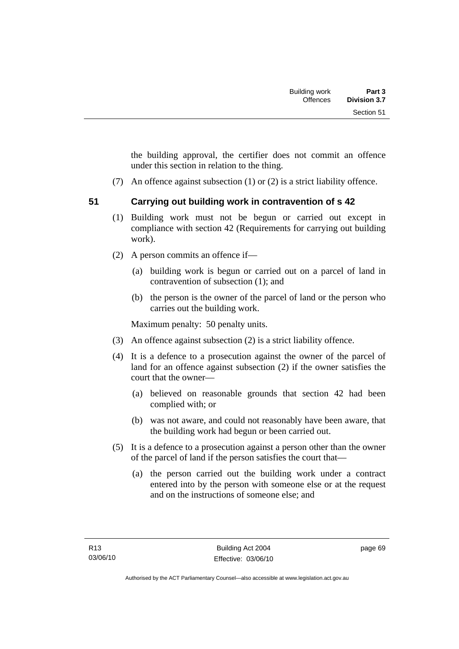the building approval, the certifier does not commit an offence under this section in relation to the thing.

- (7) An offence against subsection (1) or (2) is a strict liability offence.
- 

# **51 Carrying out building work in contravention of s 42**

- (1) Building work must not be begun or carried out except in compliance with section 42 (Requirements for carrying out building work).
- (2) A person commits an offence if—
	- (a) building work is begun or carried out on a parcel of land in contravention of subsection (1); and
	- (b) the person is the owner of the parcel of land or the person who carries out the building work.

Maximum penalty: 50 penalty units.

- (3) An offence against subsection (2) is a strict liability offence.
- (4) It is a defence to a prosecution against the owner of the parcel of land for an offence against subsection (2) if the owner satisfies the court that the owner—
	- (a) believed on reasonable grounds that section 42 had been complied with; or
	- (b) was not aware, and could not reasonably have been aware, that the building work had begun or been carried out.
- (5) It is a defence to a prosecution against a person other than the owner of the parcel of land if the person satisfies the court that—
	- (a) the person carried out the building work under a contract entered into by the person with someone else or at the request and on the instructions of someone else; and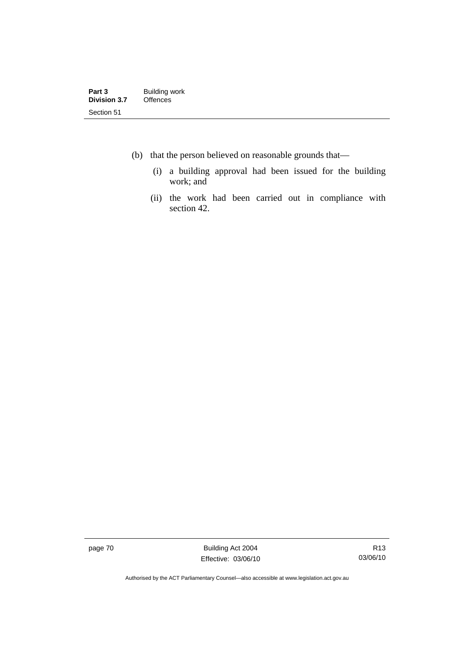- (b) that the person believed on reasonable grounds that—
	- (i) a building approval had been issued for the building work; and
	- (ii) the work had been carried out in compliance with section 42.

page 70 Building Act 2004 Effective: 03/06/10

Authorised by the ACT Parliamentary Counsel—also accessible at www.legislation.act.gov.au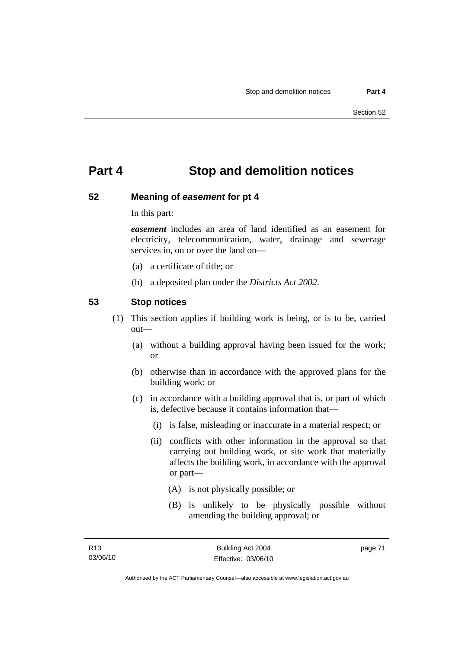# **Part 4 Stop and demolition notices**

### **52 Meaning of** *easement* **for pt 4**

In this part:

*easement* includes an area of land identified as an easement for electricity, telecommunication, water, drainage and sewerage services in, on or over the land on—

- (a) a certificate of title; or
- (b) a deposited plan under the *Districts Act 2002*.

### **53 Stop notices**

- (1) This section applies if building work is being, or is to be, carried out—
	- (a) without a building approval having been issued for the work; or
	- (b) otherwise than in accordance with the approved plans for the building work; or
	- (c) in accordance with a building approval that is, or part of which is, defective because it contains information that—
		- (i) is false, misleading or inaccurate in a material respect; or
		- (ii) conflicts with other information in the approval so that carrying out building work, or site work that materially affects the building work, in accordance with the approval or part—
			- (A) is not physically possible; or
			- (B) is unlikely to be physically possible without amending the building approval; or

page 71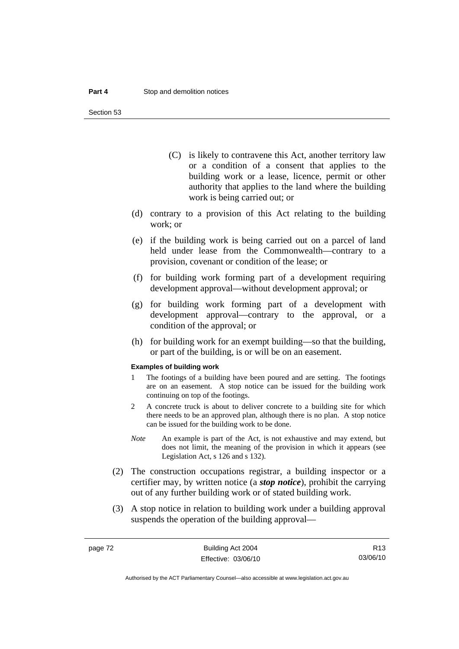Section 53

- (C) is likely to contravene this Act, another territory law or a condition of a consent that applies to the building work or a lease, licence, permit or other authority that applies to the land where the building work is being carried out; or
- (d) contrary to a provision of this Act relating to the building work; or
- (e) if the building work is being carried out on a parcel of land held under lease from the Commonwealth—contrary to a provision, covenant or condition of the lease; or
- (f) for building work forming part of a development requiring development approval—without development approval; or
- (g) for building work forming part of a development with development approval—contrary to the approval, or a condition of the approval; or
- (h) for building work for an exempt building—so that the building, or part of the building, is or will be on an easement.

#### **Examples of building work**

- 1 The footings of a building have been poured and are setting. The footings are on an easement. A stop notice can be issued for the building work continuing on top of the footings.
- 2 A concrete truck is about to deliver concrete to a building site for which there needs to be an approved plan, although there is no plan. A stop notice can be issued for the building work to be done.
- *Note* An example is part of the Act, is not exhaustive and may extend, but does not limit, the meaning of the provision in which it appears (see Legislation Act, s 126 and s 132).
- (2) The construction occupations registrar, a building inspector or a certifier may, by written notice (a *stop notice*), prohibit the carrying out of any further building work or of stated building work.
- (3) A stop notice in relation to building work under a building approval suspends the operation of the building approval—

R13 03/06/10

Authorised by the ACT Parliamentary Counsel—also accessible at www.legislation.act.gov.au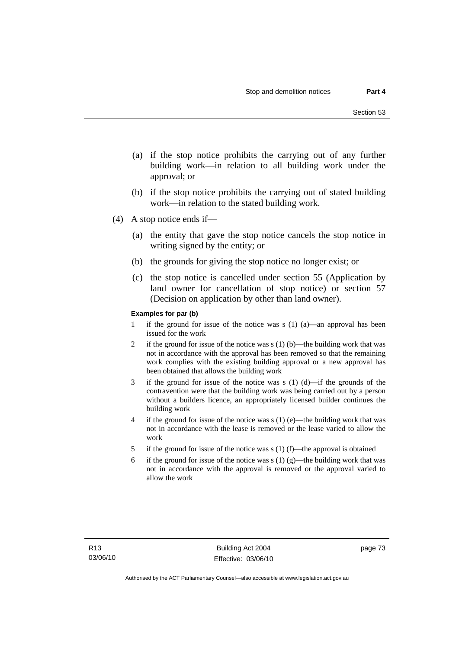- (a) if the stop notice prohibits the carrying out of any further building work—in relation to all building work under the approval; or
- (b) if the stop notice prohibits the carrying out of stated building work—in relation to the stated building work.
- (4) A stop notice ends if—
	- (a) the entity that gave the stop notice cancels the stop notice in writing signed by the entity; or
	- (b) the grounds for giving the stop notice no longer exist; or
	- (c) the stop notice is cancelled under section 55 (Application by land owner for cancellation of stop notice) or section 57 (Decision on application by other than land owner).

#### **Examples for par (b)**

- 1 if the ground for issue of the notice was s (1) (a)—an approval has been issued for the work
- 2 if the ground for issue of the notice was s  $(1)$  (b)—the building work that was not in accordance with the approval has been removed so that the remaining work complies with the existing building approval or a new approval has been obtained that allows the building work
- 3 if the ground for issue of the notice was s (1) (d)—if the grounds of the contravention were that the building work was being carried out by a person without a builders licence, an appropriately licensed builder continues the building work
- 4 if the ground for issue of the notice was  $s(1)$  (e)—the building work that was not in accordance with the lease is removed or the lease varied to allow the work
- 5 if the ground for issue of the notice was s (1) (f)—the approval is obtained
- 6 if the ground for issue of the notice was s (1) (g)—the building work that was not in accordance with the approval is removed or the approval varied to allow the work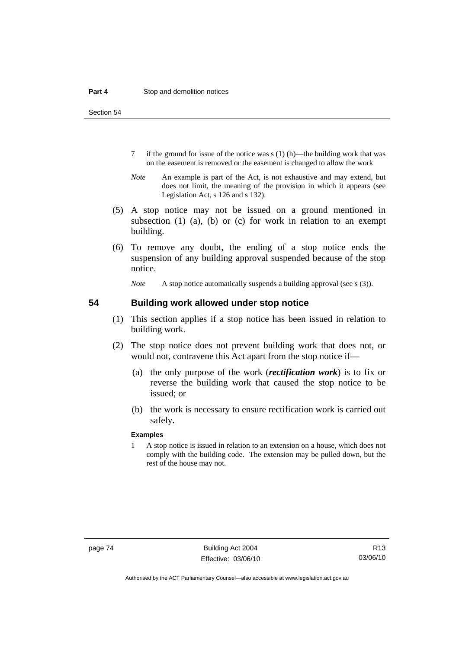Section 54

- 7 if the ground for issue of the notice was s (1) (h)—the building work that was on the easement is removed or the easement is changed to allow the work
- *Note* An example is part of the Act, is not exhaustive and may extend, but does not limit, the meaning of the provision in which it appears (see Legislation Act, s 126 and s 132).
- (5) A stop notice may not be issued on a ground mentioned in subsection (1) (a), (b) or (c) for work in relation to an exempt building.
- (6) To remove any doubt, the ending of a stop notice ends the suspension of any building approval suspended because of the stop notice.

*Note* A stop notice automatically suspends a building approval (see s (3)).

### **54 Building work allowed under stop notice**

- (1) This section applies if a stop notice has been issued in relation to building work.
- (2) The stop notice does not prevent building work that does not, or would not, contravene this Act apart from the stop notice if—
	- (a) the only purpose of the work (*rectification work*) is to fix or reverse the building work that caused the stop notice to be issued; or
	- (b) the work is necessary to ensure rectification work is carried out safely.

#### **Examples**

1 A stop notice is issued in relation to an extension on a house, which does not comply with the building code. The extension may be pulled down, but the rest of the house may not.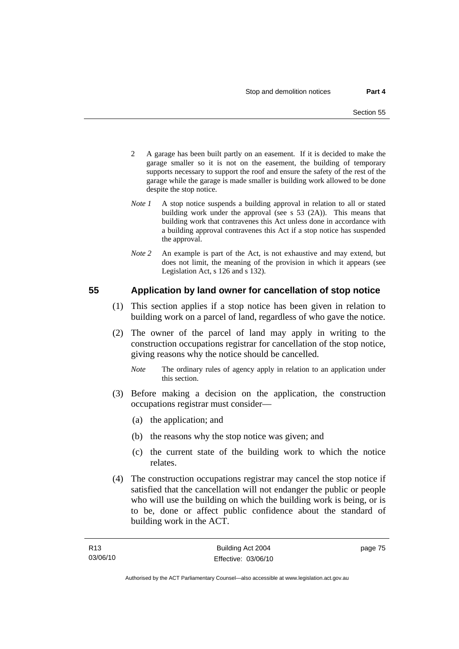- 2 A garage has been built partly on an easement. If it is decided to make the garage smaller so it is not on the easement, the building of temporary supports necessary to support the roof and ensure the safety of the rest of the garage while the garage is made smaller is building work allowed to be done despite the stop notice.
- *Note 1* A stop notice suspends a building approval in relation to all or stated building work under the approval (see s 53 (2A)). This means that building work that contravenes this Act unless done in accordance with a building approval contravenes this Act if a stop notice has suspended the approval.
- *Note 2* An example is part of the Act, is not exhaustive and may extend, but does not limit, the meaning of the provision in which it appears (see Legislation Act, s 126 and s 132).

### **55 Application by land owner for cancellation of stop notice**

- (1) This section applies if a stop notice has been given in relation to building work on a parcel of land, regardless of who gave the notice.
- (2) The owner of the parcel of land may apply in writing to the construction occupations registrar for cancellation of the stop notice, giving reasons why the notice should be cancelled.
	- *Note* The ordinary rules of agency apply in relation to an application under this section.
- (3) Before making a decision on the application, the construction occupations registrar must consider—
	- (a) the application; and
	- (b) the reasons why the stop notice was given; and
	- (c) the current state of the building work to which the notice relates.
- (4) The construction occupations registrar may cancel the stop notice if satisfied that the cancellation will not endanger the public or people who will use the building on which the building work is being, or is to be, done or affect public confidence about the standard of building work in the ACT.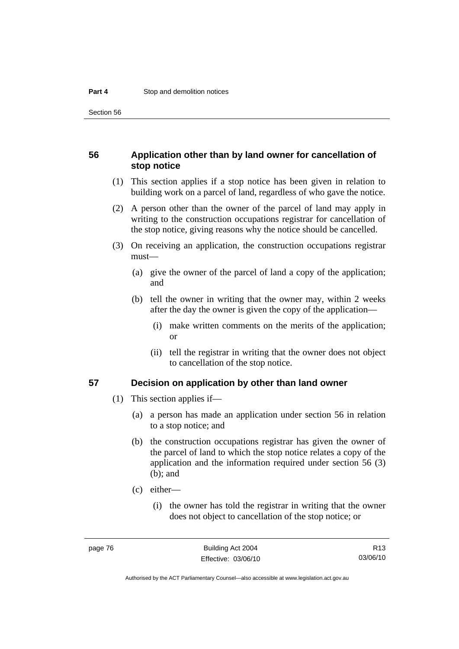Section 56

### **56 Application other than by land owner for cancellation of stop notice**

- (1) This section applies if a stop notice has been given in relation to building work on a parcel of land, regardless of who gave the notice.
- (2) A person other than the owner of the parcel of land may apply in writing to the construction occupations registrar for cancellation of the stop notice, giving reasons why the notice should be cancelled.
- (3) On receiving an application, the construction occupations registrar must—
	- (a) give the owner of the parcel of land a copy of the application; and
	- (b) tell the owner in writing that the owner may, within 2 weeks after the day the owner is given the copy of the application—
		- (i) make written comments on the merits of the application; or
		- (ii) tell the registrar in writing that the owner does not object to cancellation of the stop notice.

### **57 Decision on application by other than land owner**

- (1) This section applies if—
	- (a) a person has made an application under section 56 in relation to a stop notice; and
	- (b) the construction occupations registrar has given the owner of the parcel of land to which the stop notice relates a copy of the application and the information required under section 56 (3) (b); and
	- (c) either—
		- (i) the owner has told the registrar in writing that the owner does not object to cancellation of the stop notice; or

R13 03/06/10

Authorised by the ACT Parliamentary Counsel—also accessible at www.legislation.act.gov.au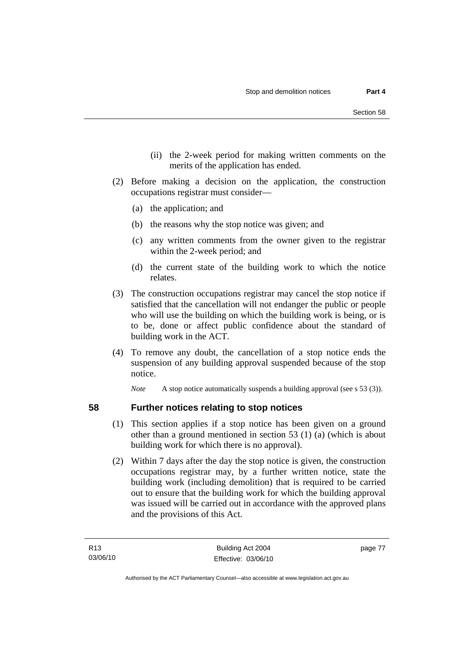- (ii) the 2-week period for making written comments on the merits of the application has ended.
- (2) Before making a decision on the application, the construction occupations registrar must consider—
	- (a) the application; and
	- (b) the reasons why the stop notice was given; and
	- (c) any written comments from the owner given to the registrar within the 2-week period; and
	- (d) the current state of the building work to which the notice relates.
- (3) The construction occupations registrar may cancel the stop notice if satisfied that the cancellation will not endanger the public or people who will use the building on which the building work is being, or is to be, done or affect public confidence about the standard of building work in the ACT.
- (4) To remove any doubt, the cancellation of a stop notice ends the suspension of any building approval suspended because of the stop notice.

*Note* A stop notice automatically suspends a building approval (see s 53 (3)).

- **58 Further notices relating to stop notices** 
	- (1) This section applies if a stop notice has been given on a ground other than a ground mentioned in section 53 (1) (a) (which is about building work for which there is no approval).
	- (2) Within 7 days after the day the stop notice is given, the construction occupations registrar may, by a further written notice, state the building work (including demolition) that is required to be carried out to ensure that the building work for which the building approval was issued will be carried out in accordance with the approved plans and the provisions of this Act.

page 77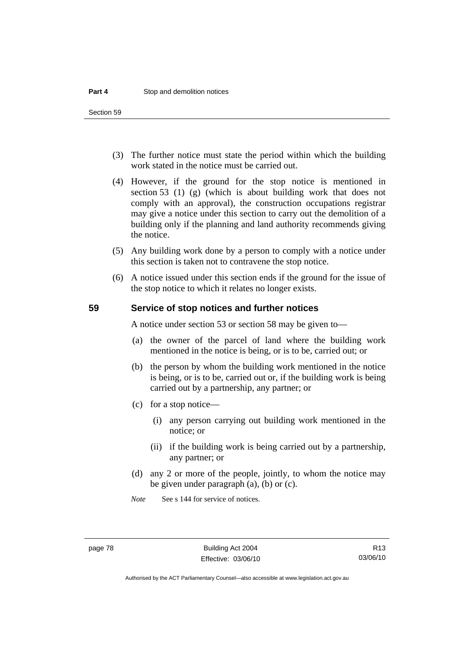Section 59

- (3) The further notice must state the period within which the building work stated in the notice must be carried out.
- (4) However, if the ground for the stop notice is mentioned in section 53 (1) (g) (which is about building work that does not comply with an approval), the construction occupations registrar may give a notice under this section to carry out the demolition of a building only if the planning and land authority recommends giving the notice.
- (5) Any building work done by a person to comply with a notice under this section is taken not to contravene the stop notice.
- (6) A notice issued under this section ends if the ground for the issue of the stop notice to which it relates no longer exists.

### **59 Service of stop notices and further notices**

A notice under section 53 or section 58 may be given to—

- (a) the owner of the parcel of land where the building work mentioned in the notice is being, or is to be, carried out; or
- (b) the person by whom the building work mentioned in the notice is being, or is to be, carried out or, if the building work is being carried out by a partnership, any partner; or
- (c) for a stop notice—
	- (i) any person carrying out building work mentioned in the notice; or
	- (ii) if the building work is being carried out by a partnership, any partner; or
- (d) any 2 or more of the people, jointly, to whom the notice may be given under paragraph (a), (b) or (c).

*Note* See s 144 for service of notices.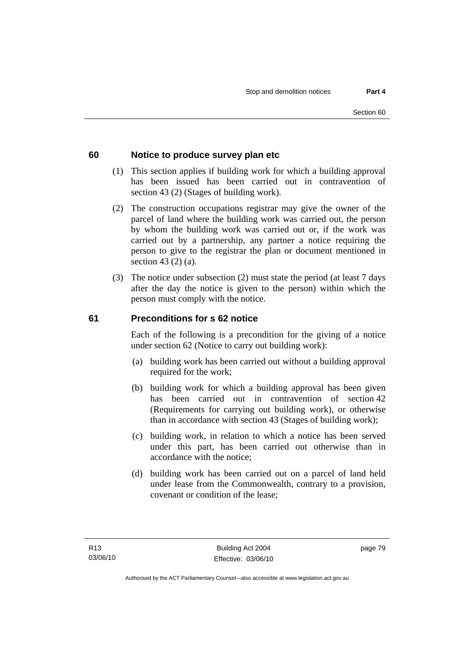### **60 Notice to produce survey plan etc**

- (1) This section applies if building work for which a building approval has been issued has been carried out in contravention of section 43 (2) (Stages of building work).
- (2) The construction occupations registrar may give the owner of the parcel of land where the building work was carried out, the person by whom the building work was carried out or, if the work was carried out by a partnership, any partner a notice requiring the person to give to the registrar the plan or document mentioned in section 43 (2) (a).
- (3) The notice under subsection (2) must state the period (at least 7 days after the day the notice is given to the person) within which the person must comply with the notice.

### **61 Preconditions for s 62 notice**

Each of the following is a precondition for the giving of a notice under section 62 (Notice to carry out building work):

- (a) building work has been carried out without a building approval required for the work;
- (b) building work for which a building approval has been given has been carried out in contravention of section 42 (Requirements for carrying out building work), or otherwise than in accordance with section 43 (Stages of building work);
- (c) building work, in relation to which a notice has been served under this part, has been carried out otherwise than in accordance with the notice;
- (d) building work has been carried out on a parcel of land held under lease from the Commonwealth, contrary to a provision, covenant or condition of the lease;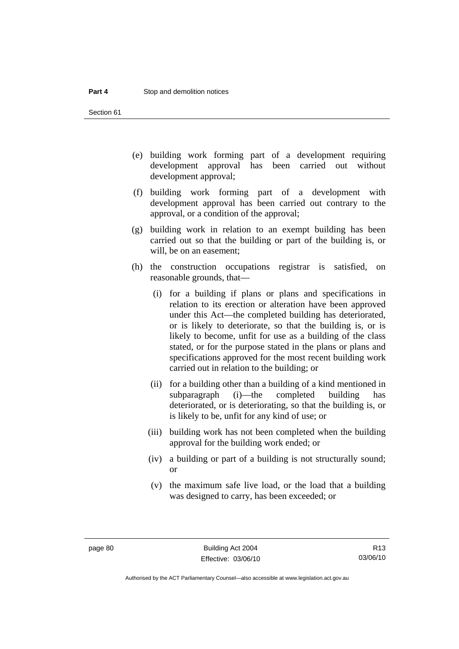Section 61

- (e) building work forming part of a development requiring development approval has been carried out without development approval;
- (f) building work forming part of a development with development approval has been carried out contrary to the approval, or a condition of the approval;
- (g) building work in relation to an exempt building has been carried out so that the building or part of the building is, or will, be on an easement;
- (h) the construction occupations registrar is satisfied, on reasonable grounds, that—
	- (i) for a building if plans or plans and specifications in relation to its erection or alteration have been approved under this Act—the completed building has deteriorated, or is likely to deteriorate, so that the building is, or is likely to become, unfit for use as a building of the class stated, or for the purpose stated in the plans or plans and specifications approved for the most recent building work carried out in relation to the building; or
	- (ii) for a building other than a building of a kind mentioned in subparagraph (i)—the completed building has deteriorated, or is deteriorating, so that the building is, or is likely to be, unfit for any kind of use; or
	- (iii) building work has not been completed when the building approval for the building work ended; or
	- (iv) a building or part of a building is not structurally sound; or
	- (v) the maximum safe live load, or the load that a building was designed to carry, has been exceeded; or

R13 03/06/10

Authorised by the ACT Parliamentary Counsel—also accessible at www.legislation.act.gov.au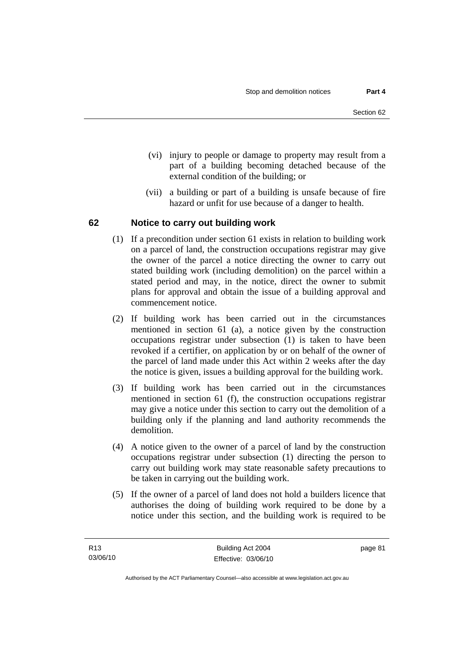- (vi) injury to people or damage to property may result from a part of a building becoming detached because of the external condition of the building; or
- (vii) a building or part of a building is unsafe because of fire hazard or unfit for use because of a danger to health.

### **62 Notice to carry out building work**

- (1) If a precondition under section 61 exists in relation to building work on a parcel of land, the construction occupations registrar may give the owner of the parcel a notice directing the owner to carry out stated building work (including demolition) on the parcel within a stated period and may, in the notice, direct the owner to submit plans for approval and obtain the issue of a building approval and commencement notice.
- (2) If building work has been carried out in the circumstances mentioned in section 61 (a), a notice given by the construction occupations registrar under subsection (1) is taken to have been revoked if a certifier, on application by or on behalf of the owner of the parcel of land made under this Act within 2 weeks after the day the notice is given, issues a building approval for the building work.
- (3) If building work has been carried out in the circumstances mentioned in section 61 (f), the construction occupations registrar may give a notice under this section to carry out the demolition of a building only if the planning and land authority recommends the demolition.
- (4) A notice given to the owner of a parcel of land by the construction occupations registrar under subsection (1) directing the person to carry out building work may state reasonable safety precautions to be taken in carrying out the building work.
- (5) If the owner of a parcel of land does not hold a builders licence that authorises the doing of building work required to be done by a notice under this section, and the building work is required to be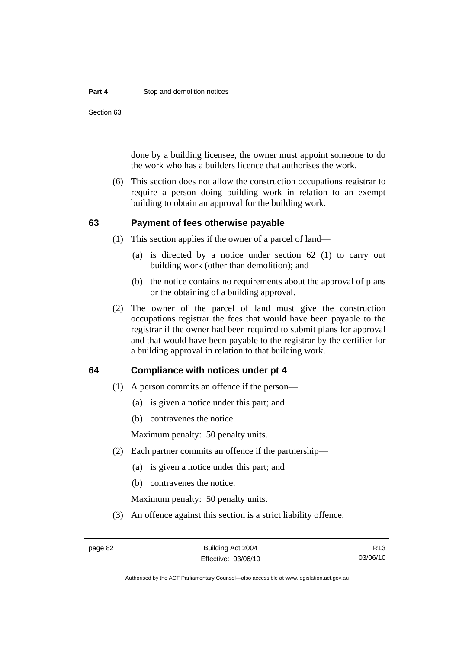#### **Part 4 Stop and demolition notices**

Section 63

done by a building licensee, the owner must appoint someone to do the work who has a builders licence that authorises the work.

 (6) This section does not allow the construction occupations registrar to require a person doing building work in relation to an exempt building to obtain an approval for the building work.

### **63 Payment of fees otherwise payable**

- (1) This section applies if the owner of a parcel of land—
	- (a) is directed by a notice under section 62 (1) to carry out building work (other than demolition); and
	- (b) the notice contains no requirements about the approval of plans or the obtaining of a building approval.
- (2) The owner of the parcel of land must give the construction occupations registrar the fees that would have been payable to the registrar if the owner had been required to submit plans for approval and that would have been payable to the registrar by the certifier for a building approval in relation to that building work.

### **64 Compliance with notices under pt 4**

- (1) A person commits an offence if the person—
	- (a) is given a notice under this part; and
	- (b) contravenes the notice.

Maximum penalty: 50 penalty units.

- (2) Each partner commits an offence if the partnership—
	- (a) is given a notice under this part; and
	- (b) contravenes the notice.

Maximum penalty: 50 penalty units.

(3) An offence against this section is a strict liability offence.

Authorised by the ACT Parliamentary Counsel—also accessible at www.legislation.act.gov.au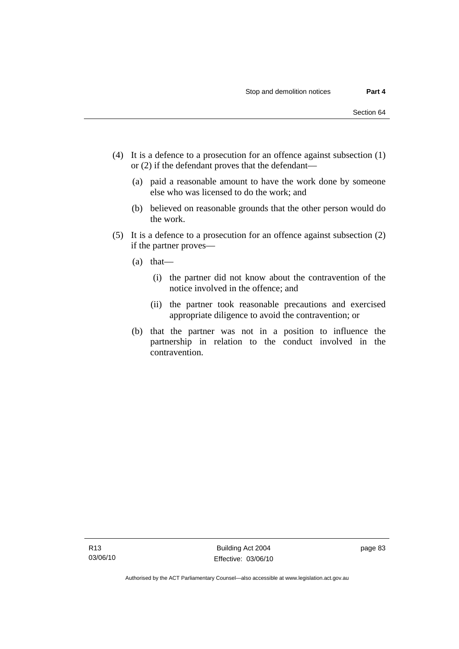- (4) It is a defence to a prosecution for an offence against subsection (1) or (2) if the defendant proves that the defendant—
	- (a) paid a reasonable amount to have the work done by someone else who was licensed to do the work; and
	- (b) believed on reasonable grounds that the other person would do the work.
- (5) It is a defence to a prosecution for an offence against subsection (2) if the partner proves—
	- (a) that—
		- (i) the partner did not know about the contravention of the notice involved in the offence; and
		- (ii) the partner took reasonable precautions and exercised appropriate diligence to avoid the contravention; or
	- (b) that the partner was not in a position to influence the partnership in relation to the conduct involved in the contravention.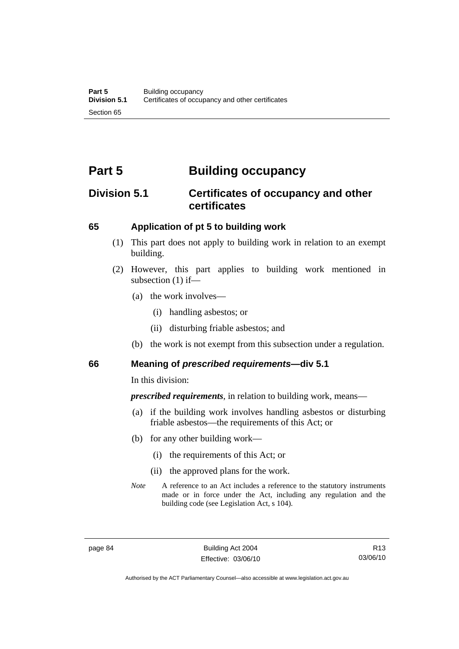# **Part 5 Building occupancy**

# **Division 5.1 Certificates of occupancy and other certificates**

### **65 Application of pt 5 to building work**

- (1) This part does not apply to building work in relation to an exempt building.
- (2) However, this part applies to building work mentioned in subsection (1) if—
	- (a) the work involves—
		- (i) handling asbestos; or
		- (ii) disturbing friable asbestos; and
	- (b) the work is not exempt from this subsection under a regulation.

### **66 Meaning of** *prescribed requirements***—div 5.1**

In this division:

*prescribed requirements*, in relation to building work, means—

- (a) if the building work involves handling asbestos or disturbing friable asbestos—the requirements of this Act; or
- (b) for any other building work—
	- (i) the requirements of this Act; or
	- (ii) the approved plans for the work.
- *Note* A reference to an Act includes a reference to the statutory instruments made or in force under the Act, including any regulation and the building code (see Legislation Act, s 104).

R13 03/06/10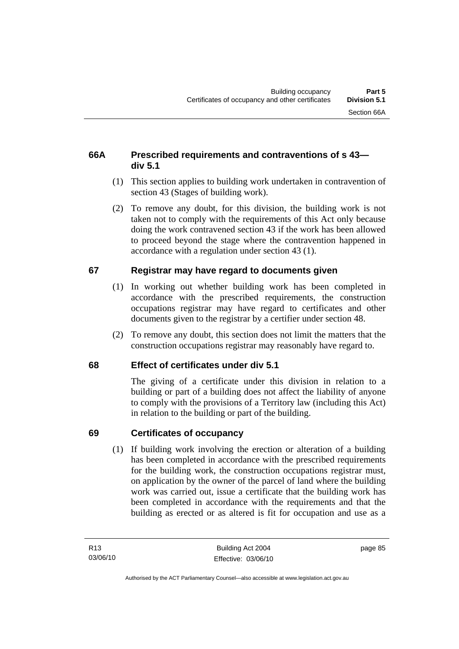### **66A Prescribed requirements and contraventions of s 43 div 5.1**

- (1) This section applies to building work undertaken in contravention of section 43 (Stages of building work).
- (2) To remove any doubt, for this division, the building work is not taken not to comply with the requirements of this Act only because doing the work contravened section 43 if the work has been allowed to proceed beyond the stage where the contravention happened in accordance with a regulation under section 43 (1).

# **67 Registrar may have regard to documents given**

- (1) In working out whether building work has been completed in accordance with the prescribed requirements, the construction occupations registrar may have regard to certificates and other documents given to the registrar by a certifier under section 48.
- (2) To remove any doubt, this section does not limit the matters that the construction occupations registrar may reasonably have regard to.

# **68 Effect of certificates under div 5.1**

The giving of a certificate under this division in relation to a building or part of a building does not affect the liability of anyone to comply with the provisions of a Territory law (including this Act) in relation to the building or part of the building.

# **69 Certificates of occupancy**

 (1) If building work involving the erection or alteration of a building has been completed in accordance with the prescribed requirements for the building work, the construction occupations registrar must, on application by the owner of the parcel of land where the building work was carried out, issue a certificate that the building work has been completed in accordance with the requirements and that the building as erected or as altered is fit for occupation and use as a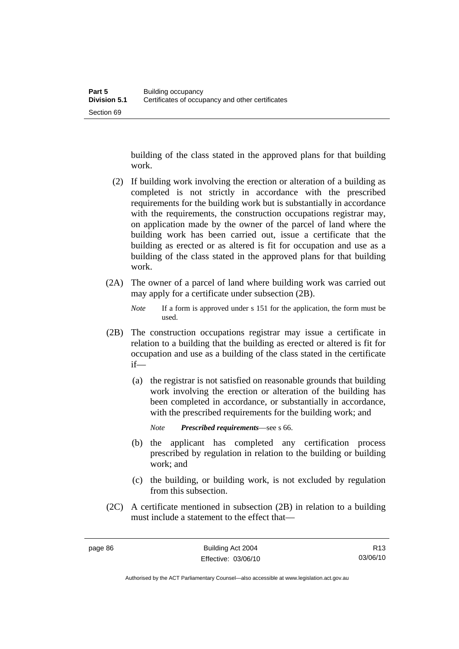building of the class stated in the approved plans for that building work.

- (2) If building work involving the erection or alteration of a building as completed is not strictly in accordance with the prescribed requirements for the building work but is substantially in accordance with the requirements, the construction occupations registrar may, on application made by the owner of the parcel of land where the building work has been carried out, issue a certificate that the building as erected or as altered is fit for occupation and use as a building of the class stated in the approved plans for that building work.
- (2A) The owner of a parcel of land where building work was carried out may apply for a certificate under subsection (2B).
	- *Note* If a form is approved under s 151 for the application, the form must be used.
- (2B) The construction occupations registrar may issue a certificate in relation to a building that the building as erected or altered is fit for occupation and use as a building of the class stated in the certificate if—
	- (a) the registrar is not satisfied on reasonable grounds that building work involving the erection or alteration of the building has been completed in accordance, or substantially in accordance, with the prescribed requirements for the building work; and
		- *Note Prescribed requirements*—see s 66.
	- (b) the applicant has completed any certification process prescribed by regulation in relation to the building or building work; and
	- (c) the building, or building work, is not excluded by regulation from this subsection.
- (2C) A certificate mentioned in subsection (2B) in relation to a building must include a statement to the effect that—

Authorised by the ACT Parliamentary Counsel—also accessible at www.legislation.act.gov.au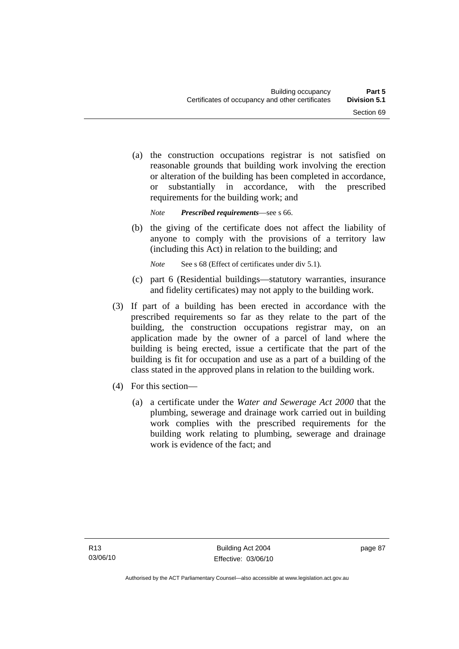(a) the construction occupations registrar is not satisfied on reasonable grounds that building work involving the erection or alteration of the building has been completed in accordance, or substantially in accordance, with the prescribed requirements for the building work; and

*Note Prescribed requirements*—see s 66.

 (b) the giving of the certificate does not affect the liability of anyone to comply with the provisions of a territory law (including this Act) in relation to the building; and

*Note* See s 68 (Effect of certificates under div 5.1).

- (c) part 6 (Residential buildings—statutory warranties, insurance and fidelity certificates) may not apply to the building work.
- (3) If part of a building has been erected in accordance with the prescribed requirements so far as they relate to the part of the building, the construction occupations registrar may, on an application made by the owner of a parcel of land where the building is being erected, issue a certificate that the part of the building is fit for occupation and use as a part of a building of the class stated in the approved plans in relation to the building work.
- (4) For this section—
	- (a) a certificate under the *Water and Sewerage Act 2000* that the plumbing, sewerage and drainage work carried out in building work complies with the prescribed requirements for the building work relating to plumbing, sewerage and drainage work is evidence of the fact: and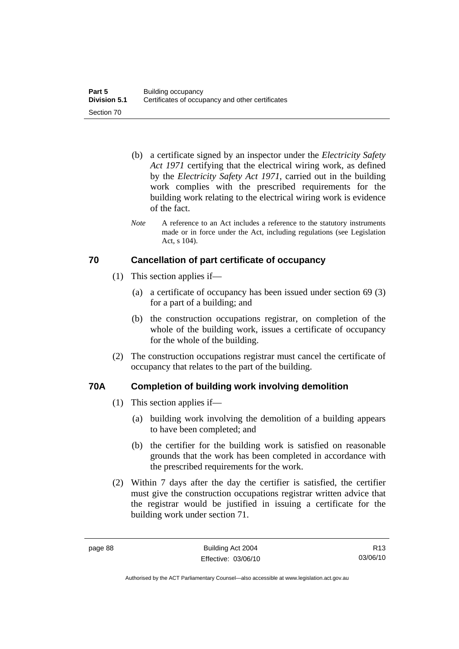- (b) a certificate signed by an inspector under the *Electricity Safety Act 1971* certifying that the electrical wiring work, as defined by the *Electricity Safety Act 1971*, carried out in the building work complies with the prescribed requirements for the building work relating to the electrical wiring work is evidence of the fact.
- *Note* A reference to an Act includes a reference to the statutory instruments made or in force under the Act, including regulations (see Legislation Act, s 104).

### **70 Cancellation of part certificate of occupancy**

- (1) This section applies if—
	- (a) a certificate of occupancy has been issued under section 69 (3) for a part of a building; and
	- (b) the construction occupations registrar, on completion of the whole of the building work, issues a certificate of occupancy for the whole of the building.
- (2) The construction occupations registrar must cancel the certificate of occupancy that relates to the part of the building.

# **70A Completion of building work involving demolition**

- (1) This section applies if—
	- (a) building work involving the demolition of a building appears to have been completed; and
	- (b) the certifier for the building work is satisfied on reasonable grounds that the work has been completed in accordance with the prescribed requirements for the work.
- (2) Within 7 days after the day the certifier is satisfied, the certifier must give the construction occupations registrar written advice that the registrar would be justified in issuing a certificate for the building work under section 71.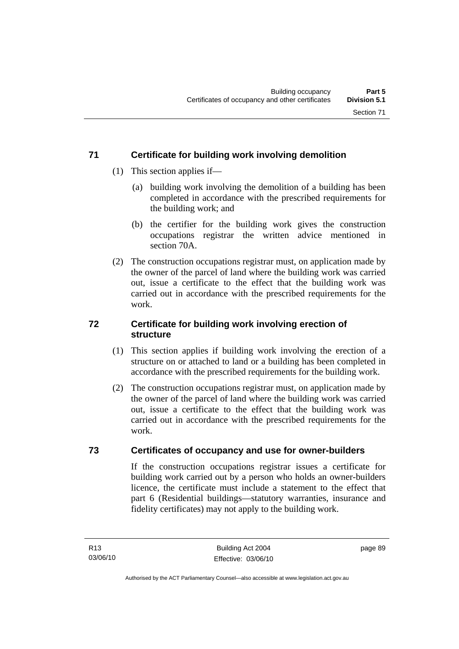### **71 Certificate for building work involving demolition**

- (1) This section applies if—
	- (a) building work involving the demolition of a building has been completed in accordance with the prescribed requirements for the building work; and
	- (b) the certifier for the building work gives the construction occupations registrar the written advice mentioned in section 70A.
- (2) The construction occupations registrar must, on application made by the owner of the parcel of land where the building work was carried out, issue a certificate to the effect that the building work was carried out in accordance with the prescribed requirements for the work.

### **72 Certificate for building work involving erection of structure**

- (1) This section applies if building work involving the erection of a structure on or attached to land or a building has been completed in accordance with the prescribed requirements for the building work.
- (2) The construction occupations registrar must, on application made by the owner of the parcel of land where the building work was carried out, issue a certificate to the effect that the building work was carried out in accordance with the prescribed requirements for the work.

### **73 Certificates of occupancy and use for owner-builders**

If the construction occupations registrar issues a certificate for building work carried out by a person who holds an owner-builders licence, the certificate must include a statement to the effect that part 6 (Residential buildings—statutory warranties, insurance and fidelity certificates) may not apply to the building work.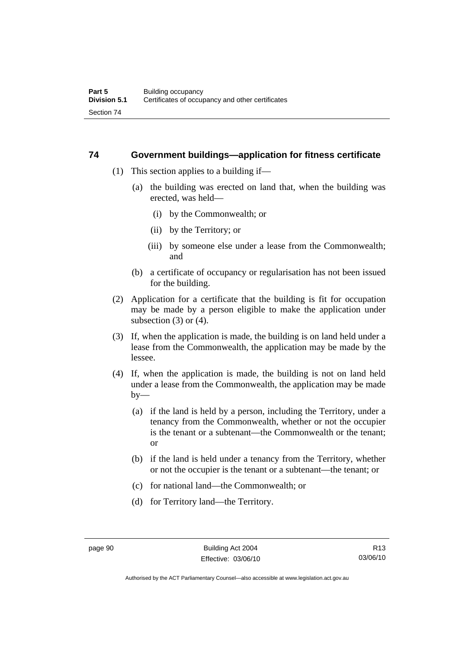### **74 Government buildings—application for fitness certificate**

- (1) This section applies to a building if—
	- (a) the building was erected on land that, when the building was erected, was held—
		- (i) by the Commonwealth; or
		- (ii) by the Territory; or
		- (iii) by someone else under a lease from the Commonwealth; and
	- (b) a certificate of occupancy or regularisation has not been issued for the building.
- (2) Application for a certificate that the building is fit for occupation may be made by a person eligible to make the application under subsection  $(3)$  or  $(4)$ .
- (3) If, when the application is made, the building is on land held under a lease from the Commonwealth, the application may be made by the lessee.
- (4) If, when the application is made, the building is not on land held under a lease from the Commonwealth, the application may be made  $by-$ 
	- (a) if the land is held by a person, including the Territory, under a tenancy from the Commonwealth, whether or not the occupier is the tenant or a subtenant—the Commonwealth or the tenant; or
	- (b) if the land is held under a tenancy from the Territory, whether or not the occupier is the tenant or a subtenant—the tenant; or
	- (c) for national land—the Commonwealth; or
	- (d) for Territory land—the Territory.

R13 03/06/10

Authorised by the ACT Parliamentary Counsel—also accessible at www.legislation.act.gov.au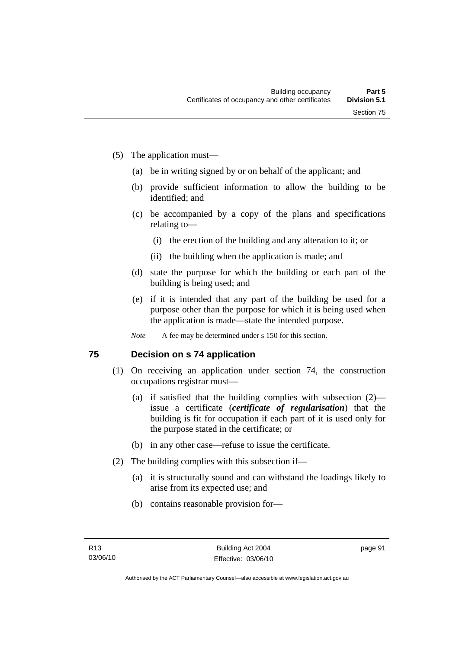- (5) The application must—
	- (a) be in writing signed by or on behalf of the applicant; and
	- (b) provide sufficient information to allow the building to be identified; and
	- (c) be accompanied by a copy of the plans and specifications relating to—
		- (i) the erection of the building and any alteration to it; or
		- (ii) the building when the application is made; and
	- (d) state the purpose for which the building or each part of the building is being used; and
	- (e) if it is intended that any part of the building be used for a purpose other than the purpose for which it is being used when the application is made—state the intended purpose.
	- *Note* A fee may be determined under s 150 for this section.

### **75 Decision on s 74 application**

- (1) On receiving an application under section 74, the construction occupations registrar must—
	- (a) if satisfied that the building complies with subsection (2) issue a certificate (*certificate of regularisation*) that the building is fit for occupation if each part of it is used only for the purpose stated in the certificate; or
	- (b) in any other case—refuse to issue the certificate.
- (2) The building complies with this subsection if—
	- (a) it is structurally sound and can withstand the loadings likely to arise from its expected use; and
	- (b) contains reasonable provision for—

page 91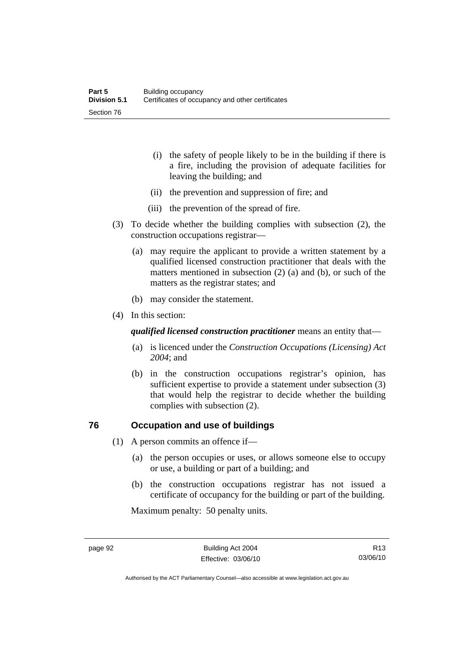- (i) the safety of people likely to be in the building if there is a fire, including the provision of adequate facilities for leaving the building; and
- (ii) the prevention and suppression of fire; and
- (iii) the prevention of the spread of fire.
- (3) To decide whether the building complies with subsection (2), the construction occupations registrar—
	- (a) may require the applicant to provide a written statement by a qualified licensed construction practitioner that deals with the matters mentioned in subsection (2) (a) and (b), or such of the matters as the registrar states; and
	- (b) may consider the statement.
- (4) In this section:

*qualified licensed construction practitioner* means an entity that—

- (a) is licenced under the *Construction Occupations (Licensing) Act 2004*; and
- (b) in the construction occupations registrar's opinion, has sufficient expertise to provide a statement under subsection (3) that would help the registrar to decide whether the building complies with subsection (2).

### **76 Occupation and use of buildings**

- (1) A person commits an offence if—
	- (a) the person occupies or uses, or allows someone else to occupy or use, a building or part of a building; and
	- (b) the construction occupations registrar has not issued a certificate of occupancy for the building or part of the building.

Maximum penalty: 50 penalty units.

Authorised by the ACT Parliamentary Counsel—also accessible at www.legislation.act.gov.au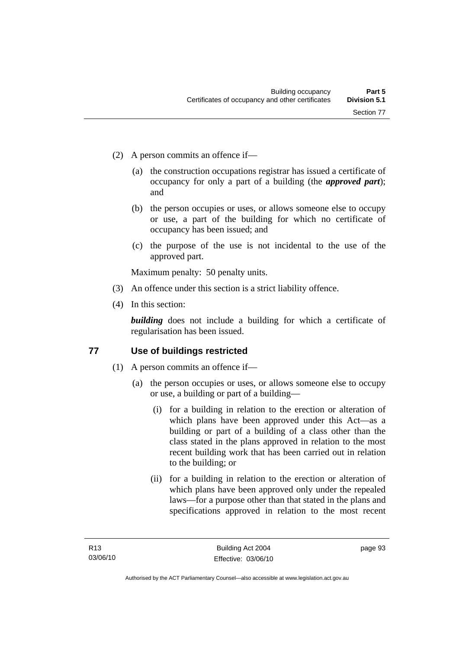- (2) A person commits an offence if—
	- (a) the construction occupations registrar has issued a certificate of occupancy for only a part of a building (the *approved part*); and
	- (b) the person occupies or uses, or allows someone else to occupy or use, a part of the building for which no certificate of occupancy has been issued; and
	- (c) the purpose of the use is not incidental to the use of the approved part.

Maximum penalty: 50 penalty units.

- (3) An offence under this section is a strict liability offence.
- (4) In this section:

**building** does not include a building for which a certificate of regularisation has been issued.

### **77 Use of buildings restricted**

- (1) A person commits an offence if—
	- (a) the person occupies or uses, or allows someone else to occupy or use, a building or part of a building—
		- (i) for a building in relation to the erection or alteration of which plans have been approved under this Act—as a building or part of a building of a class other than the class stated in the plans approved in relation to the most recent building work that has been carried out in relation to the building; or
		- (ii) for a building in relation to the erection or alteration of which plans have been approved only under the repealed laws—for a purpose other than that stated in the plans and specifications approved in relation to the most recent

page 93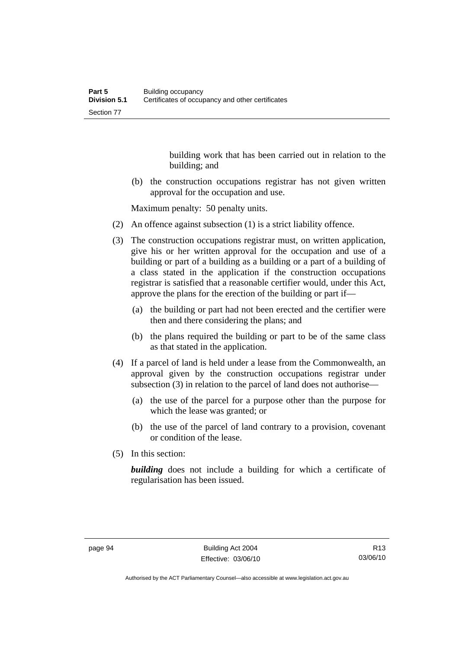building work that has been carried out in relation to the building; and

 (b) the construction occupations registrar has not given written approval for the occupation and use.

Maximum penalty: 50 penalty units.

- (2) An offence against subsection (1) is a strict liability offence.
- (3) The construction occupations registrar must, on written application, give his or her written approval for the occupation and use of a building or part of a building as a building or a part of a building of a class stated in the application if the construction occupations registrar is satisfied that a reasonable certifier would, under this Act, approve the plans for the erection of the building or part if—
	- (a) the building or part had not been erected and the certifier were then and there considering the plans; and
	- (b) the plans required the building or part to be of the same class as that stated in the application.
- (4) If a parcel of land is held under a lease from the Commonwealth, an approval given by the construction occupations registrar under subsection (3) in relation to the parcel of land does not authorise—
	- (a) the use of the parcel for a purpose other than the purpose for which the lease was granted; or
	- (b) the use of the parcel of land contrary to a provision, covenant or condition of the lease.
- (5) In this section:

**building** does not include a building for which a certificate of regularisation has been issued.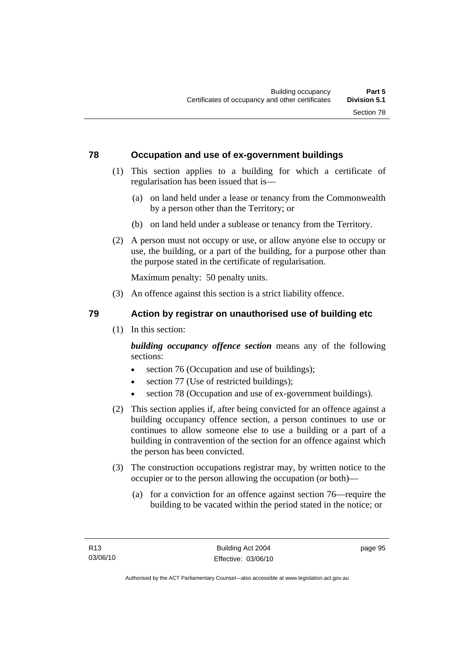### **78 Occupation and use of ex-government buildings**

- (1) This section applies to a building for which a certificate of regularisation has been issued that is—
	- (a) on land held under a lease or tenancy from the Commonwealth by a person other than the Territory; or
	- (b) on land held under a sublease or tenancy from the Territory.
- (2) A person must not occupy or use, or allow anyone else to occupy or use, the building, or a part of the building, for a purpose other than the purpose stated in the certificate of regularisation.

Maximum penalty: 50 penalty units.

- (3) An offence against this section is a strict liability offence.
- 

### **79 Action by registrar on unauthorised use of building etc**

(1) In this section:

*building occupancy offence section* means any of the following sections:

- section 76 (Occupation and use of buildings);
- section 77 (Use of restricted buildings);
- section 78 (Occupation and use of ex-government buildings).
- (2) This section applies if, after being convicted for an offence against a building occupancy offence section, a person continues to use or continues to allow someone else to use a building or a part of a building in contravention of the section for an offence against which the person has been convicted.
- (3) The construction occupations registrar may, by written notice to the occupier or to the person allowing the occupation (or both)—
	- (a) for a conviction for an offence against section 76—require the building to be vacated within the period stated in the notice; or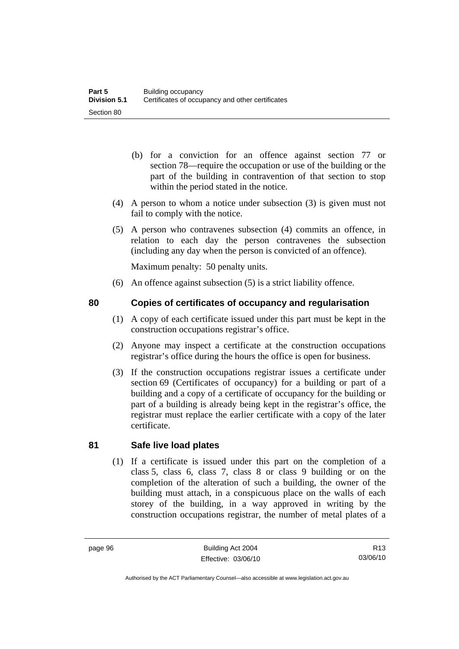- (b) for a conviction for an offence against section 77 or section 78—require the occupation or use of the building or the part of the building in contravention of that section to stop within the period stated in the notice.
- (4) A person to whom a notice under subsection (3) is given must not fail to comply with the notice.
- (5) A person who contravenes subsection (4) commits an offence, in relation to each day the person contravenes the subsection (including any day when the person is convicted of an offence).

Maximum penalty: 50 penalty units.

- (6) An offence against subsection (5) is a strict liability offence.
- 

### **80 Copies of certificates of occupancy and regularisation**

- (1) A copy of each certificate issued under this part must be kept in the construction occupations registrar's office.
- (2) Anyone may inspect a certificate at the construction occupations registrar's office during the hours the office is open for business.
- (3) If the construction occupations registrar issues a certificate under section 69 (Certificates of occupancy) for a building or part of a building and a copy of a certificate of occupancy for the building or part of a building is already being kept in the registrar's office, the registrar must replace the earlier certificate with a copy of the later certificate.

### **81 Safe live load plates**

 (1) If a certificate is issued under this part on the completion of a class 5, class 6, class 7, class 8 or class 9 building or on the completion of the alteration of such a building, the owner of the building must attach, in a conspicuous place on the walls of each storey of the building, in a way approved in writing by the construction occupations registrar, the number of metal plates of a

Authorised by the ACT Parliamentary Counsel—also accessible at www.legislation.act.gov.au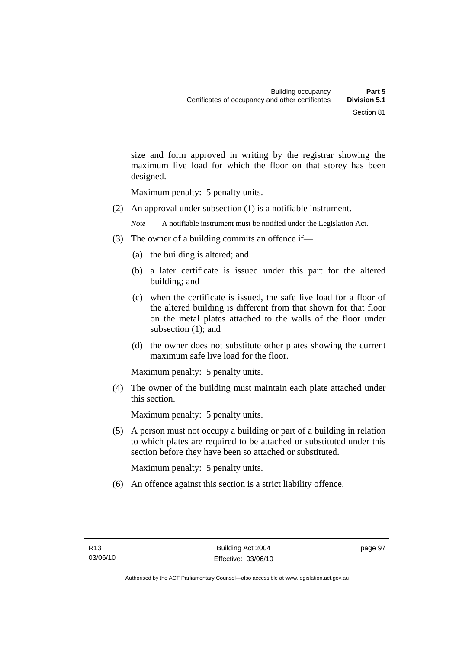size and form approved in writing by the registrar showing the maximum live load for which the floor on that storey has been designed.

Maximum penalty: 5 penalty units.

(2) An approval under subsection (1) is a notifiable instrument.

*Note* A notifiable instrument must be notified under the Legislation Act.

- (3) The owner of a building commits an offence if—
	- (a) the building is altered; and
	- (b) a later certificate is issued under this part for the altered building; and
	- (c) when the certificate is issued, the safe live load for a floor of the altered building is different from that shown for that floor on the metal plates attached to the walls of the floor under subsection (1); and
	- (d) the owner does not substitute other plates showing the current maximum safe live load for the floor.

Maximum penalty: 5 penalty units.

 (4) The owner of the building must maintain each plate attached under this section.

Maximum penalty: 5 penalty units.

 (5) A person must not occupy a building or part of a building in relation to which plates are required to be attached or substituted under this section before they have been so attached or substituted.

Maximum penalty: 5 penalty units.

(6) An offence against this section is a strict liability offence.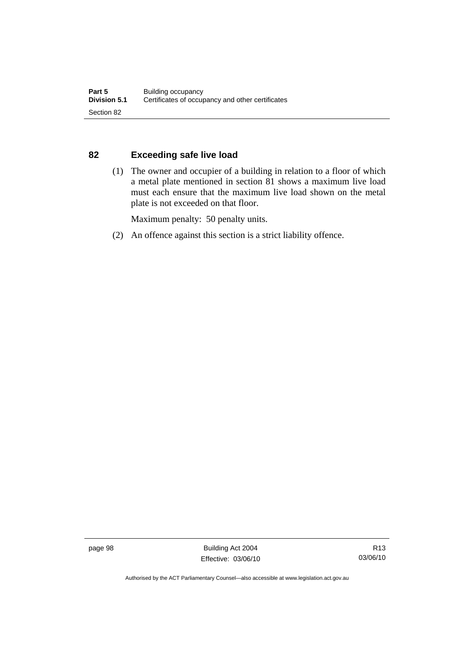### **82 Exceeding safe live load**

 (1) The owner and occupier of a building in relation to a floor of which a metal plate mentioned in section 81 shows a maximum live load must each ensure that the maximum live load shown on the metal plate is not exceeded on that floor.

Maximum penalty: 50 penalty units.

(2) An offence against this section is a strict liability offence.

page 98 Building Act 2004 Effective: 03/06/10

Authorised by the ACT Parliamentary Counsel—also accessible at www.legislation.act.gov.au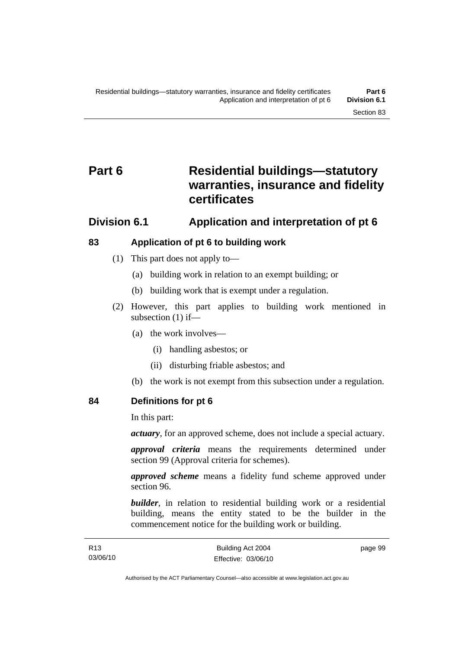# **Part 6 Residential buildings—statutory warranties, insurance and fidelity certificates**

## **Division 6.1 Application and interpretation of pt 6**

## **83 Application of pt 6 to building work**

- (1) This part does not apply to—
	- (a) building work in relation to an exempt building; or
	- (b) building work that is exempt under a regulation.
- (2) However, this part applies to building work mentioned in subsection (1) if—
	- (a) the work involves—
		- (i) handling asbestos; or
		- (ii) disturbing friable asbestos; and
	- (b) the work is not exempt from this subsection under a regulation.

**84 Definitions for pt 6** 

In this part:

*actuary*, for an approved scheme, does not include a special actuary.

*approval criteria* means the requirements determined under section 99 (Approval criteria for schemes).

*approved scheme* means a fidelity fund scheme approved under section 96.

**builder**, in relation to residential building work or a residential building, means the entity stated to be the builder in the commencement notice for the building work or building.

page 99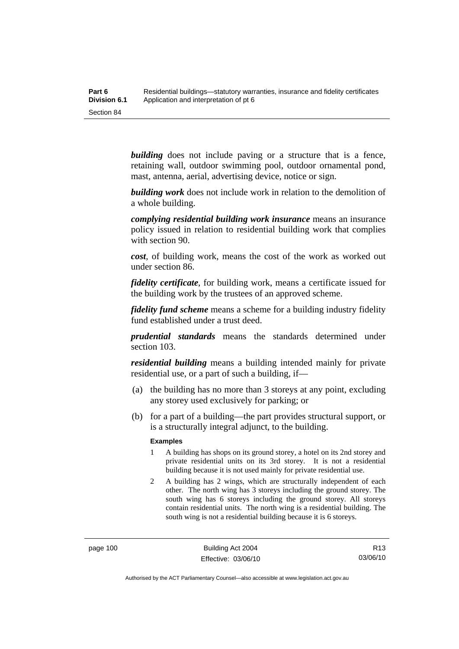| Part 6       | Residential buildings—statutory warranties, insurance and fidelity certificates |
|--------------|---------------------------------------------------------------------------------|
| Division 6.1 | Application and interpretation of pt 6                                          |
| Section 84   |                                                                                 |

**building** does not include paving or a structure that is a fence, retaining wall, outdoor swimming pool, outdoor ornamental pond, mast, antenna, aerial, advertising device, notice or sign.

*building work* does not include work in relation to the demolition of a whole building.

*complying residential building work insurance* means an insurance policy issued in relation to residential building work that complies with section 90.

*cost*, of building work, means the cost of the work as worked out under section 86.

*fidelity certificate*, for building work, means a certificate issued for the building work by the trustees of an approved scheme.

*fidelity fund scheme* means a scheme for a building industry fidelity fund established under a trust deed.

*prudential standards* means the standards determined under section 103.

*residential building* means a building intended mainly for private residential use, or a part of such a building, if—

- (a) the building has no more than 3 storeys at any point, excluding any storey used exclusively for parking; or
- (b) for a part of a building—the part provides structural support, or is a structurally integral adjunct, to the building.

#### **Examples**

- 1 A building has shops on its ground storey, a hotel on its 2nd storey and private residential units on its 3rd storey. It is not a residential building because it is not used mainly for private residential use.
- 2 A building has 2 wings, which are structurally independent of each other. The north wing has 3 storeys including the ground storey. The south wing has 6 storeys including the ground storey. All storeys contain residential units. The north wing is a residential building. The south wing is not a residential building because it is 6 storeys.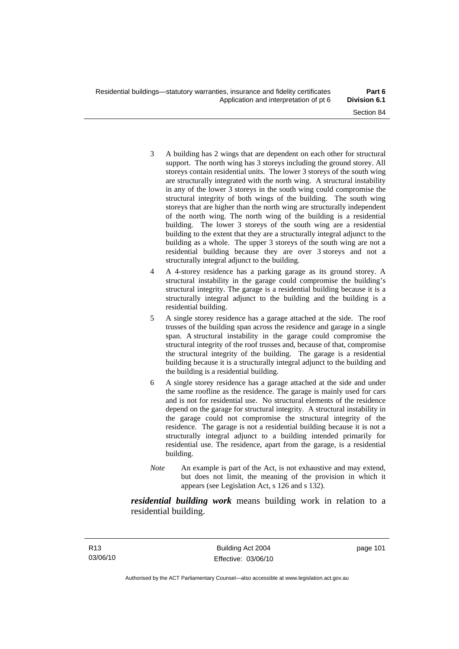- 3 A building has 2 wings that are dependent on each other for structural support. The north wing has 3 storeys including the ground storey. All storeys contain residential units. The lower 3 storeys of the south wing are structurally integrated with the north wing. A structural instability in any of the lower 3 storeys in the south wing could compromise the structural integrity of both wings of the building. The south wing storeys that are higher than the north wing are structurally independent of the north wing. The north wing of the building is a residential building. The lower 3 storeys of the south wing are a residential building to the extent that they are a structurally integral adjunct to the building as a whole. The upper 3 storeys of the south wing are not a residential building because they are over 3 storeys and not a structurally integral adjunct to the building.
- 4 A 4-storey residence has a parking garage as its ground storey. A structural instability in the garage could compromise the building's structural integrity. The garage is a residential building because it is a structurally integral adjunct to the building and the building is a residential building.
- 5 A single storey residence has a garage attached at the side. The roof trusses of the building span across the residence and garage in a single span. A structural instability in the garage could compromise the structural integrity of the roof trusses and, because of that, compromise the structural integrity of the building. The garage is a residential building because it is a structurally integral adjunct to the building and the building is a residential building.
- 6 A single storey residence has a garage attached at the side and under the same roofline as the residence. The garage is mainly used for cars and is not for residential use. No structural elements of the residence depend on the garage for structural integrity. A structural instability in the garage could not compromise the structural integrity of the residence. The garage is not a residential building because it is not a structurally integral adjunct to a building intended primarily for residential use. The residence, apart from the garage, is a residential building.
- *Note* An example is part of the Act, is not exhaustive and may extend, but does not limit, the meaning of the provision in which it appears (see Legislation Act, s 126 and s 132).

*residential building work* means building work in relation to a residential building.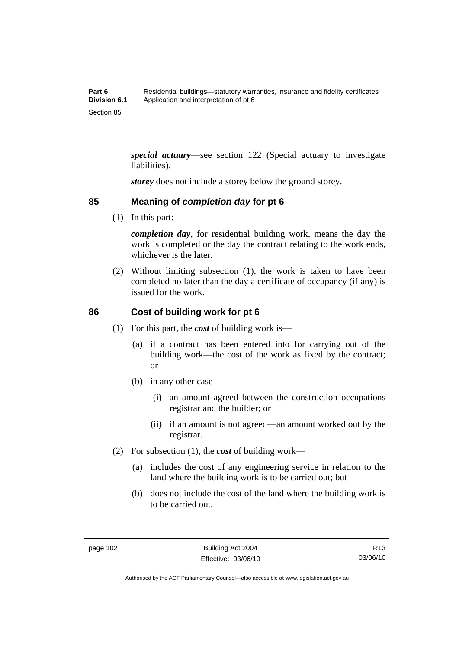*special actuary*—see section 122 (Special actuary to investigate liabilities).

*storey* does not include a storey below the ground storey.

## **85 Meaning of** *completion day* **for pt 6**

(1) In this part:

*completion day*, for residential building work, means the day the work is completed or the day the contract relating to the work ends, whichever is the later.

 (2) Without limiting subsection (1), the work is taken to have been completed no later than the day a certificate of occupancy (if any) is issued for the work.

## **86 Cost of building work for pt 6**

- (1) For this part, the *cost* of building work is—
	- (a) if a contract has been entered into for carrying out of the building work—the cost of the work as fixed by the contract; or
	- (b) in any other case—
		- (i) an amount agreed between the construction occupations registrar and the builder; or
		- (ii) if an amount is not agreed—an amount worked out by the registrar.
- (2) For subsection (1), the *cost* of building work—
	- (a) includes the cost of any engineering service in relation to the land where the building work is to be carried out; but
	- (b) does not include the cost of the land where the building work is to be carried out.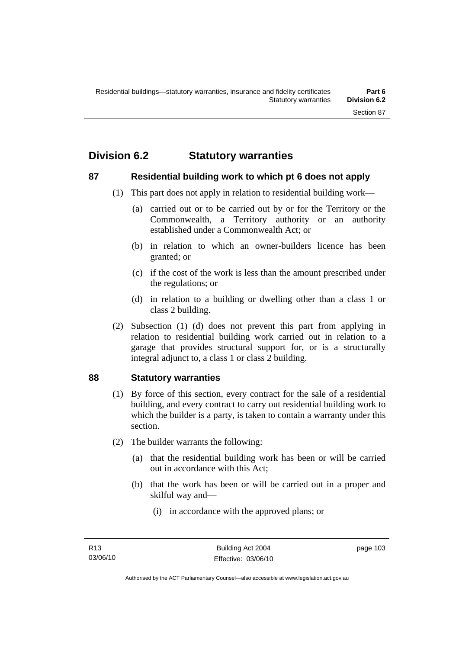# **Division 6.2 Statutory warranties**

## **87 Residential building work to which pt 6 does not apply**

- (1) This part does not apply in relation to residential building work—
	- (a) carried out or to be carried out by or for the Territory or the Commonwealth, a Territory authority or an authority established under a Commonwealth Act; or
	- (b) in relation to which an owner-builders licence has been granted; or
	- (c) if the cost of the work is less than the amount prescribed under the regulations; or
	- (d) in relation to a building or dwelling other than a class 1 or class 2 building.
- (2) Subsection (1) (d) does not prevent this part from applying in relation to residential building work carried out in relation to a garage that provides structural support for, or is a structurally integral adjunct to, a class 1 or class 2 building.

## **88 Statutory warranties**

- (1) By force of this section, every contract for the sale of a residential building, and every contract to carry out residential building work to which the builder is a party, is taken to contain a warranty under this section.
- (2) The builder warrants the following:
	- (a) that the residential building work has been or will be carried out in accordance with this Act;
	- (b) that the work has been or will be carried out in a proper and skilful way and—
		- (i) in accordance with the approved plans; or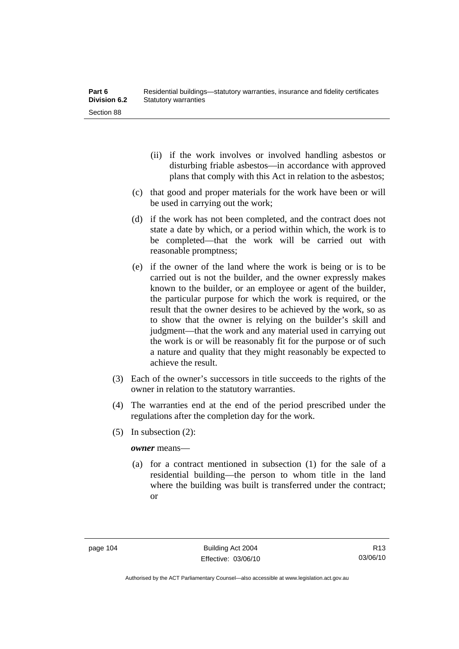- (ii) if the work involves or involved handling asbestos or disturbing friable asbestos—in accordance with approved plans that comply with this Act in relation to the asbestos;
- (c) that good and proper materials for the work have been or will be used in carrying out the work;
- (d) if the work has not been completed, and the contract does not state a date by which, or a period within which, the work is to be completed—that the work will be carried out with reasonable promptness;
- (e) if the owner of the land where the work is being or is to be carried out is not the builder, and the owner expressly makes known to the builder, or an employee or agent of the builder, the particular purpose for which the work is required, or the result that the owner desires to be achieved by the work, so as to show that the owner is relying on the builder's skill and judgment—that the work and any material used in carrying out the work is or will be reasonably fit for the purpose or of such a nature and quality that they might reasonably be expected to achieve the result.
- (3) Each of the owner's successors in title succeeds to the rights of the owner in relation to the statutory warranties.
- (4) The warranties end at the end of the period prescribed under the regulations after the completion day for the work.
- (5) In subsection (2):

*owner* means—

 (a) for a contract mentioned in subsection (1) for the sale of a residential building—the person to whom title in the land where the building was built is transferred under the contract; or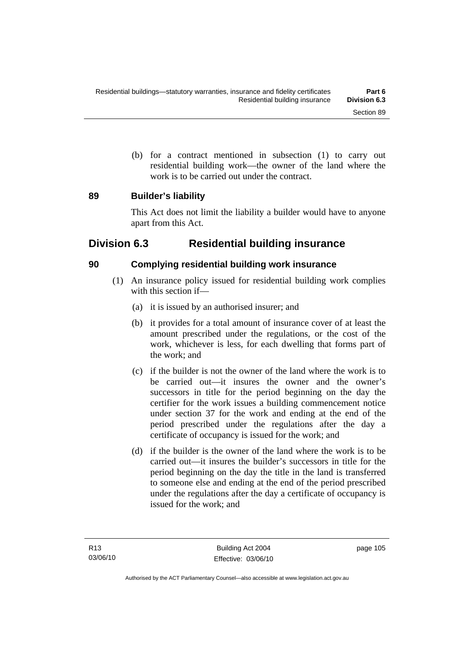(b) for a contract mentioned in subsection (1) to carry out residential building work—the owner of the land where the work is to be carried out under the contract.

## **89 Builder's liability**

This Act does not limit the liability a builder would have to anyone apart from this Act.

## **Division 6.3 Residential building insurance**

## **90 Complying residential building work insurance**

- (1) An insurance policy issued for residential building work complies with this section if—
	- (a) it is issued by an authorised insurer; and
	- (b) it provides for a total amount of insurance cover of at least the amount prescribed under the regulations, or the cost of the work, whichever is less, for each dwelling that forms part of the work; and
	- (c) if the builder is not the owner of the land where the work is to be carried out—it insures the owner and the owner's successors in title for the period beginning on the day the certifier for the work issues a building commencement notice under section 37 for the work and ending at the end of the period prescribed under the regulations after the day a certificate of occupancy is issued for the work; and
	- (d) if the builder is the owner of the land where the work is to be carried out—it insures the builder's successors in title for the period beginning on the day the title in the land is transferred to someone else and ending at the end of the period prescribed under the regulations after the day a certificate of occupancy is issued for the work; and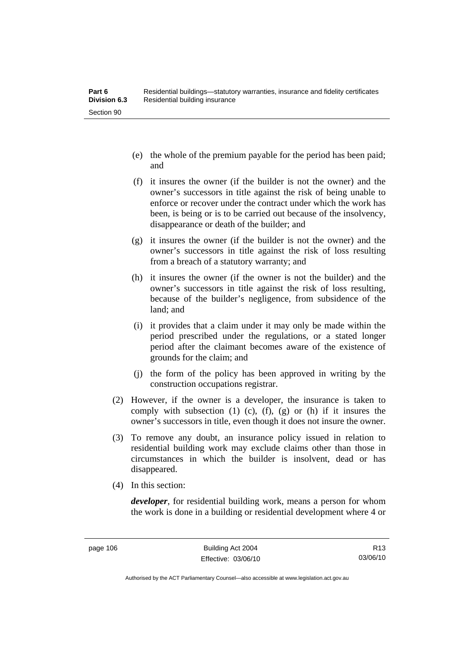- (e) the whole of the premium payable for the period has been paid; and
- (f) it insures the owner (if the builder is not the owner) and the owner's successors in title against the risk of being unable to enforce or recover under the contract under which the work has been, is being or is to be carried out because of the insolvency, disappearance or death of the builder; and
- (g) it insures the owner (if the builder is not the owner) and the owner's successors in title against the risk of loss resulting from a breach of a statutory warranty; and
- (h) it insures the owner (if the owner is not the builder) and the owner's successors in title against the risk of loss resulting, because of the builder's negligence, from subsidence of the land; and
- (i) it provides that a claim under it may only be made within the period prescribed under the regulations, or a stated longer period after the claimant becomes aware of the existence of grounds for the claim; and
- (j) the form of the policy has been approved in writing by the construction occupations registrar.
- (2) However, if the owner is a developer, the insurance is taken to comply with subsection  $(1)$   $(c)$ ,  $(f)$ ,  $(g)$  or  $(h)$  if it insures the owner's successors in title, even though it does not insure the owner.
- (3) To remove any doubt, an insurance policy issued in relation to residential building work may exclude claims other than those in circumstances in which the builder is insolvent, dead or has disappeared.
- (4) In this section:

*developer*, for residential building work, means a person for whom the work is done in a building or residential development where 4 or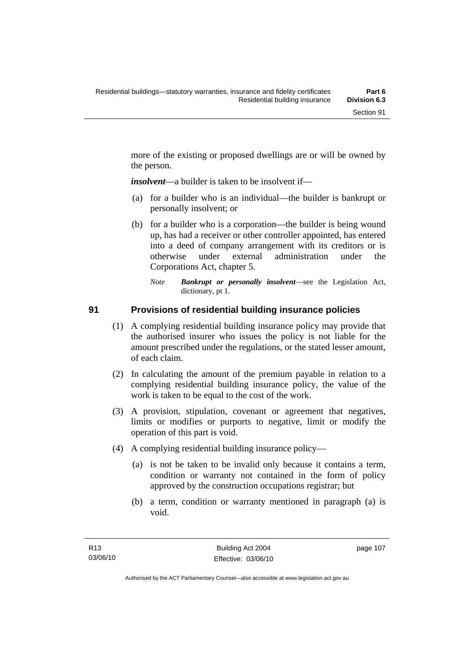more of the existing or proposed dwellings are or will be owned by the person.

*insolvent*—a builder is taken to be insolvent if—

- (a) for a builder who is an individual—the builder is bankrupt or personally insolvent; or
- (b) for a builder who is a corporation—the builder is being wound up, has had a receiver or other controller appointed, has entered into a deed of company arrangement with its creditors or is otherwise under external administration under the Corporations Act, chapter 5.
	- *Note Bankrupt or personally insolvent*—see the Legislation Act, dictionary, pt 1.

## **91 Provisions of residential building insurance policies**

- (1) A complying residential building insurance policy may provide that the authorised insurer who issues the policy is not liable for the amount prescribed under the regulations, or the stated lesser amount, of each claim.
- (2) In calculating the amount of the premium payable in relation to a complying residential building insurance policy, the value of the work is taken to be equal to the cost of the work.
- (3) A provision, stipulation, covenant or agreement that negatives, limits or modifies or purports to negative, limit or modify the operation of this part is void.
- (4) A complying residential building insurance policy—
	- (a) is not be taken to be invalid only because it contains a term, condition or warranty not contained in the form of policy approved by the construction occupations registrar; but
	- (b) a term, condition or warranty mentioned in paragraph (a) is void.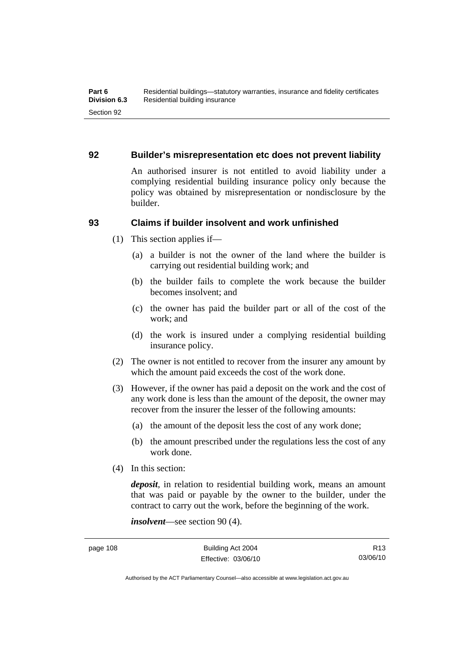### **92 Builder's misrepresentation etc does not prevent liability**

An authorised insurer is not entitled to avoid liability under a complying residential building insurance policy only because the policy was obtained by misrepresentation or nondisclosure by the builder.

## **93 Claims if builder insolvent and work unfinished**

- (1) This section applies if—
	- (a) a builder is not the owner of the land where the builder is carrying out residential building work; and
	- (b) the builder fails to complete the work because the builder becomes insolvent; and
	- (c) the owner has paid the builder part or all of the cost of the work; and
	- (d) the work is insured under a complying residential building insurance policy.
- (2) The owner is not entitled to recover from the insurer any amount by which the amount paid exceeds the cost of the work done.
- (3) However, if the owner has paid a deposit on the work and the cost of any work done is less than the amount of the deposit, the owner may recover from the insurer the lesser of the following amounts:
	- (a) the amount of the deposit less the cost of any work done;
	- (b) the amount prescribed under the regulations less the cost of any work done.
- (4) In this section:

*deposit*, in relation to residential building work, means an amount that was paid or payable by the owner to the builder, under the contract to carry out the work, before the beginning of the work.

*insolvent*—see section 90 (4).

Authorised by the ACT Parliamentary Counsel—also accessible at www.legislation.act.gov.au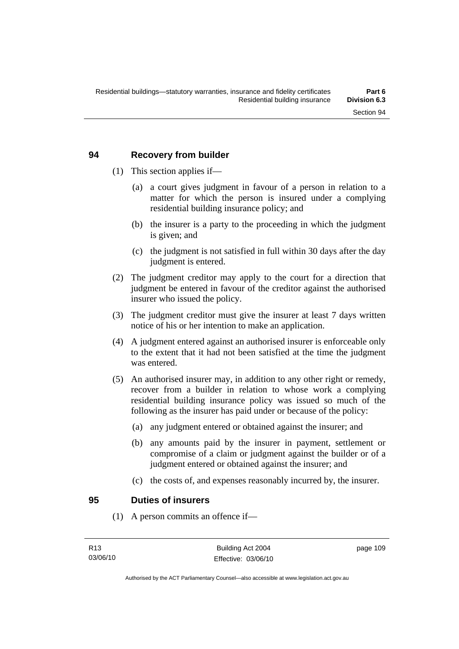## **94 Recovery from builder**

- (1) This section applies if—
	- (a) a court gives judgment in favour of a person in relation to a matter for which the person is insured under a complying residential building insurance policy; and
	- (b) the insurer is a party to the proceeding in which the judgment is given; and
	- (c) the judgment is not satisfied in full within 30 days after the day judgment is entered.
- (2) The judgment creditor may apply to the court for a direction that judgment be entered in favour of the creditor against the authorised insurer who issued the policy.
- (3) The judgment creditor must give the insurer at least 7 days written notice of his or her intention to make an application.
- (4) A judgment entered against an authorised insurer is enforceable only to the extent that it had not been satisfied at the time the judgment was entered.
- (5) An authorised insurer may, in addition to any other right or remedy, recover from a builder in relation to whose work a complying residential building insurance policy was issued so much of the following as the insurer has paid under or because of the policy:
	- (a) any judgment entered or obtained against the insurer; and
	- (b) any amounts paid by the insurer in payment, settlement or compromise of a claim or judgment against the builder or of a judgment entered or obtained against the insurer; and
	- (c) the costs of, and expenses reasonably incurred by, the insurer.

#### **95 Duties of insurers**

(1) A person commits an offence if—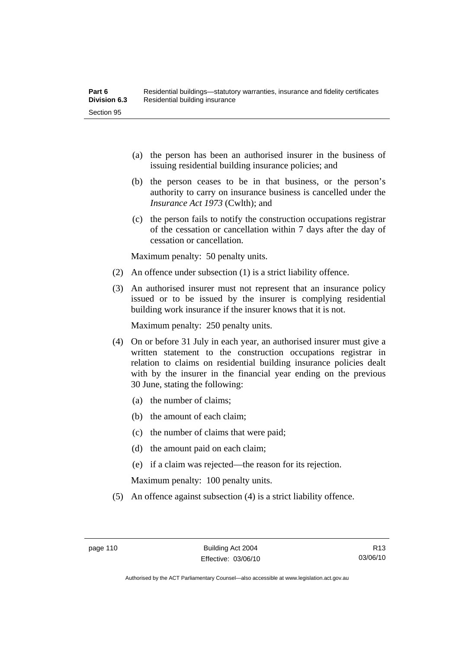- (a) the person has been an authorised insurer in the business of issuing residential building insurance policies; and
- (b) the person ceases to be in that business, or the person's authority to carry on insurance business is cancelled under the *Insurance Act 1973* (Cwlth); and
- (c) the person fails to notify the construction occupations registrar of the cessation or cancellation within 7 days after the day of cessation or cancellation.

Maximum penalty: 50 penalty units.

- (2) An offence under subsection (1) is a strict liability offence.
- (3) An authorised insurer must not represent that an insurance policy issued or to be issued by the insurer is complying residential building work insurance if the insurer knows that it is not.

Maximum penalty: 250 penalty units.

- (4) On or before 31 July in each year, an authorised insurer must give a written statement to the construction occupations registrar in relation to claims on residential building insurance policies dealt with by the insurer in the financial year ending on the previous 30 June, stating the following:
	- (a) the number of claims;
	- (b) the amount of each claim;
	- (c) the number of claims that were paid;
	- (d) the amount paid on each claim;
	- (e) if a claim was rejected—the reason for its rejection.

Maximum penalty: 100 penalty units.

(5) An offence against subsection (4) is a strict liability offence.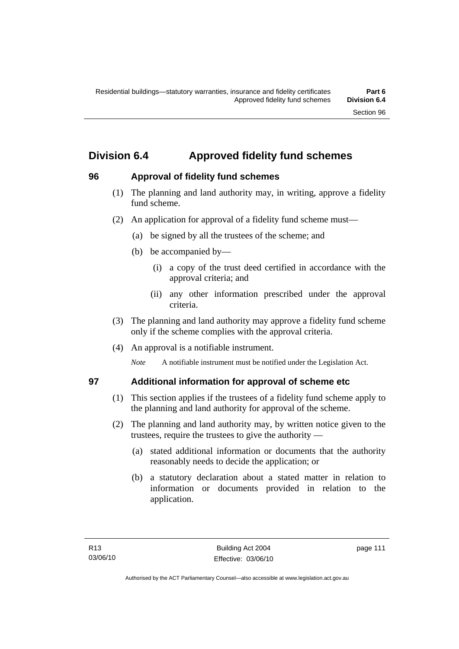## **Division 6.4 Approved fidelity fund schemes**

## **96 Approval of fidelity fund schemes**

- (1) The planning and land authority may, in writing, approve a fidelity fund scheme.
- (2) An application for approval of a fidelity fund scheme must—
	- (a) be signed by all the trustees of the scheme; and
	- (b) be accompanied by—
		- (i) a copy of the trust deed certified in accordance with the approval criteria; and
		- (ii) any other information prescribed under the approval criteria.
- (3) The planning and land authority may approve a fidelity fund scheme only if the scheme complies with the approval criteria.
- (4) An approval is a notifiable instrument.

*Note* A notifiable instrument must be notified under the Legislation Act.

## **97 Additional information for approval of scheme etc**

- (1) This section applies if the trustees of a fidelity fund scheme apply to the planning and land authority for approval of the scheme.
- (2) The planning and land authority may, by written notice given to the trustees, require the trustees to give the authority —
	- (a) stated additional information or documents that the authority reasonably needs to decide the application; or
	- (b) a statutory declaration about a stated matter in relation to information or documents provided in relation to the application.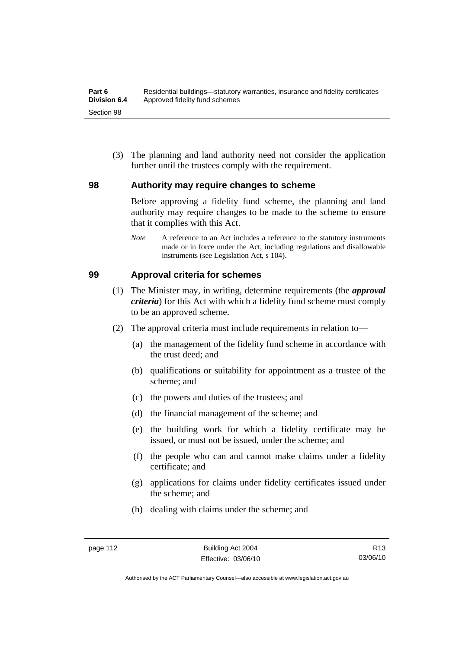(3) The planning and land authority need not consider the application further until the trustees comply with the requirement.

## **98 Authority may require changes to scheme**

Before approving a fidelity fund scheme, the planning and land authority may require changes to be made to the scheme to ensure that it complies with this Act.

*Note* A reference to an Act includes a reference to the statutory instruments made or in force under the Act, including regulations and disallowable instruments (see Legislation Act, s 104).

## **99 Approval criteria for schemes**

- (1) The Minister may, in writing, determine requirements (the *approval criteria*) for this Act with which a fidelity fund scheme must comply to be an approved scheme.
- (2) The approval criteria must include requirements in relation to—
	- (a) the management of the fidelity fund scheme in accordance with the trust deed; and
	- (b) qualifications or suitability for appointment as a trustee of the scheme; and
	- (c) the powers and duties of the trustees; and
	- (d) the financial management of the scheme; and
	- (e) the building work for which a fidelity certificate may be issued, or must not be issued, under the scheme; and
	- (f) the people who can and cannot make claims under a fidelity certificate; and
	- (g) applications for claims under fidelity certificates issued under the scheme; and
	- (h) dealing with claims under the scheme; and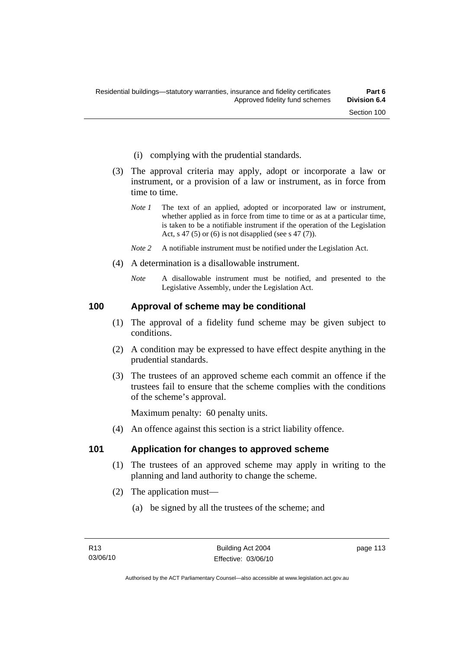- (i) complying with the prudential standards.
- (3) The approval criteria may apply, adopt or incorporate a law or instrument, or a provision of a law or instrument, as in force from time to time.
	- *Note 1* The text of an applied, adopted or incorporated law or instrument, whether applied as in force from time to time or as at a particular time. is taken to be a notifiable instrument if the operation of the Legislation Act, s 47 (5) or (6) is not disapplied (see s 47 (7)).
	- *Note 2* A notifiable instrument must be notified under the Legislation Act.
- (4) A determination is a disallowable instrument.
	- *Note* A disallowable instrument must be notified, and presented to the Legislative Assembly, under the Legislation Act.

#### **100 Approval of scheme may be conditional**

- (1) The approval of a fidelity fund scheme may be given subject to conditions.
- (2) A condition may be expressed to have effect despite anything in the prudential standards.
- (3) The trustees of an approved scheme each commit an offence if the trustees fail to ensure that the scheme complies with the conditions of the scheme's approval.

Maximum penalty: 60 penalty units.

(4) An offence against this section is a strict liability offence.

#### **101 Application for changes to approved scheme**

- (1) The trustees of an approved scheme may apply in writing to the planning and land authority to change the scheme.
- (2) The application must—
	- (a) be signed by all the trustees of the scheme; and

page 113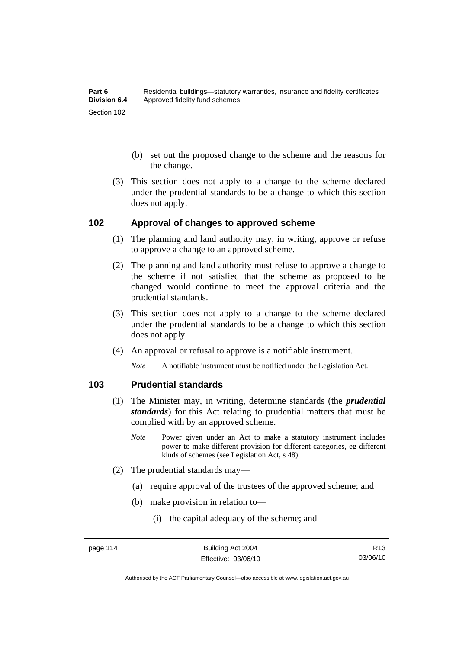- (b) set out the proposed change to the scheme and the reasons for the change.
- (3) This section does not apply to a change to the scheme declared under the prudential standards to be a change to which this section does not apply.

#### **102 Approval of changes to approved scheme**

- (1) The planning and land authority may, in writing, approve or refuse to approve a change to an approved scheme.
- (2) The planning and land authority must refuse to approve a change to the scheme if not satisfied that the scheme as proposed to be changed would continue to meet the approval criteria and the prudential standards.
- (3) This section does not apply to a change to the scheme declared under the prudential standards to be a change to which this section does not apply.
- (4) An approval or refusal to approve is a notifiable instrument.

*Note* A notifiable instrument must be notified under the Legislation Act*.*

## **103 Prudential standards**

- (1) The Minister may, in writing, determine standards (the *prudential standards*) for this Act relating to prudential matters that must be complied with by an approved scheme.
	- *Note* Power given under an Act to make a statutory instrument includes power to make different provision for different categories, eg different kinds of schemes (see Legislation Act, s 48).
- (2) The prudential standards may—
	- (a) require approval of the trustees of the approved scheme; and
	- (b) make provision in relation to—
		- (i) the capital adequacy of the scheme; and

Authorised by the ACT Parliamentary Counsel—also accessible at www.legislation.act.gov.au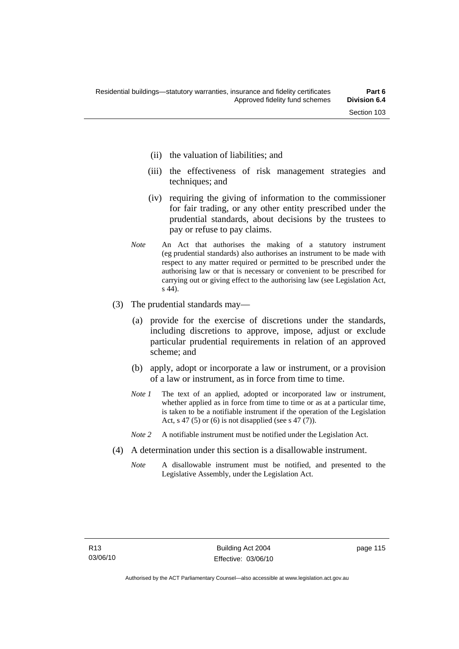- (ii) the valuation of liabilities; and
- (iii) the effectiveness of risk management strategies and techniques; and
- (iv) requiring the giving of information to the commissioner for fair trading, or any other entity prescribed under the prudential standards, about decisions by the trustees to pay or refuse to pay claims.
- *Note* An Act that authorises the making of a statutory instrument (eg prudential standards) also authorises an instrument to be made with respect to any matter required or permitted to be prescribed under the authorising law or that is necessary or convenient to be prescribed for carrying out or giving effect to the authorising law (see Legislation Act, s 44).
- (3) The prudential standards may—
	- (a) provide for the exercise of discretions under the standards, including discretions to approve, impose, adjust or exclude particular prudential requirements in relation of an approved scheme; and
	- (b) apply, adopt or incorporate a law or instrument, or a provision of a law or instrument, as in force from time to time.
	- *Note 1* The text of an applied, adopted or incorporated law or instrument, whether applied as in force from time to time or as at a particular time. is taken to be a notifiable instrument if the operation of the Legislation Act, s 47 (5) or (6) is not disapplied (see s 47 (7)).
	- *Note 2* A notifiable instrument must be notified under the Legislation Act.
- (4) A determination under this section is a disallowable instrument.
	- *Note* A disallowable instrument must be notified, and presented to the Legislative Assembly, under the Legislation Act.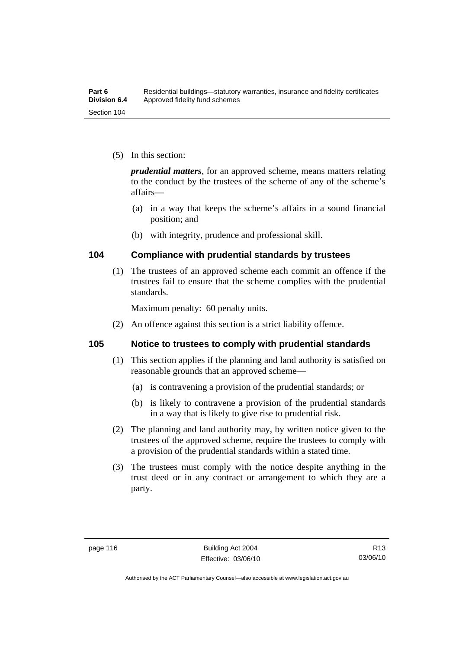(5) In this section:

*prudential matters*, for an approved scheme, means matters relating to the conduct by the trustees of the scheme of any of the scheme's affairs—

- (a) in a way that keeps the scheme's affairs in a sound financial position; and
- (b) with integrity, prudence and professional skill.

## **104 Compliance with prudential standards by trustees**

 (1) The trustees of an approved scheme each commit an offence if the trustees fail to ensure that the scheme complies with the prudential standards.

Maximum penalty: 60 penalty units.

(2) An offence against this section is a strict liability offence.

#### **105 Notice to trustees to comply with prudential standards**

- (1) This section applies if the planning and land authority is satisfied on reasonable grounds that an approved scheme—
	- (a) is contravening a provision of the prudential standards; or
	- (b) is likely to contravene a provision of the prudential standards in a way that is likely to give rise to prudential risk.
- (2) The planning and land authority may, by written notice given to the trustees of the approved scheme, require the trustees to comply with a provision of the prudential standards within a stated time.
- (3) The trustees must comply with the notice despite anything in the trust deed or in any contract or arrangement to which they are a party.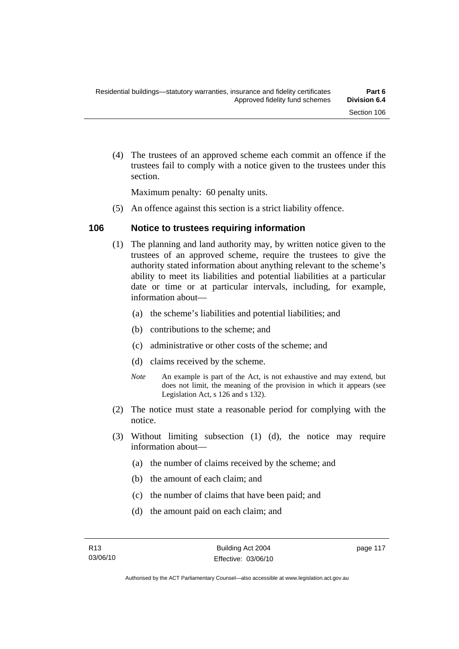(4) The trustees of an approved scheme each commit an offence if the trustees fail to comply with a notice given to the trustees under this section.

Maximum penalty: 60 penalty units.

(5) An offence against this section is a strict liability offence.

## **106 Notice to trustees requiring information**

- (1) The planning and land authority may, by written notice given to the trustees of an approved scheme, require the trustees to give the authority stated information about anything relevant to the scheme's ability to meet its liabilities and potential liabilities at a particular date or time or at particular intervals, including, for example, information about—
	- (a) the scheme's liabilities and potential liabilities; and
	- (b) contributions to the scheme; and
	- (c) administrative or other costs of the scheme; and
	- (d) claims received by the scheme.
	- *Note* An example is part of the Act, is not exhaustive and may extend, but does not limit, the meaning of the provision in which it appears (see Legislation Act, s 126 and s 132).
- (2) The notice must state a reasonable period for complying with the notice.
- (3) Without limiting subsection (1) (d), the notice may require information about—
	- (a) the number of claims received by the scheme; and
	- (b) the amount of each claim; and
	- (c) the number of claims that have been paid; and
	- (d) the amount paid on each claim; and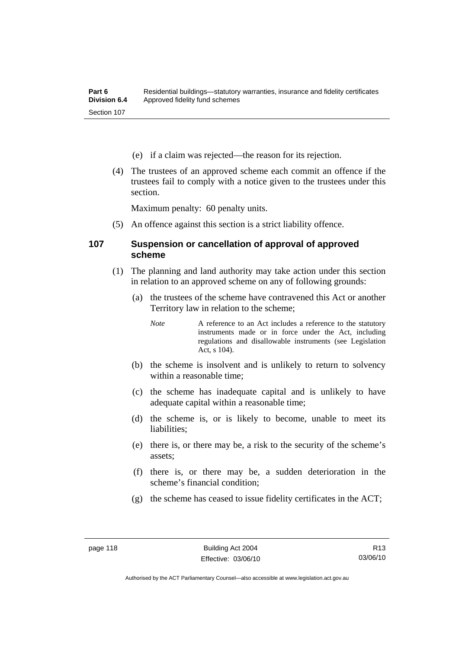- (e) if a claim was rejected—the reason for its rejection.
- (4) The trustees of an approved scheme each commit an offence if the trustees fail to comply with a notice given to the trustees under this section.

Maximum penalty: 60 penalty units.

(5) An offence against this section is a strict liability offence.

#### **107 Suspension or cancellation of approval of approved scheme**

- (1) The planning and land authority may take action under this section in relation to an approved scheme on any of following grounds:
	- (a) the trustees of the scheme have contravened this Act or another Territory law in relation to the scheme;

*Note* A reference to an Act includes a reference to the statutory instruments made or in force under the Act, including regulations and disallowable instruments (see Legislation Act, s 104).

- (b) the scheme is insolvent and is unlikely to return to solvency within a reasonable time;
- (c) the scheme has inadequate capital and is unlikely to have adequate capital within a reasonable time;
- (d) the scheme is, or is likely to become, unable to meet its liabilities;
- (e) there is, or there may be, a risk to the security of the scheme's assets;
- (f) there is, or there may be, a sudden deterioration in the scheme's financial condition;
- (g) the scheme has ceased to issue fidelity certificates in the ACT;

R13 03/06/10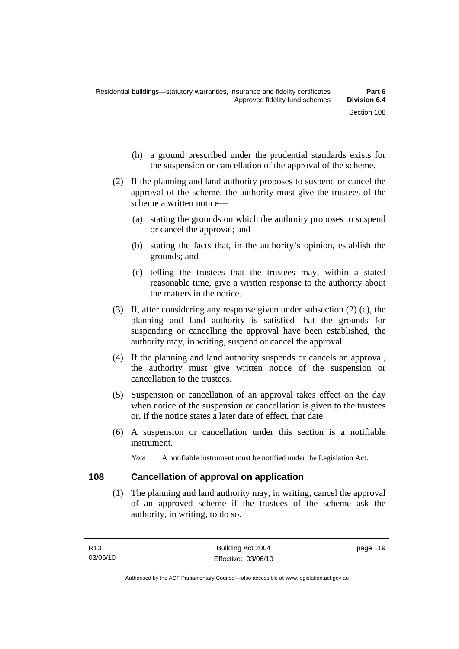- (h) a ground prescribed under the prudential standards exists for the suspension or cancellation of the approval of the scheme.
- (2) If the planning and land authority proposes to suspend or cancel the approval of the scheme, the authority must give the trustees of the scheme a written notice—
	- (a) stating the grounds on which the authority proposes to suspend or cancel the approval; and
	- (b) stating the facts that, in the authority's opinion, establish the grounds; and
	- (c) telling the trustees that the trustees may, within a stated reasonable time, give a written response to the authority about the matters in the notice.
- (3) If, after considering any response given under subsection (2) (c), the planning and land authority is satisfied that the grounds for suspending or cancelling the approval have been established, the authority may, in writing, suspend or cancel the approval.
- (4) If the planning and land authority suspends or cancels an approval, the authority must give written notice of the suspension or cancellation to the trustees.
- (5) Suspension or cancellation of an approval takes effect on the day when notice of the suspension or cancellation is given to the trustees or, if the notice states a later date of effect, that date.
- (6) A suspension or cancellation under this section is a notifiable instrument.

*Note* A notifiable instrument must be notified under the Legislation Act.

## **108 Cancellation of approval on application**

 (1) The planning and land authority may, in writing, cancel the approval of an approved scheme if the trustees of the scheme ask the authority, in writing, to do so.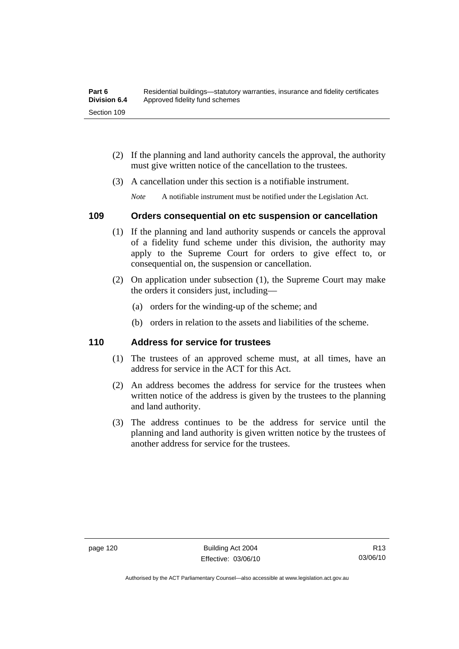| Part 6              | Residential buildings—statutory warranties, insurance and fidelity certificates |
|---------------------|---------------------------------------------------------------------------------|
| <b>Division 6.4</b> | Approved fidelity fund schemes                                                  |
| Section 109         |                                                                                 |

- (2) If the planning and land authority cancels the approval, the authority must give written notice of the cancellation to the trustees.
- (3) A cancellation under this section is a notifiable instrument.

*Note* A notifiable instrument must be notified under the Legislation Act.

## **109 Orders consequential on etc suspension or cancellation**

- (1) If the planning and land authority suspends or cancels the approval of a fidelity fund scheme under this division, the authority may apply to the Supreme Court for orders to give effect to, or consequential on, the suspension or cancellation.
- (2) On application under subsection (1), the Supreme Court may make the orders it considers just, including—
	- (a) orders for the winding-up of the scheme; and
	- (b) orders in relation to the assets and liabilities of the scheme.

#### **110 Address for service for trustees**

- (1) The trustees of an approved scheme must, at all times, have an address for service in the ACT for this Act.
- (2) An address becomes the address for service for the trustees when written notice of the address is given by the trustees to the planning and land authority.
- (3) The address continues to be the address for service until the planning and land authority is given written notice by the trustees of another address for service for the trustees.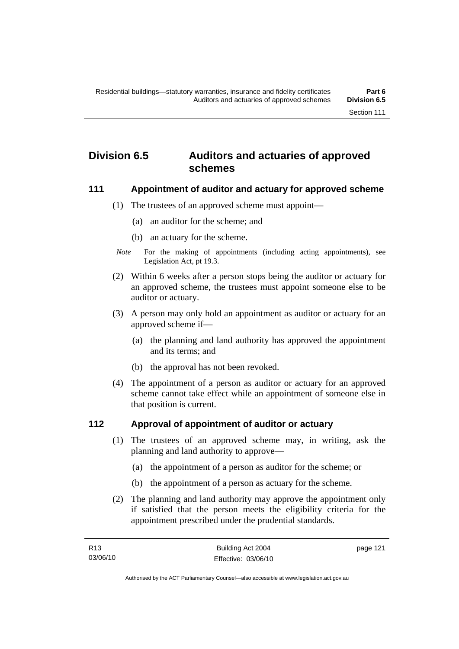## **Division 6.5 Auditors and actuaries of approved schemes**

#### **111 Appointment of auditor and actuary for approved scheme**

- (1) The trustees of an approved scheme must appoint—
	- (a) an auditor for the scheme; and
	- (b) an actuary for the scheme.
- *Note* For the making of appointments (including acting appointments), see Legislation Act, pt 19.3.
- (2) Within 6 weeks after a person stops being the auditor or actuary for an approved scheme, the trustees must appoint someone else to be auditor or actuary.
- (3) A person may only hold an appointment as auditor or actuary for an approved scheme if—
	- (a) the planning and land authority has approved the appointment and its terms; and
	- (b) the approval has not been revoked.
- (4) The appointment of a person as auditor or actuary for an approved scheme cannot take effect while an appointment of someone else in that position is current.

## **112 Approval of appointment of auditor or actuary**

- (1) The trustees of an approved scheme may, in writing, ask the planning and land authority to approve—
	- (a) the appointment of a person as auditor for the scheme; or
	- (b) the appointment of a person as actuary for the scheme.
- (2) The planning and land authority may approve the appointment only if satisfied that the person meets the eligibility criteria for the appointment prescribed under the prudential standards.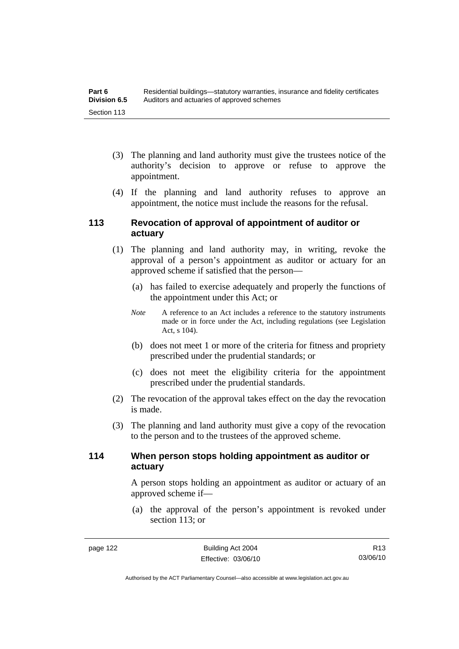- (3) The planning and land authority must give the trustees notice of the authority's decision to approve or refuse to approve the appointment.
- (4) If the planning and land authority refuses to approve an appointment, the notice must include the reasons for the refusal.

## **113 Revocation of approval of appointment of auditor or actuary**

- (1) The planning and land authority may, in writing, revoke the approval of a person's appointment as auditor or actuary for an approved scheme if satisfied that the person—
	- (a) has failed to exercise adequately and properly the functions of the appointment under this Act; or
	- *Note* A reference to an Act includes a reference to the statutory instruments made or in force under the Act, including regulations (see Legislation Act, s 104).
	- (b) does not meet 1 or more of the criteria for fitness and propriety prescribed under the prudential standards; or
	- (c) does not meet the eligibility criteria for the appointment prescribed under the prudential standards.
- (2) The revocation of the approval takes effect on the day the revocation is made.
- (3) The planning and land authority must give a copy of the revocation to the person and to the trustees of the approved scheme.

## **114 When person stops holding appointment as auditor or actuary**

A person stops holding an appointment as auditor or actuary of an approved scheme if—

 (a) the approval of the person's appointment is revoked under section 113; or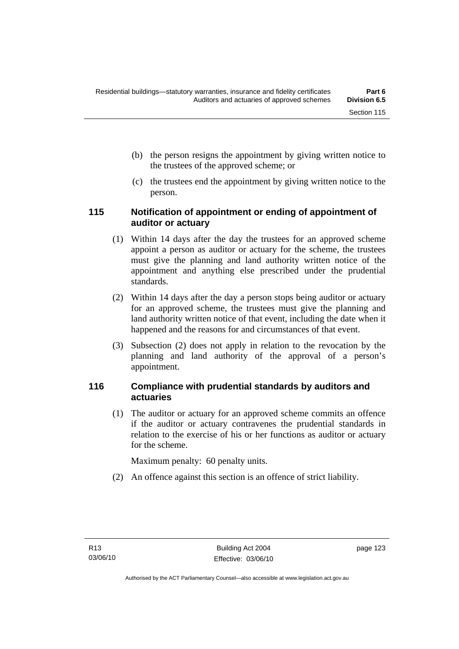- (b) the person resigns the appointment by giving written notice to the trustees of the approved scheme; or
- (c) the trustees end the appointment by giving written notice to the person.

## **115 Notification of appointment or ending of appointment of auditor or actuary**

- (1) Within 14 days after the day the trustees for an approved scheme appoint a person as auditor or actuary for the scheme, the trustees must give the planning and land authority written notice of the appointment and anything else prescribed under the prudential standards.
- (2) Within 14 days after the day a person stops being auditor or actuary for an approved scheme, the trustees must give the planning and land authority written notice of that event, including the date when it happened and the reasons for and circumstances of that event.
- (3) Subsection (2) does not apply in relation to the revocation by the planning and land authority of the approval of a person's appointment.

## **116 Compliance with prudential standards by auditors and actuaries**

 (1) The auditor or actuary for an approved scheme commits an offence if the auditor or actuary contravenes the prudential standards in relation to the exercise of his or her functions as auditor or actuary for the scheme.

Maximum penalty: 60 penalty units.

(2) An offence against this section is an offence of strict liability.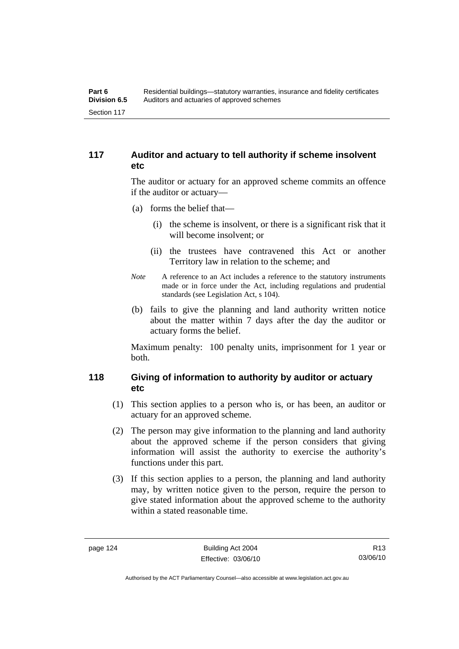## **117 Auditor and actuary to tell authority if scheme insolvent etc**

The auditor or actuary for an approved scheme commits an offence if the auditor or actuary—

- (a) forms the belief that—
	- (i) the scheme is insolvent, or there is a significant risk that it will become insolvent; or
	- (ii) the trustees have contravened this Act or another Territory law in relation to the scheme; and
- *Note* A reference to an Act includes a reference to the statutory instruments made or in force under the Act, including regulations and prudential standards (see Legislation Act, s 104).
- (b) fails to give the planning and land authority written notice about the matter within 7 days after the day the auditor or actuary forms the belief.

Maximum penalty: 100 penalty units, imprisonment for 1 year or both.

## **118 Giving of information to authority by auditor or actuary etc**

- (1) This section applies to a person who is, or has been, an auditor or actuary for an approved scheme.
- (2) The person may give information to the planning and land authority about the approved scheme if the person considers that giving information will assist the authority to exercise the authority's functions under this part.
- (3) If this section applies to a person, the planning and land authority may, by written notice given to the person, require the person to give stated information about the approved scheme to the authority within a stated reasonable time.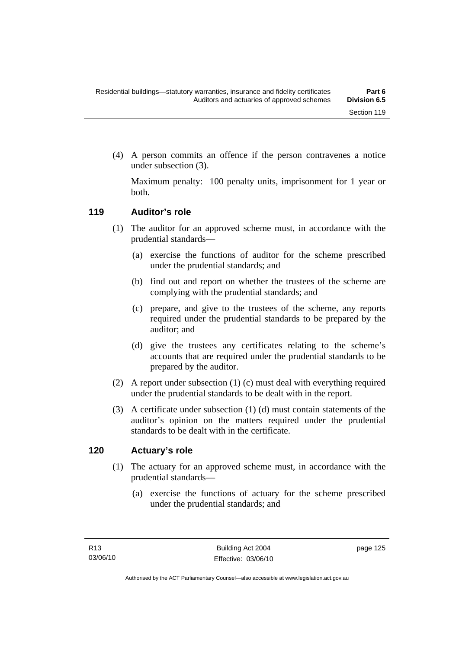(4) A person commits an offence if the person contravenes a notice under subsection (3).

Maximum penalty: 100 penalty units, imprisonment for 1 year or both.

## **119 Auditor's role**

- (1) The auditor for an approved scheme must, in accordance with the prudential standards—
	- (a) exercise the functions of auditor for the scheme prescribed under the prudential standards; and
	- (b) find out and report on whether the trustees of the scheme are complying with the prudential standards; and
	- (c) prepare, and give to the trustees of the scheme, any reports required under the prudential standards to be prepared by the auditor; and
	- (d) give the trustees any certificates relating to the scheme's accounts that are required under the prudential standards to be prepared by the auditor.
- (2) A report under subsection (1) (c) must deal with everything required under the prudential standards to be dealt with in the report.
- (3) A certificate under subsection (1) (d) must contain statements of the auditor's opinion on the matters required under the prudential standards to be dealt with in the certificate.

#### **120 Actuary's role**

- (1) The actuary for an approved scheme must, in accordance with the prudential standards—
	- (a) exercise the functions of actuary for the scheme prescribed under the prudential standards; and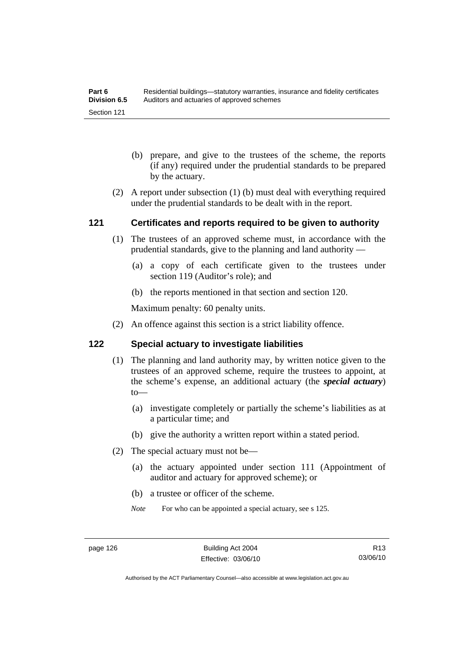- (b) prepare, and give to the trustees of the scheme, the reports (if any) required under the prudential standards to be prepared by the actuary.
- (2) A report under subsection (1) (b) must deal with everything required under the prudential standards to be dealt with in the report.

## **121 Certificates and reports required to be given to authority**

- (1) The trustees of an approved scheme must, in accordance with the prudential standards, give to the planning and land authority —
	- (a) a copy of each certificate given to the trustees under section 119 (Auditor's role); and
	- (b) the reports mentioned in that section and section 120.

Maximum penalty: 60 penalty units.

(2) An offence against this section is a strict liability offence.

#### **122 Special actuary to investigate liabilities**

- (1) The planning and land authority may, by written notice given to the trustees of an approved scheme, require the trustees to appoint, at the scheme's expense, an additional actuary (the *special actuary*) to—
	- (a) investigate completely or partially the scheme's liabilities as at a particular time; and
	- (b) give the authority a written report within a stated period.
- (2) The special actuary must not be—
	- (a) the actuary appointed under section 111 (Appointment of auditor and actuary for approved scheme); or
	- (b) a trustee or officer of the scheme.
	- *Note* For who can be appointed a special actuary, see s 125.

Authorised by the ACT Parliamentary Counsel—also accessible at www.legislation.act.gov.au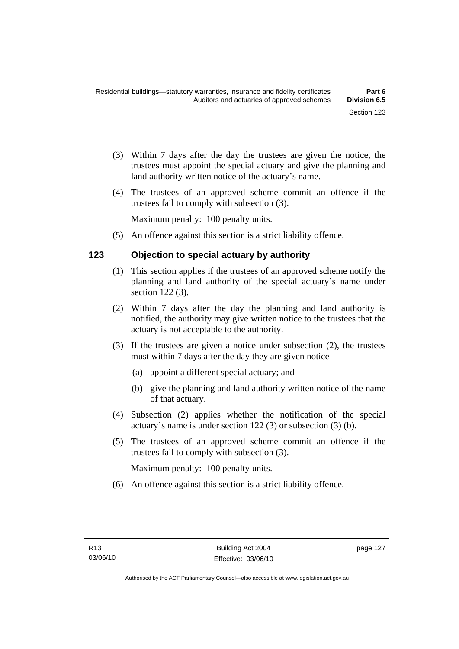- (3) Within 7 days after the day the trustees are given the notice, the trustees must appoint the special actuary and give the planning and land authority written notice of the actuary's name.
- (4) The trustees of an approved scheme commit an offence if the trustees fail to comply with subsection (3).

Maximum penalty: 100 penalty units.

(5) An offence against this section is a strict liability offence.

## **123 Objection to special actuary by authority**

- (1) This section applies if the trustees of an approved scheme notify the planning and land authority of the special actuary's name under section 122 (3).
- (2) Within 7 days after the day the planning and land authority is notified, the authority may give written notice to the trustees that the actuary is not acceptable to the authority.
- (3) If the trustees are given a notice under subsection (2), the trustees must within 7 days after the day they are given notice—
	- (a) appoint a different special actuary; and
	- (b) give the planning and land authority written notice of the name of that actuary.
- (4) Subsection (2) applies whether the notification of the special actuary's name is under section 122 (3) or subsection (3) (b).
- (5) The trustees of an approved scheme commit an offence if the trustees fail to comply with subsection (3).

Maximum penalty: 100 penalty units.

(6) An offence against this section is a strict liability offence.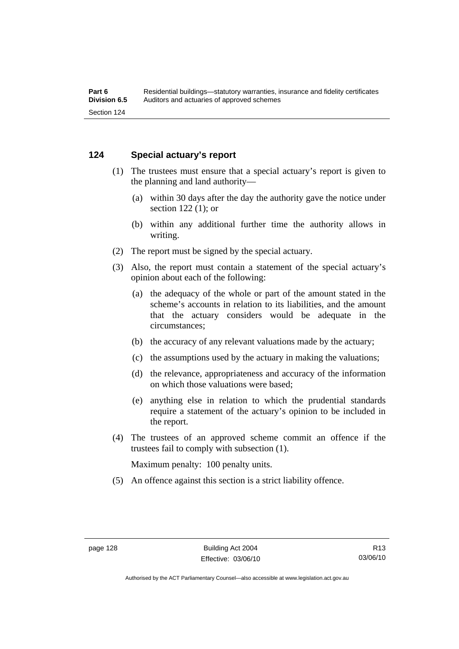#### **124 Special actuary's report**

- (1) The trustees must ensure that a special actuary's report is given to the planning and land authority—
	- (a) within 30 days after the day the authority gave the notice under section 122 (1); or
	- (b) within any additional further time the authority allows in writing.
- (2) The report must be signed by the special actuary.
- (3) Also, the report must contain a statement of the special actuary's opinion about each of the following:
	- (a) the adequacy of the whole or part of the amount stated in the scheme's accounts in relation to its liabilities, and the amount that the actuary considers would be adequate in the circumstances;
	- (b) the accuracy of any relevant valuations made by the actuary;
	- (c) the assumptions used by the actuary in making the valuations;
	- (d) the relevance, appropriateness and accuracy of the information on which those valuations were based;
	- (e) anything else in relation to which the prudential standards require a statement of the actuary's opinion to be included in the report.
- (4) The trustees of an approved scheme commit an offence if the trustees fail to comply with subsection (1).

Maximum penalty: 100 penalty units.

(5) An offence against this section is a strict liability offence.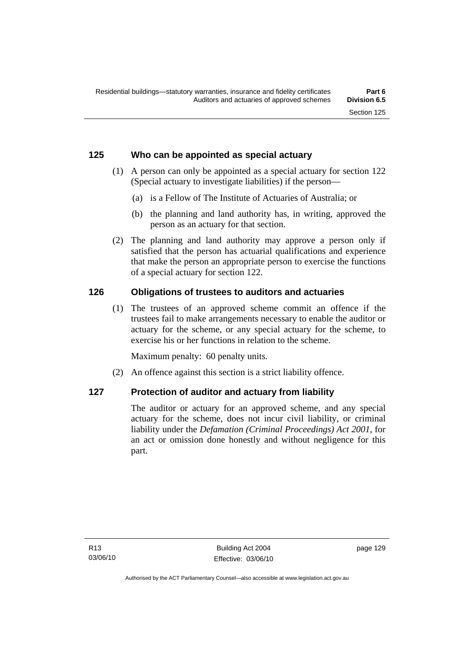## **125 Who can be appointed as special actuary**

- (1) A person can only be appointed as a special actuary for section 122 (Special actuary to investigate liabilities) if the person—
	- (a) is a Fellow of The Institute of Actuaries of Australia; or
	- (b) the planning and land authority has, in writing, approved the person as an actuary for that section.
- (2) The planning and land authority may approve a person only if satisfied that the person has actuarial qualifications and experience that make the person an appropriate person to exercise the functions of a special actuary for section 122.

## **126 Obligations of trustees to auditors and actuaries**

 (1) The trustees of an approved scheme commit an offence if the trustees fail to make arrangements necessary to enable the auditor or actuary for the scheme, or any special actuary for the scheme, to exercise his or her functions in relation to the scheme.

Maximum penalty: 60 penalty units.

(2) An offence against this section is a strict liability offence.

## **127 Protection of auditor and actuary from liability**

The auditor or actuary for an approved scheme, and any special actuary for the scheme, does not incur civil liability, or criminal liability under the *Defamation (Criminal Proceedings) Act 2001*, for an act or omission done honestly and without negligence for this part.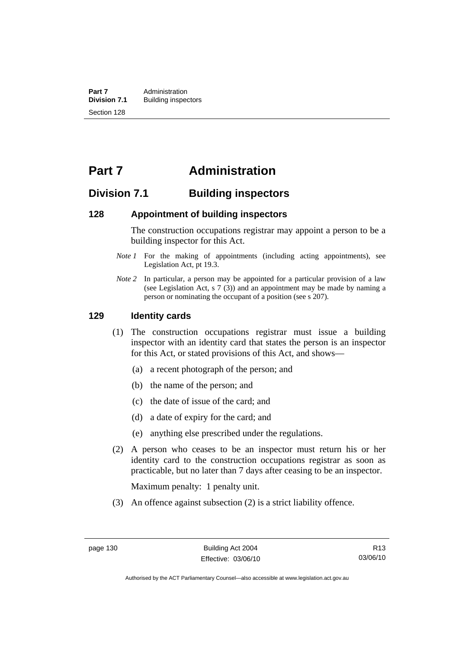**Part 7 Administration**<br>**Division 7.1** Building inspect **Division 7.1** Building inspectors Section 128

## **Part 7 Administration**

## **Division 7.1 Building inspectors**

#### **128 Appointment of building inspectors**

The construction occupations registrar may appoint a person to be a building inspector for this Act.

- *Note 1* For the making of appointments (including acting appointments), see Legislation Act, pt 19.3.
- *Note 2* In particular, a person may be appointed for a particular provision of a law (see Legislation Act, s 7 (3)) and an appointment may be made by naming a person or nominating the occupant of a position (see s 207).

#### **129 Identity cards**

- (1) The construction occupations registrar must issue a building inspector with an identity card that states the person is an inspector for this Act, or stated provisions of this Act, and shows—
	- (a) a recent photograph of the person; and
	- (b) the name of the person; and
	- (c) the date of issue of the card; and
	- (d) a date of expiry for the card; and
	- (e) anything else prescribed under the regulations.
- (2) A person who ceases to be an inspector must return his or her identity card to the construction occupations registrar as soon as practicable, but no later than 7 days after ceasing to be an inspector.

Maximum penalty: 1 penalty unit.

(3) An offence against subsection (2) is a strict liability offence.

Authorised by the ACT Parliamentary Counsel—also accessible at www.legislation.act.gov.au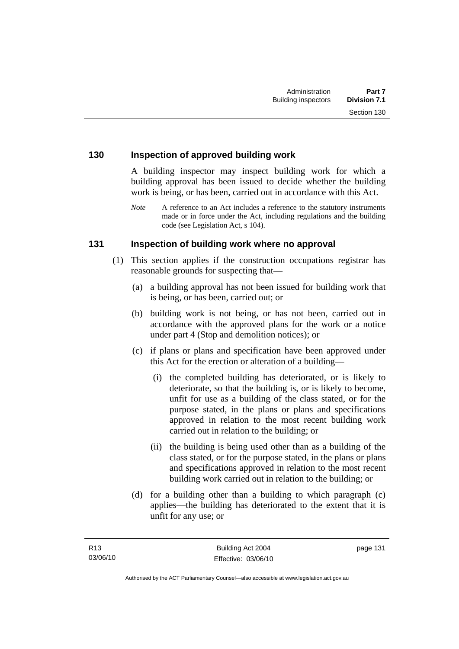### **130 Inspection of approved building work**

A building inspector may inspect building work for which a building approval has been issued to decide whether the building work is being, or has been, carried out in accordance with this Act.

*Note* A reference to an Act includes a reference to the statutory instruments made or in force under the Act, including regulations and the building code (see Legislation Act, s 104).

#### **131 Inspection of building work where no approval**

- (1) This section applies if the construction occupations registrar has reasonable grounds for suspecting that—
	- (a) a building approval has not been issued for building work that is being, or has been, carried out; or
	- (b) building work is not being, or has not been, carried out in accordance with the approved plans for the work or a notice under part 4 (Stop and demolition notices); or
	- (c) if plans or plans and specification have been approved under this Act for the erection or alteration of a building—
		- (i) the completed building has deteriorated, or is likely to deteriorate, so that the building is, or is likely to become, unfit for use as a building of the class stated, or for the purpose stated, in the plans or plans and specifications approved in relation to the most recent building work carried out in relation to the building; or
		- (ii) the building is being used other than as a building of the class stated, or for the purpose stated, in the plans or plans and specifications approved in relation to the most recent building work carried out in relation to the building; or
	- (d) for a building other than a building to which paragraph (c) applies—the building has deteriorated to the extent that it is unfit for any use; or

page 131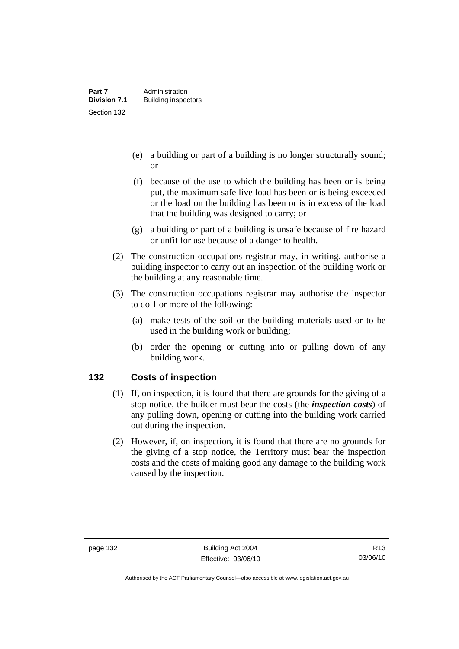- (e) a building or part of a building is no longer structurally sound; or
- (f) because of the use to which the building has been or is being put, the maximum safe live load has been or is being exceeded or the load on the building has been or is in excess of the load that the building was designed to carry; or
- (g) a building or part of a building is unsafe because of fire hazard or unfit for use because of a danger to health.
- (2) The construction occupations registrar may, in writing, authorise a building inspector to carry out an inspection of the building work or the building at any reasonable time.
- (3) The construction occupations registrar may authorise the inspector to do 1 or more of the following:
	- (a) make tests of the soil or the building materials used or to be used in the building work or building;
	- (b) order the opening or cutting into or pulling down of any building work.

## **132 Costs of inspection**

- (1) If, on inspection, it is found that there are grounds for the giving of a stop notice, the builder must bear the costs (the *inspection costs*) of any pulling down, opening or cutting into the building work carried out during the inspection.
- (2) However, if, on inspection, it is found that there are no grounds for the giving of a stop notice, the Territory must bear the inspection costs and the costs of making good any damage to the building work caused by the inspection.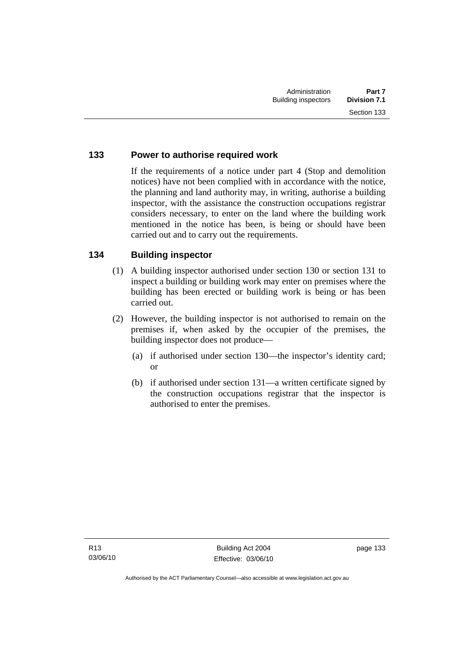## **133 Power to authorise required work**

If the requirements of a notice under part 4 (Stop and demolition notices) have not been complied with in accordance with the notice, the planning and land authority may, in writing, authorise a building inspector, with the assistance the construction occupations registrar considers necessary, to enter on the land where the building work mentioned in the notice has been, is being or should have been carried out and to carry out the requirements.

## **134 Building inspector**

- (1) A building inspector authorised under section 130 or section 131 to inspect a building or building work may enter on premises where the building has been erected or building work is being or has been carried out.
- (2) However, the building inspector is not authorised to remain on the premises if, when asked by the occupier of the premises, the building inspector does not produce—
	- (a) if authorised under section 130—the inspector's identity card; or
	- (b) if authorised under section 131—a written certificate signed by the construction occupations registrar that the inspector is authorised to enter the premises.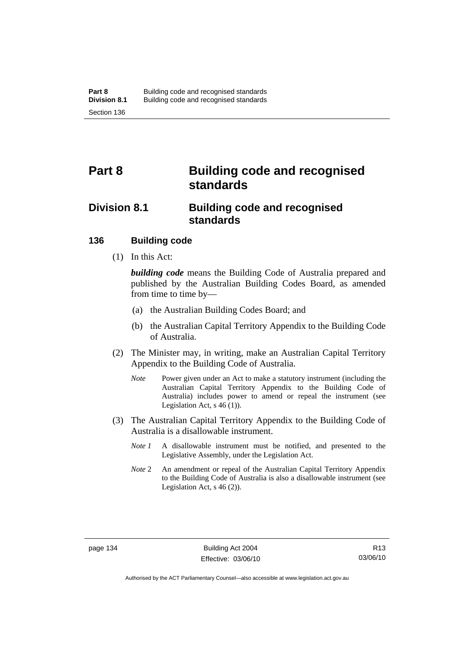# **Part 8 Building code and recognised standards**

## **Division 8.1 Building code and recognised standards**

## **136 Building code**

(1) In this Act:

*building code* means the Building Code of Australia prepared and published by the Australian Building Codes Board, as amended from time to time by—

- (a) the Australian Building Codes Board; and
- (b) the Australian Capital Territory Appendix to the Building Code of Australia.
- (2) The Minister may, in writing, make an Australian Capital Territory Appendix to the Building Code of Australia.
	- *Note* Power given under an Act to make a statutory instrument (including the Australian Capital Territory Appendix to the Building Code of Australia) includes power to amend or repeal the instrument (see Legislation Act, s 46 (1)).
- (3) The Australian Capital Territory Appendix to the Building Code of Australia is a disallowable instrument.
	- *Note 1* A disallowable instrument must be notified, and presented to the Legislative Assembly, under the Legislation Act.
	- *Note* 2 An amendment or repeal of the Australian Capital Territory Appendix to the Building Code of Australia is also a disallowable instrument (see Legislation Act, s 46 (2)).

Authorised by the ACT Parliamentary Counsel—also accessible at www.legislation.act.gov.au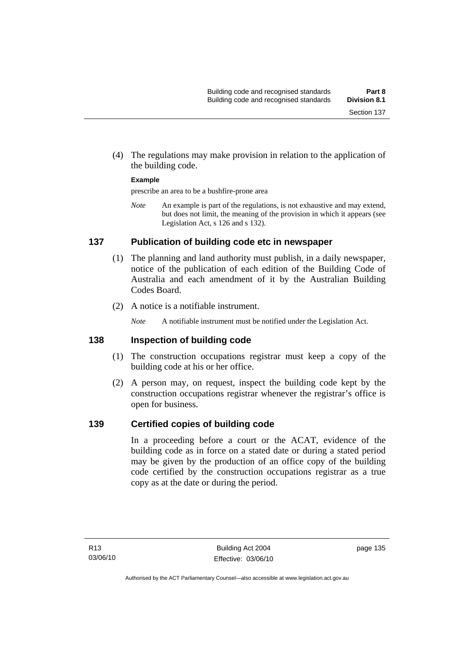(4) The regulations may make provision in relation to the application of the building code.

### **Example**

prescribe an area to be a bushfire-prone area

*Note* An example is part of the regulations, is not exhaustive and may extend, but does not limit, the meaning of the provision in which it appears (see Legislation Act, s 126 and s 132).

# **137 Publication of building code etc in newspaper**

- (1) The planning and land authority must publish, in a daily newspaper, notice of the publication of each edition of the Building Code of Australia and each amendment of it by the Australian Building Codes Board.
- (2) A notice is a notifiable instrument.

*Note* A notifiable instrument must be notified under the Legislation Act.

# **138 Inspection of building code**

- (1) The construction occupations registrar must keep a copy of the building code at his or her office.
- (2) A person may, on request, inspect the building code kept by the construction occupations registrar whenever the registrar's office is open for business.

# **139 Certified copies of building code**

In a proceeding before a court or the ACAT, evidence of the building code as in force on a stated date or during a stated period may be given by the production of an office copy of the building code certified by the construction occupations registrar as a true copy as at the date or during the period.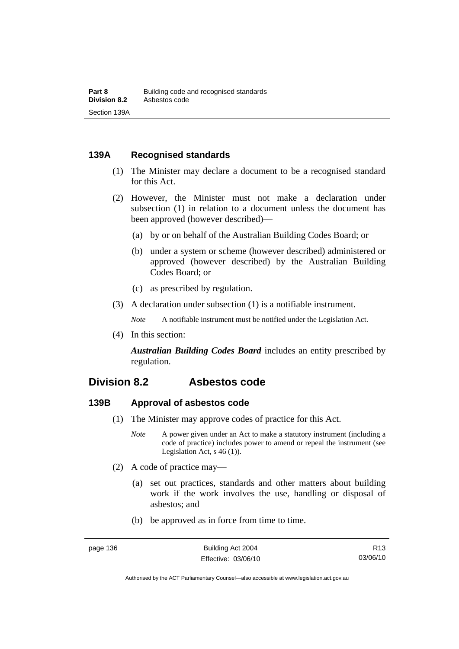# **139A Recognised standards**

- (1) The Minister may declare a document to be a recognised standard for this Act.
- (2) However, the Minister must not make a declaration under subsection (1) in relation to a document unless the document has been approved (however described)—
	- (a) by or on behalf of the Australian Building Codes Board; or
	- (b) under a system or scheme (however described) administered or approved (however described) by the Australian Building Codes Board; or
	- (c) as prescribed by regulation.
- (3) A declaration under subsection (1) is a notifiable instrument.

*Note* A notifiable instrument must be notified under the Legislation Act.

(4) In this section:

*Australian Building Codes Board* includes an entity prescribed by regulation.

# **Division 8.2 Asbestos code**

# **139B Approval of asbestos code**

- (1) The Minister may approve codes of practice for this Act.
	- *Note* A power given under an Act to make a statutory instrument (including a code of practice) includes power to amend or repeal the instrument (see Legislation Act, s 46 (1)).
- (2) A code of practice may—
	- (a) set out practices, standards and other matters about building work if the work involves the use, handling or disposal of asbestos; and
	- (b) be approved as in force from time to time.

Authorised by the ACT Parliamentary Counsel—also accessible at www.legislation.act.gov.au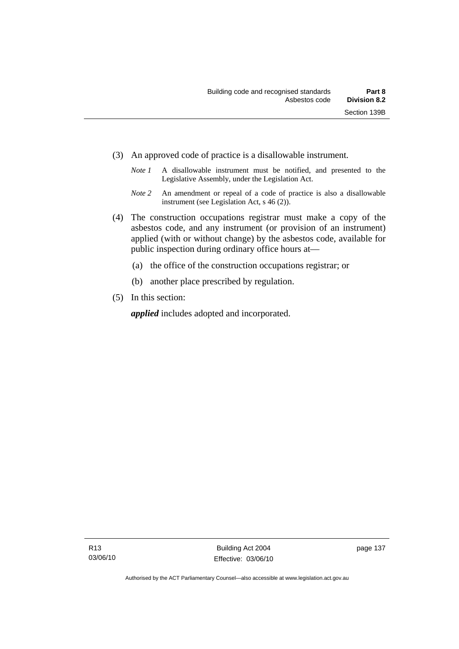- (3) An approved code of practice is a disallowable instrument.
	- *Note 1* A disallowable instrument must be notified, and presented to the Legislative Assembly, under the Legislation Act.
	- *Note 2* An amendment or repeal of a code of practice is also a disallowable instrument (see Legislation Act, s 46 (2)).
- (4) The construction occupations registrar must make a copy of the asbestos code, and any instrument (or provision of an instrument) applied (with or without change) by the asbestos code, available for public inspection during ordinary office hours at—
	- (a) the office of the construction occupations registrar; or
	- (b) another place prescribed by regulation.
- (5) In this section:

*applied* includes adopted and incorporated.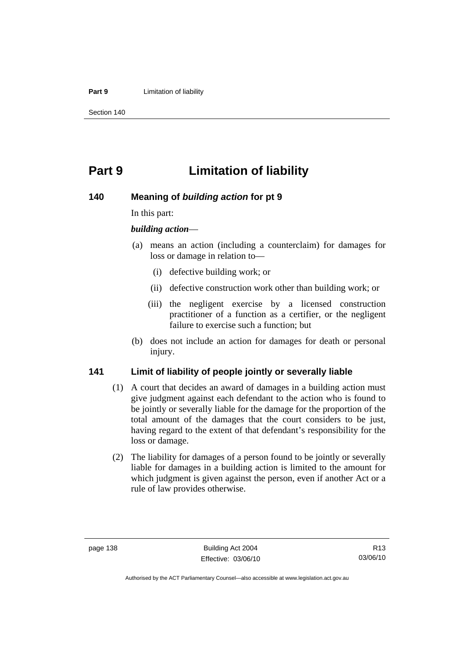#### **Part 9 Limitation of liability**

Section 140

# **Part 9 Limitation of liability**

# **140 Meaning of** *building action* **for pt 9**

In this part:

## *building action*—

- (a) means an action (including a counterclaim) for damages for loss or damage in relation to—
	- (i) defective building work; or
	- (ii) defective construction work other than building work; or
	- (iii) the negligent exercise by a licensed construction practitioner of a function as a certifier, or the negligent failure to exercise such a function; but
- (b) does not include an action for damages for death or personal injury.

# **141 Limit of liability of people jointly or severally liable**

- (1) A court that decides an award of damages in a building action must give judgment against each defendant to the action who is found to be jointly or severally liable for the damage for the proportion of the total amount of the damages that the court considers to be just, having regard to the extent of that defendant's responsibility for the loss or damage.
- (2) The liability for damages of a person found to be jointly or severally liable for damages in a building action is limited to the amount for which judgment is given against the person, even if another Act or a rule of law provides otherwise.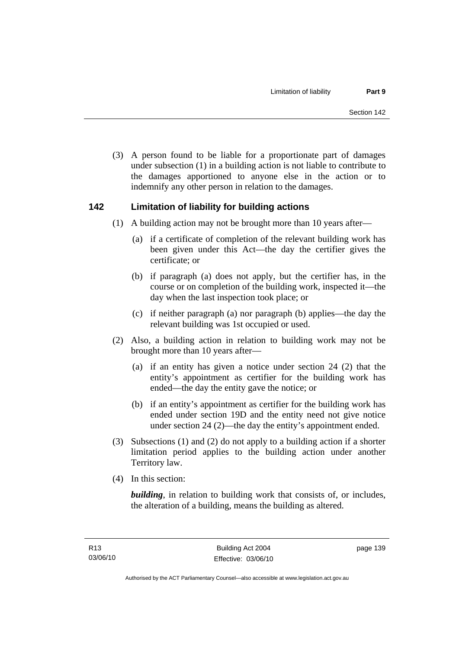(3) A person found to be liable for a proportionate part of damages under subsection (1) in a building action is not liable to contribute to the damages apportioned to anyone else in the action or to indemnify any other person in relation to the damages.

# **142 Limitation of liability for building actions**

- (1) A building action may not be brought more than 10 years after—
	- (a) if a certificate of completion of the relevant building work has been given under this Act—the day the certifier gives the certificate; or
	- (b) if paragraph (a) does not apply, but the certifier has, in the course or on completion of the building work, inspected it—the day when the last inspection took place; or
	- (c) if neither paragraph (a) nor paragraph (b) applies—the day the relevant building was 1st occupied or used.
- (2) Also, a building action in relation to building work may not be brought more than 10 years after—
	- (a) if an entity has given a notice under section 24 (2) that the entity's appointment as certifier for the building work has ended—the day the entity gave the notice; or
	- (b) if an entity's appointment as certifier for the building work has ended under section 19D and the entity need not give notice under section 24 (2)—the day the entity's appointment ended.
- (3) Subsections (1) and (2) do not apply to a building action if a shorter limitation period applies to the building action under another Territory law.
- (4) In this section:

*building*, in relation to building work that consists of, or includes, the alteration of a building, means the building as altered.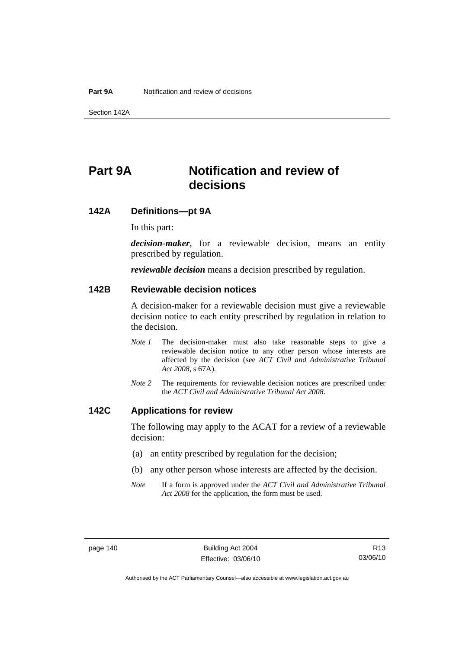Section 142A

# **Part 9A Notification and review of decisions**

# **142A Definitions***—***pt 9A**

In this part:

*decision-maker*, for a reviewable decision, means an entity prescribed by regulation.

*reviewable decision* means a decision prescribed by regulation.

# **142B Reviewable decision notices**

A decision-maker for a reviewable decision must give a reviewable decision notice to each entity prescribed by regulation in relation to the decision.

- *Note 1* The decision-maker must also take reasonable steps to give a reviewable decision notice to any other person whose interests are affected by the decision (see *ACT Civil and Administrative Tribunal Act 2008*, s 67A).
- *Note 2* The requirements for reviewable decision notices are prescribed under the *ACT Civil and Administrative Tribunal Act 2008*.

# **142C Applications for review**

The following may apply to the ACAT for a review of a reviewable decision:

- (a) an entity prescribed by regulation for the decision;
- (b) any other person whose interests are affected by the decision.
- *Note* If a form is approved under the *ACT Civil and Administrative Tribunal Act 2008* for the application, the form must be used.

Authorised by the ACT Parliamentary Counsel—also accessible at www.legislation.act.gov.au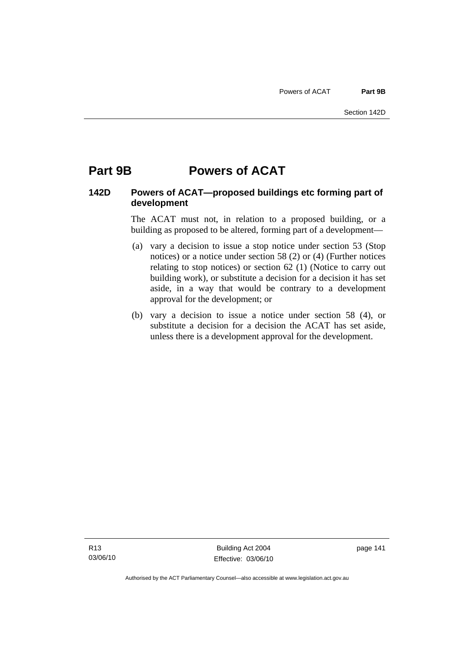# **Part 9B Powers of ACAT**

# **142D Powers of ACAT—proposed buildings etc forming part of development**

The ACAT must not, in relation to a proposed building, or a building as proposed to be altered, forming part of a development—

- (a) vary a decision to issue a stop notice under section 53 (Stop notices) or a notice under section 58 (2) or (4) (Further notices relating to stop notices) or section 62 (1) (Notice to carry out building work), or substitute a decision for a decision it has set aside, in a way that would be contrary to a development approval for the development; or
- (b) vary a decision to issue a notice under section 58 (4), or substitute a decision for a decision the ACAT has set aside, unless there is a development approval for the development.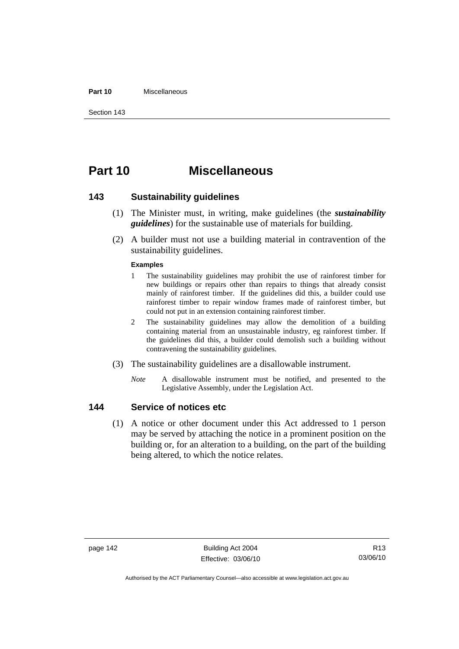#### **Part 10** Miscellaneous

Section 143

# **Part 10 Miscellaneous**

### **143 Sustainability guidelines**

- (1) The Minister must, in writing, make guidelines (the *sustainability guidelines*) for the sustainable use of materials for building.
- (2) A builder must not use a building material in contravention of the sustainability guidelines.

#### **Examples**

- 1 The sustainability guidelines may prohibit the use of rainforest timber for new buildings or repairs other than repairs to things that already consist mainly of rainforest timber. If the guidelines did this, a builder could use rainforest timber to repair window frames made of rainforest timber, but could not put in an extension containing rainforest timber.
- 2 The sustainability guidelines may allow the demolition of a building containing material from an unsustainable industry, eg rainforest timber. If the guidelines did this, a builder could demolish such a building without contravening the sustainability guidelines.
- (3) The sustainability guidelines are a disallowable instrument.
	- *Note* A disallowable instrument must be notified, and presented to the Legislative Assembly, under the Legislation Act.

### **144 Service of notices etc**

 (1) A notice or other document under this Act addressed to 1 person may be served by attaching the notice in a prominent position on the building or, for an alteration to a building, on the part of the building being altered, to which the notice relates.

page 142 Building Act 2004 Effective: 03/06/10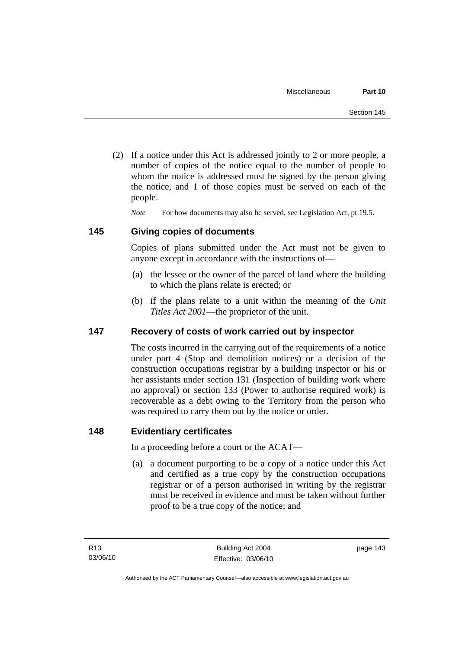(2) If a notice under this Act is addressed jointly to 2 or more people, a number of copies of the notice equal to the number of people to whom the notice is addressed must be signed by the person giving the notice, and 1 of those copies must be served on each of the people.

*Note* For how documents may also be served, see Legislation Act, pt 19.5.

# **145 Giving copies of documents**

Copies of plans submitted under the Act must not be given to anyone except in accordance with the instructions of—

- (a) the lessee or the owner of the parcel of land where the building to which the plans relate is erected; or
- (b) if the plans relate to a unit within the meaning of the *Unit Titles Act 2001*—the proprietor of the unit.

# **147 Recovery of costs of work carried out by inspector**

The costs incurred in the carrying out of the requirements of a notice under part 4 (Stop and demolition notices) or a decision of the construction occupations registrar by a building inspector or his or her assistants under section 131 (Inspection of building work where no approval) or section 133 (Power to authorise required work) is recoverable as a debt owing to the Territory from the person who was required to carry them out by the notice or order.

# **148 Evidentiary certificates**

In a proceeding before a court or the ACAT—

 (a) a document purporting to be a copy of a notice under this Act and certified as a true copy by the construction occupations registrar or of a person authorised in writing by the registrar must be received in evidence and must be taken without further proof to be a true copy of the notice; and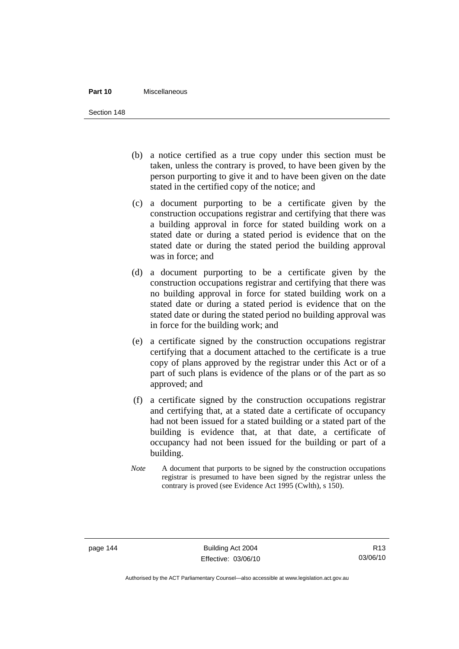#### **Part 10** Miscellaneous

Section 148

- (b) a notice certified as a true copy under this section must be taken, unless the contrary is proved, to have been given by the person purporting to give it and to have been given on the date stated in the certified copy of the notice; and
- (c) a document purporting to be a certificate given by the construction occupations registrar and certifying that there was a building approval in force for stated building work on a stated date or during a stated period is evidence that on the stated date or during the stated period the building approval was in force; and
- (d) a document purporting to be a certificate given by the construction occupations registrar and certifying that there was no building approval in force for stated building work on a stated date or during a stated period is evidence that on the stated date or during the stated period no building approval was in force for the building work; and
- (e) a certificate signed by the construction occupations registrar certifying that a document attached to the certificate is a true copy of plans approved by the registrar under this Act or of a part of such plans is evidence of the plans or of the part as so approved; and
- (f) a certificate signed by the construction occupations registrar and certifying that, at a stated date a certificate of occupancy had not been issued for a stated building or a stated part of the building is evidence that, at that date, a certificate of occupancy had not been issued for the building or part of a building.
- *Note* A document that purports to be signed by the construction occupations registrar is presumed to have been signed by the registrar unless the contrary is proved (see Evidence Act 1995 (Cwlth), s 150).

page 144 Building Act 2004 Effective: 03/06/10

R13 03/06/10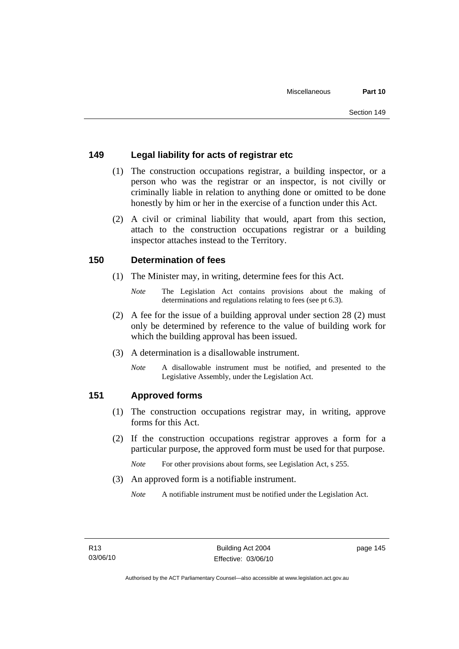# **149 Legal liability for acts of registrar etc**

- (1) The construction occupations registrar, a building inspector, or a person who was the registrar or an inspector, is not civilly or criminally liable in relation to anything done or omitted to be done honestly by him or her in the exercise of a function under this Act.
- (2) A civil or criminal liability that would, apart from this section, attach to the construction occupations registrar or a building inspector attaches instead to the Territory.

# **150 Determination of fees**

- (1) The Minister may, in writing, determine fees for this Act.
	- *Note* The Legislation Act contains provisions about the making of determinations and regulations relating to fees (see pt 6.3).
- (2) A fee for the issue of a building approval under section 28 (2) must only be determined by reference to the value of building work for which the building approval has been issued.
- (3) A determination is a disallowable instrument.
	- *Note* A disallowable instrument must be notified, and presented to the Legislative Assembly, under the Legislation Act.

# **151 Approved forms**

- (1) The construction occupations registrar may, in writing, approve forms for this Act.
- (2) If the construction occupations registrar approves a form for a particular purpose, the approved form must be used for that purpose.

*Note* For other provisions about forms, see Legislation Act, s 255.

(3) An approved form is a notifiable instrument.

*Note* A notifiable instrument must be notified under the Legislation Act.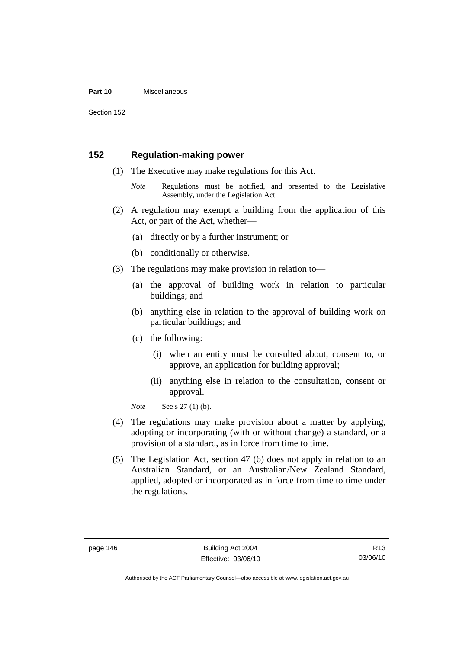#### **Part 10** Miscellaneous

Section 152

# **152 Regulation-making power**

- (1) The Executive may make regulations for this Act.
	- *Note* Regulations must be notified, and presented to the Legislative Assembly, under the Legislation Act.
- (2) A regulation may exempt a building from the application of this Act, or part of the Act, whether—
	- (a) directly or by a further instrument; or
	- (b) conditionally or otherwise.
- (3) The regulations may make provision in relation to—
	- (a) the approval of building work in relation to particular buildings; and
	- (b) anything else in relation to the approval of building work on particular buildings; and
	- (c) the following:
		- (i) when an entity must be consulted about, consent to, or approve, an application for building approval;
		- (ii) anything else in relation to the consultation, consent or approval.

*Note* See s 27 (1) (b).

- (4) The regulations may make provision about a matter by applying, adopting or incorporating (with or without change) a standard, or a provision of a standard, as in force from time to time.
- (5) The Legislation Act, section 47 (6) does not apply in relation to an Australian Standard, or an Australian/New Zealand Standard, applied, adopted or incorporated as in force from time to time under the regulations.

Authorised by the ACT Parliamentary Counsel—also accessible at www.legislation.act.gov.au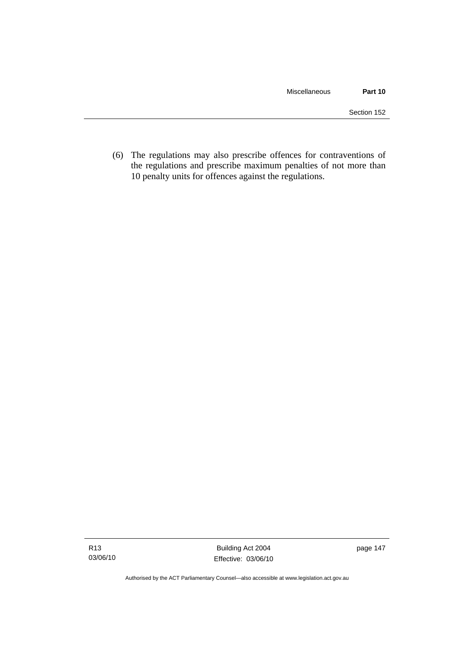(6) The regulations may also prescribe offences for contraventions of the regulations and prescribe maximum penalties of not more than 10 penalty units for offences against the regulations.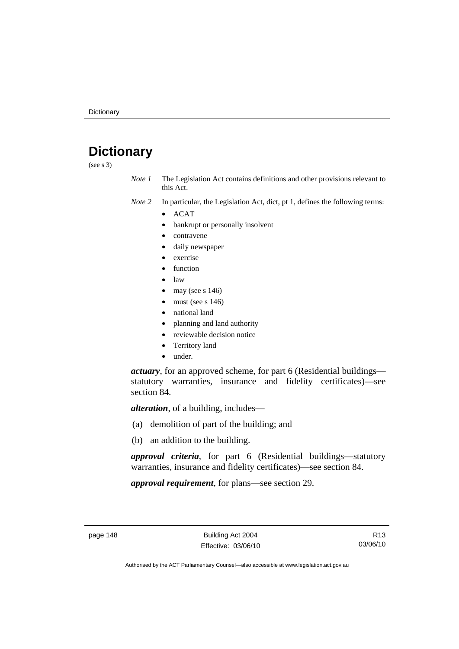# **Dictionary**

(see s 3)

*Note 1* The Legislation Act contains definitions and other provisions relevant to this Act.

*Note 2* In particular, the Legislation Act, dict, pt 1, defines the following terms:

- ACAT
	- bankrupt or personally insolvent
	- contravene
	- daily newspaper
	- exercise
	- function
	- law
	- may (see s  $146$ )
	- must (see s  $146$ )
	- national land
	- planning and land authority
	- reviewable decision notice
	- Territory land
	- under.

*actuary*, for an approved scheme, for part 6 (Residential buildings statutory warranties, insurance and fidelity certificates)—see section 84.

*alteration*, of a building, includes—

- (a) demolition of part of the building; and
- (b) an addition to the building.

*approval criteria*, for part 6 (Residential buildings—statutory warranties, insurance and fidelity certificates)—see section 84.

*approval requirement*, for plans—see section 29.

R13 03/06/10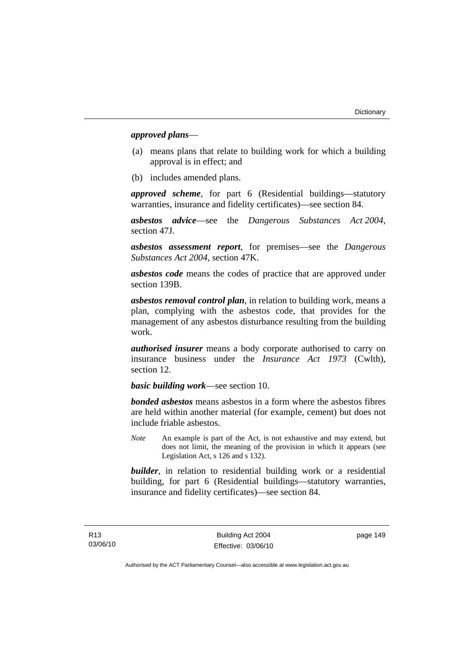### *approved plans*—

- (a) means plans that relate to building work for which a building approval is in effect; and
- (b) includes amended plans.

*approved scheme*, for part 6 (Residential buildings—statutory warranties, insurance and fidelity certificates)—see section 84.

*asbestos advice*—see the *Dangerous Substances Act 2004*, section 47J.

*asbestos assessment report*, for premises—see the *Dangerous Substances Act 2004*, section 47K.

*asbestos code* means the codes of practice that are approved under section 139B.

*asbestos removal control plan*, in relation to building work, means a plan, complying with the asbestos code, that provides for the management of any asbestos disturbance resulting from the building work.

*authorised insurer* means a body corporate authorised to carry on insurance business under the *Insurance Act 1973* (Cwlth), section 12.

*basic building work*—see section 10.

*bonded asbestos* means asbestos in a form where the asbestos fibres are held within another material (for example, cement) but does not include friable asbestos.

*Note* An example is part of the Act, is not exhaustive and may extend, but does not limit, the meaning of the provision in which it appears (see Legislation Act, s 126 and s 132).

*builder*, in relation to residential building work or a residential building, for part 6 (Residential buildings—statutory warranties, insurance and fidelity certificates)—see section 84.

page 149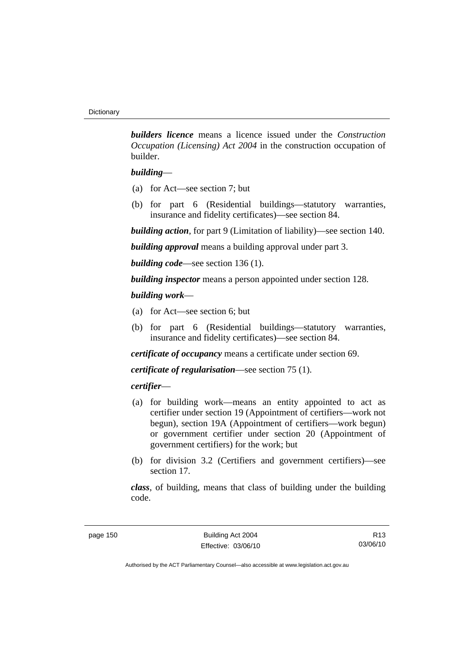*builders licence* means a licence issued under the *Construction Occupation (Licensing) Act 2004* in the construction occupation of builder.

### *building*—

- (a) for Act—see section 7; but
- (b) for part 6 (Residential buildings—statutory warranties, insurance and fidelity certificates)—see section 84.

*building action*, for part 9 (Limitation of liability)—see section 140.

*building approval* means a building approval under part 3.

*building code*—see section 136 (1).

*building inspector* means a person appointed under section 128.

### *building work*—

- (a) for Act—see section 6; but
- (b) for part 6 (Residential buildings—statutory warranties, insurance and fidelity certificates)—see section 84.

*certificate of occupancy* means a certificate under section 69.

*certificate of regularisation*—see section 75 (1).

### *certifier*—

- (a) for building work—means an entity appointed to act as certifier under section 19 (Appointment of certifiers—work not begun), section 19A (Appointment of certifiers—work begun) or government certifier under section 20 (Appointment of government certifiers) for the work; but
- (b) for division 3.2 (Certifiers and government certifiers)—see section 17.

*class*, of building, means that class of building under the building code.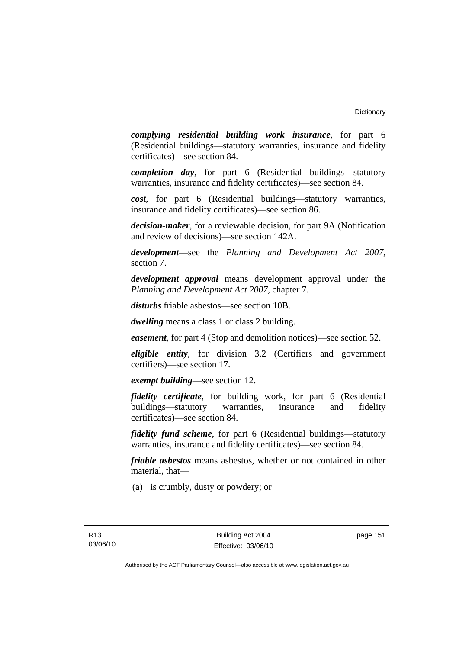*complying residential building work insurance*, for part 6 (Residential buildings—statutory warranties, insurance and fidelity certificates)—see section 84.

*completion day*, for part 6 (Residential buildings—statutory warranties, insurance and fidelity certificates)—see section 84.

*cost*, for part 6 (Residential buildings—statutory warranties, insurance and fidelity certificates)—see section 86.

*decision-maker*, for a reviewable decision, for part 9A (Notification and review of decisions)—see section 142A.

*development*—see the *Planning and Development Act 2007*, section 7.

*development approval* means development approval under the *Planning and Development Act 2007*, chapter 7.

*disturbs* friable asbestos—see section 10B.

*dwelling* means a class 1 or class 2 building.

*easement*, for part 4 (Stop and demolition notices)—see section 52.

*eligible entity*, for division 3.2 (Certifiers and government certifiers)—see section 17.

*exempt building*—see section 12.

*fidelity certificate*, for building work, for part 6 (Residential buildings—statutory warranties, insurance and fidelity certificates)—see section 84.

*fidelity fund scheme*, for part 6 (Residential buildings—statutory warranties, insurance and fidelity certificates)—see section 84.

*friable asbestos* means asbestos, whether or not contained in other material, that—

(a) is crumbly, dusty or powdery; or

page 151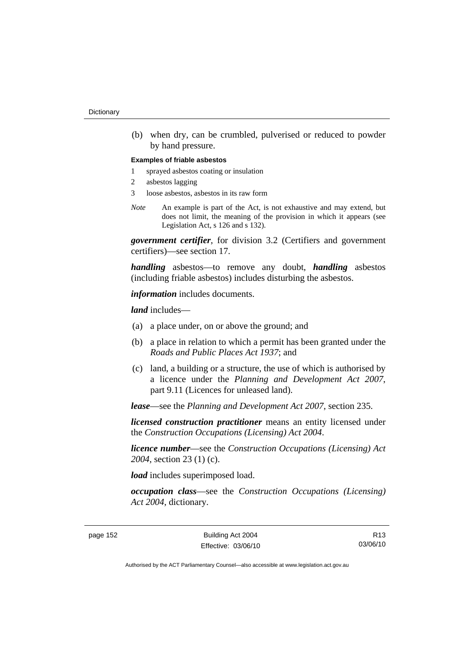(b) when dry, can be crumbled, pulverised or reduced to powder by hand pressure.

#### **Examples of friable asbestos**

- 1 sprayed asbestos coating or insulation
- 2 asbestos lagging
- 3 loose asbestos, asbestos in its raw form
- *Note* An example is part of the Act, is not exhaustive and may extend, but does not limit, the meaning of the provision in which it appears (see Legislation Act, s 126 and s 132).

*government certifier*, for division 3.2 (Certifiers and government certifiers)—see section 17.

*handling* asbestos—to remove any doubt, *handling* asbestos (including friable asbestos) includes disturbing the asbestos.

*information* includes documents.

*land* includes—

- (a) a place under, on or above the ground; and
- (b) a place in relation to which a permit has been granted under the *Roads and Public Places Act 1937*; and
- (c) land, a building or a structure, the use of which is authorised by a licence under the *Planning and Development Act 2007*, part 9.11 (Licences for unleased land).

*lease*—see the *Planning and Development Act 2007*, section 235.

*licensed construction practitioner* means an entity licensed under the *Construction Occupations (Licensing) Act 2004*.

*licence number*—see the *Construction Occupations (Licensing) Act 2004*, section 23 (1) (c).

*load* includes superimposed load.

*occupation class*—see the *Construction Occupations (Licensing) Act 2004*, dictionary.

page 152 Building Act 2004 Effective: 03/06/10

R13 03/06/10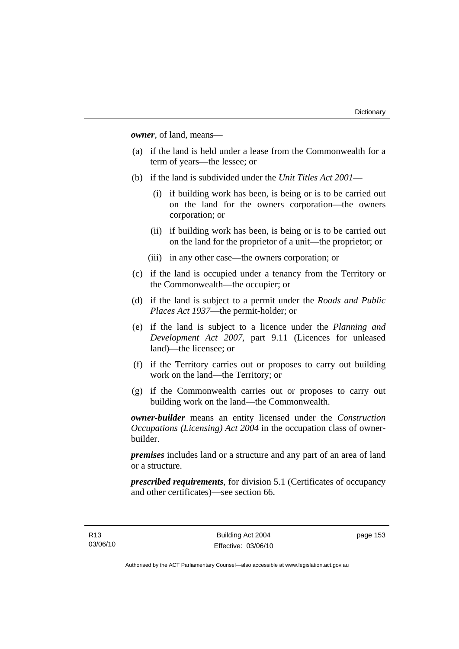*owner*, of land, means—

- (a) if the land is held under a lease from the Commonwealth for a term of years—the lessee; or
- (b) if the land is subdivided under the *Unit Titles Act 2001*
	- (i) if building work has been, is being or is to be carried out on the land for the owners corporation—the owners corporation; or
	- (ii) if building work has been, is being or is to be carried out on the land for the proprietor of a unit—the proprietor; or
	- (iii) in any other case—the owners corporation; or
- (c) if the land is occupied under a tenancy from the Territory or the Commonwealth—the occupier; or
- (d) if the land is subject to a permit under the *Roads and Public Places Act 1937*—the permit-holder; or
- (e) if the land is subject to a licence under the *Planning and Development Act 2007*, part 9.11 (Licences for unleased land)—the licensee; or
- (f) if the Territory carries out or proposes to carry out building work on the land—the Territory; or
- (g) if the Commonwealth carries out or proposes to carry out building work on the land—the Commonwealth.

*owner-builder* means an entity licensed under the *Construction Occupations (Licensing) Act 2004* in the occupation class of ownerbuilder.

*premises* includes land or a structure and any part of an area of land or a structure.

*prescribed requirements*, for division 5.1 (Certificates of occupancy and other certificates)—see section 66.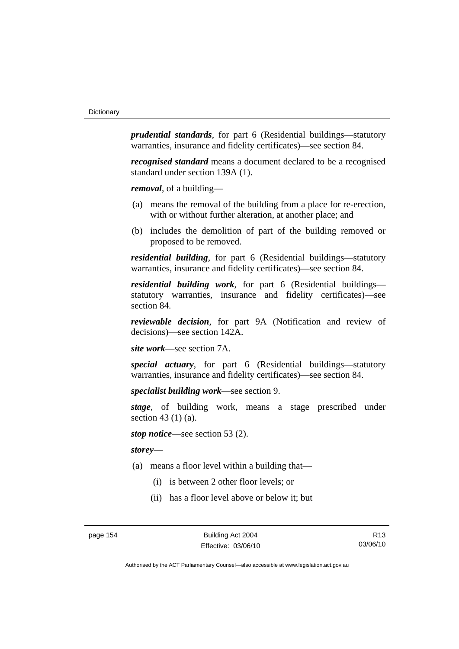*prudential standards*, for part 6 (Residential buildings—statutory warranties, insurance and fidelity certificates)—see section 84.

*recognised standard* means a document declared to be a recognised standard under section 139A (1).

*removal*, of a building—

- (a) means the removal of the building from a place for re-erection, with or without further alteration, at another place; and
- (b) includes the demolition of part of the building removed or proposed to be removed.

*residential building*, for part 6 (Residential buildings—statutory warranties, insurance and fidelity certificates)—see section 84.

*residential building work*, for part 6 (Residential buildings statutory warranties, insurance and fidelity certificates)—see section 84.

*reviewable decision*, for part 9A (Notification and review of decisions)—see section 142A.

*site work*—see section 7A.

*special actuary*, for part 6 (Residential buildings—statutory warranties, insurance and fidelity certificates)—see section 84.

*specialist building work*—see section 9.

*stage*, of building work, means a stage prescribed under section 43 (1) (a).

*stop notice*—see section 53 (2).

*storey*—

- (a) means a floor level within a building that—
	- (i) is between 2 other floor levels; or
	- (ii) has a floor level above or below it; but

page 154 Building Act 2004 Effective: 03/06/10

R13 03/06/10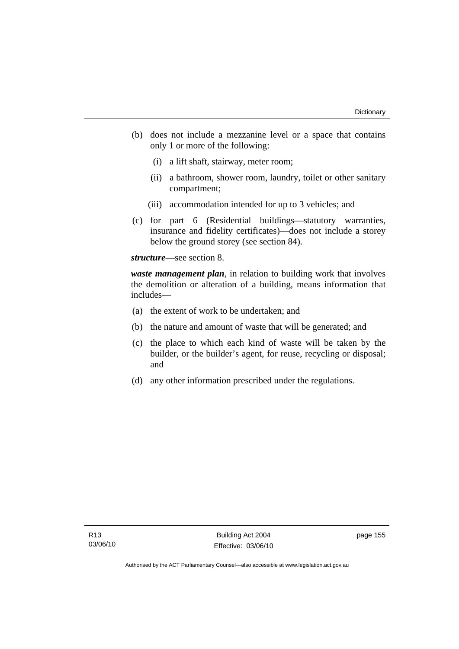- (b) does not include a mezzanine level or a space that contains only 1 or more of the following:
	- (i) a lift shaft, stairway, meter room;
	- (ii) a bathroom, shower room, laundry, toilet or other sanitary compartment;
	- (iii) accommodation intended for up to 3 vehicles; and
- (c) for part 6 (Residential buildings—statutory warranties, insurance and fidelity certificates)—does not include a storey below the ground storey (see section 84).

*structure*—see section 8.

*waste management plan*, in relation to building work that involves the demolition or alteration of a building, means information that includes—

- (a) the extent of work to be undertaken; and
- (b) the nature and amount of waste that will be generated; and
- (c) the place to which each kind of waste will be taken by the builder, or the builder's agent, for reuse, recycling or disposal; and
- (d) any other information prescribed under the regulations.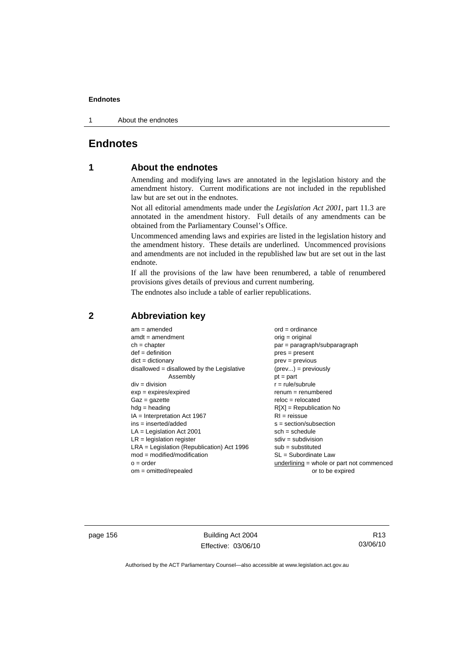1 About the endnotes

# **Endnotes**

# **1 About the endnotes**

Amending and modifying laws are annotated in the legislation history and the amendment history. Current modifications are not included in the republished law but are set out in the endnotes.

Not all editorial amendments made under the *Legislation Act 2001*, part 11.3 are annotated in the amendment history. Full details of any amendments can be obtained from the Parliamentary Counsel's Office.

Uncommenced amending laws and expiries are listed in the legislation history and the amendment history. These details are underlined. Uncommenced provisions and amendments are not included in the republished law but are set out in the last endnote.

If all the provisions of the law have been renumbered, a table of renumbered provisions gives details of previous and current numbering.

The endnotes also include a table of earlier republications.

| $am = amended$                               | $ord = ordinance$                         |
|----------------------------------------------|-------------------------------------------|
| $amdt = amendment$                           | $orig = original$                         |
| $ch = chapter$                               | par = paragraph/subparagraph              |
| $def = definition$                           | $pres = present$                          |
| $dict = dictionary$                          | $prev = previous$                         |
| $disallowed = disallowed by the Legislative$ | $(\text{prev}) = \text{previously}$       |
| Assembly                                     | $pt = part$                               |
| $div = division$                             | $r = rule/subrule$                        |
| $exp = expires/expired$                      | $remum = renumbered$                      |
| $Gaz = gazette$                              | $reloc = relocated$                       |
| $hdg =$ heading                              | $R[X]$ = Republication No                 |
| $IA = Interpretation Act 1967$               | $RI = reissue$                            |
| $ins = inserted/added$                       | $s = section/subsection$                  |
| $LA =$ Legislation Act 2001                  | $sch = schedule$                          |
| $LR =$ legislation register                  | $sdiv = subdivision$                      |
| $LRA =$ Legislation (Republication) Act 1996 | $sub = substituted$                       |
| $mod = modified/modification$                | $SL = Subordinate$ Law                    |
| $o = order$                                  | underlining = whole or part not commenced |
| $om = omitted/report$                        | or to be expired                          |
|                                              |                                           |

# **2 Abbreviation key**

page 156 Building Act 2004 Effective: 03/06/10

R13 03/06/10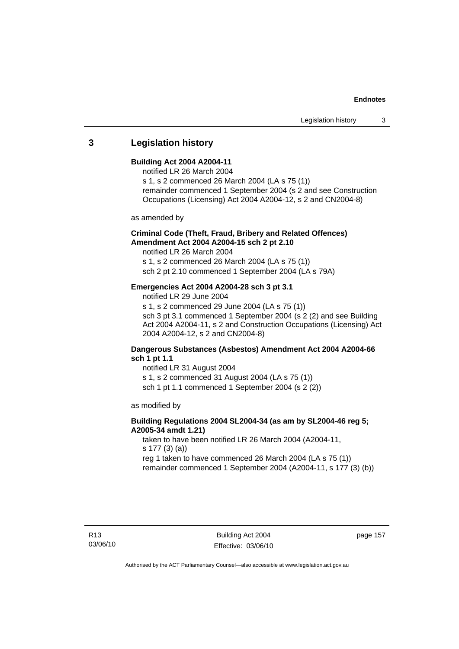### **3 Legislation history**

### **Building Act 2004 A2004-11**

- notified LR 26 March 2004
- s 1, s 2 commenced 26 March 2004 (LA s 75 (1))
- remainder commenced 1 September 2004 (s 2 and see Construction Occupations (Licensing) Act 2004 A2004-12, s 2 and CN2004-8)

as amended by

### **Criminal Code (Theft, Fraud, Bribery and Related Offences) Amendment Act 2004 A2004-15 sch 2 pt 2.10**

notified LR 26 March 2004

s 1, s 2 commenced 26 March 2004 (LA s 75 (1)) sch 2 pt 2.10 commenced 1 September 2004 (LA s 79A)

### **Emergencies Act 2004 A2004-28 sch 3 pt 3.1**

notified LR 29 June 2004

s 1, s 2 commenced 29 June 2004 (LA s 75 (1))

sch 3 pt 3.1 commenced 1 September 2004 (s 2 (2) and see Building Act 2004 A2004-11, s 2 and Construction Occupations (Licensing) Act 2004 A2004-12, s 2 and CN2004-8)

### **Dangerous Substances (Asbestos) Amendment Act 2004 A2004-66 sch 1 pt 1.1**

notified LR 31 August 2004 s 1, s 2 commenced 31 August 2004 (LA s 75 (1)) sch 1 pt 1.1 commenced 1 September 2004 (s 2 (2))

as modified by

### **Building Regulations 2004 SL2004-34 (as am by SL2004-46 reg 5; A2005-34 amdt 1.21)**

taken to have been notified LR 26 March 2004 (A2004-11, s 177 (3) (a)) reg 1 taken to have commenced 26 March 2004 (LA s 75 (1)) remainder commenced 1 September 2004 (A2004-11, s 177 (3) (b))

page 157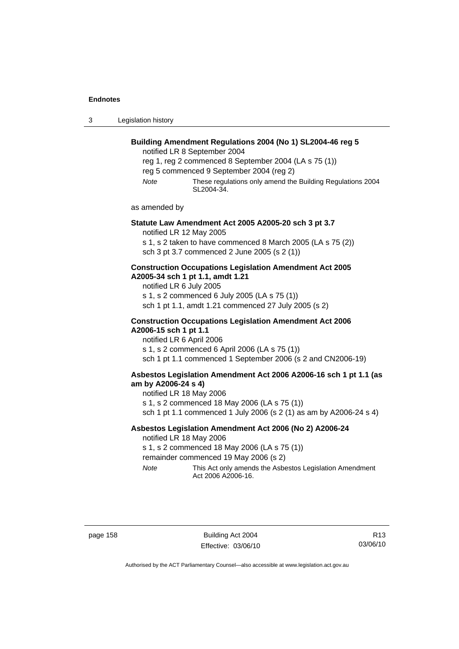3 Legislation history

# **Building Amendment Regulations 2004 (No 1) SL2004-46 reg 5**  notified LR 8 September 2004 reg 1, reg 2 commenced 8 September 2004 (LA s 75 (1)) reg 5 commenced 9 September 2004 (reg 2) *Note* These regulations only amend the Building Regulations 2004 SL2004-34. as amended by **Statute Law Amendment Act 2005 A2005-20 sch 3 pt 3.7**  notified LR 12 May 2005 s 1, s 2 taken to have commenced 8 March 2005 (LA s 75 (2)) sch 3 pt 3.7 commenced 2 June 2005 (s 2 (1)) **Construction Occupations Legislation Amendment Act 2005 A2005-34 sch 1 pt 1.1, amdt 1.21**  notified LR 6 July 2005 s 1, s 2 commenced 6 July 2005 (LA s 75 (1)) sch 1 pt 1.1, amdt 1.21 commenced 27 July 2005 (s 2) **Construction Occupations Legislation Amendment Act 2006 A2006-15 sch 1 pt 1.1**  notified LR 6 April 2006 s 1, s 2 commenced 6 April 2006 (LA s 75 (1)) sch 1 pt 1.1 commenced 1 September 2006 (s 2 and CN2006-19) **Asbestos Legislation Amendment Act 2006 A2006-16 sch 1 pt 1.1 (as am by A2006-24 s 4)**  notified LR 18 May 2006 s 1, s 2 commenced 18 May 2006 (LA s 75 (1)) sch 1 pt 1.1 commenced 1 July 2006 (s 2 (1) as am by A2006-24 s 4) **Asbestos Legislation Amendment Act 2006 (No 2) A2006-24**  notified LR 18 May 2006 s 1, s 2 commenced 18 May 2006 (LA s 75 (1)) remainder commenced 19 May 2006 (s 2) *Note* This Act only amends the Asbestos Legislation Amendment Act 2006 A2006-16.

page 158 Building Act 2004 Effective: 03/06/10

R13 03/06/10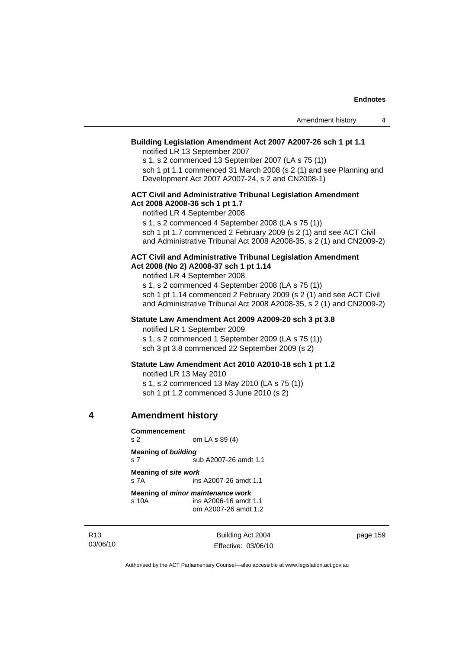### **Building Legislation Amendment Act 2007 A2007-26 sch 1 pt 1.1**

notified LR 13 September 2007

s 1, s 2 commenced 13 September 2007 (LA s 75 (1)) sch 1 pt 1.1 commenced 31 March 2008 (s 2 (1) and see Planning and

Development Act 2007 A2007-24, s 2 and CN2008-1)

### **ACT Civil and Administrative Tribunal Legislation Amendment Act 2008 A2008-36 sch 1 pt 1.7**

notified LR 4 September 2008

s 1, s 2 commenced 4 September 2008 (LA s 75 (1)) sch 1 pt 1.7 commenced 2 February 2009 (s 2 (1) and see ACT Civil

and Administrative Tribunal Act 2008 A2008-35, s 2 (1) and CN2009-2)

#### **ACT Civil and Administrative Tribunal Legislation Amendment Act 2008 (No 2) A2008-37 sch 1 pt 1.14**

notified LR 4 September 2008

s 1, s 2 commenced 4 September 2008 (LA s 75 (1)) sch 1 pt 1.14 commenced 2 February 2009 (s 2 (1) and see ACT Civil and Administrative Tribunal Act 2008 A2008-35, s 2 (1) and CN2009-2)

### **Statute Law Amendment Act 2009 A2009-20 sch 3 pt 3.8**

notified LR 1 September 2009 s 1, s 2 commenced 1 September 2009 (LA s 75 (1)) sch 3 pt 3.8 commenced 22 September 2009 (s 2)

### **Statute Law Amendment Act 2010 A2010-18 sch 1 pt 1.2**

notified LR 13 May 2010

s 1, s 2 commenced 13 May 2010 (LA s 75 (1)) sch 1 pt 1.2 commenced 3 June 2010 (s 2)

### **4 Amendment history**

**Commencement**  om LA s 89 (4) **Meaning of** *building* s 7 sub A2007-26 amdt 1.1 **Meaning of** *site work* s 7A ins A2007-26 amdt 1.1 **Meaning of** *minor maintenance work* s 10A ins A2006-16 amdt 1.1 om A2007-26 amdt 1.2

R13 03/06/10

Building Act 2004 Effective: 03/06/10 page 159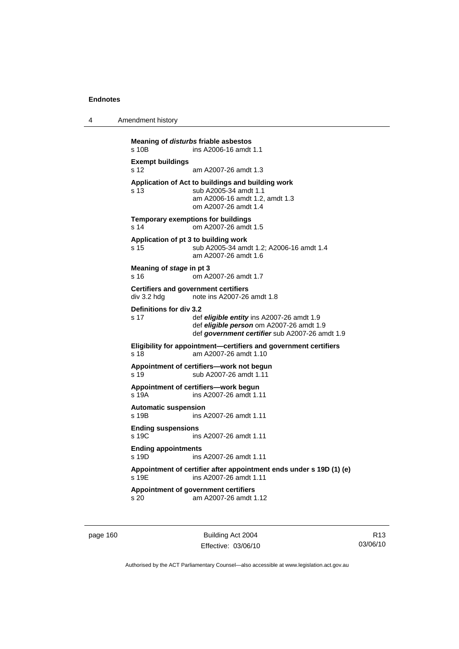| Amendment history<br>4 |  |
|------------------------|--|
|------------------------|--|

**Meaning of** *disturbs* **friable asbestos**  s 10B ins A2006-16 amdt 1.1 **Exempt buildings**  s 12 am A2007-26 amdt 1.3 **Application of Act to buildings and building work**  s 13 sub A2005-34 amdt 1.1 am A2006-16 amdt 1.2, amdt 1.3 om A2007-26 amdt 1.4 **Temporary exemptions for buildings**  s 14 om A2007-26 amdt 1.5 **Application of pt 3 to building work**  s 15 sub A2005-34 amdt 1.2; A2006-16 amdt 1.4 am A2007-26 amdt 1.6 **Meaning of** *stage* **in pt 3**  s 16 om A2007-26 amdt 1.7 **Certifiers and government certifiers**  div 3.2 hdg note ins A2007-26 amdt 1.8 **Definitions for div 3.2**  s 17 def *eligible entity* ins A2007-26 amdt 1.9 def *eligible person* om A2007-26 amdt 1.9 def *government certifier* sub A2007-26 amdt 1.9 **Eligibility for appointment—certifiers and government certifiers**  s 18 am A2007-26 amdt 1.10 **Appointment of certifiers—work not begun**  s 19 sub A2007-26 amdt 1.11 **Appointment of certifiers—work begun**  s 19A ins A2007-26 amdt 1.11 **Automatic suspension**  s 19B ins A2007-26 amdt 1.11 **Ending suspensions**  s 19C ins A2007-26 amdt 1.11 **Ending appointments**  s 19D ins A2007-26 amdt 1.11 **Appointment of certifier after appointment ends under s 19D (1) (e)**  s 19E ins A2007-26 amdt 1.11 **Appointment of government certifiers**  s 20 am A2007-26 amdt 1.12

page 160 Building Act 2004 Effective: 03/06/10

R13 03/06/10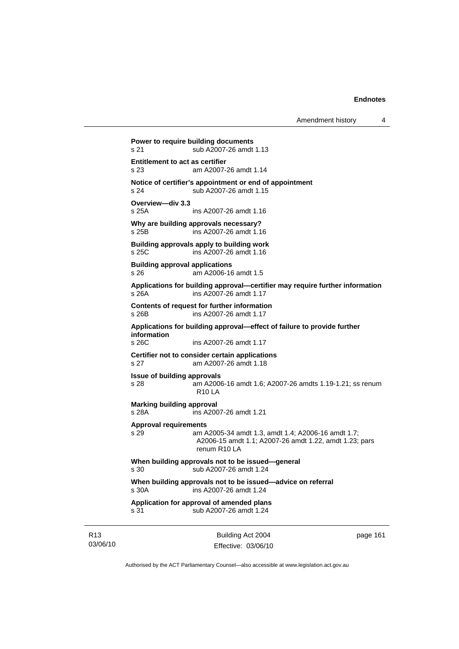Amendment history 4

**Power to require building documents**  s 21 sub A2007-26 amdt 1.13 **Entitlement to act as certifier**  s 23 am A2007-26 amdt 1.14 **Notice of certifier's appointment or end of appointment**  s 24 sub A2007-26 amdt 1.15 **Overview—div 3.3**  s 25A ins A2007-26 amdt 1.16 **Why are building approvals necessary?**  s 25B ins A2007-26 amdt 1.16 **Building approvals apply to building work**  s 25C ins A2007-26 amdt 1.16 **Building approval applications**  s 26 am A2006-16 amdt 1.5 **Applications for building approval—certifier may require further information**  s 26A ins A2007-26 amdt 1.17 **Contents of request for further information**  s 26B ins A2007-26 amdt 1.17 **Applications for building approval—effect of failure to provide further information**  ins A2007-26 amdt 1.17 **Certifier not to consider certain applications**  s 27 am A2007-26 amdt 1.18 **Issue of building approvals**  s 28 am A2006-16 amdt 1.6; A2007-26 amdts 1.19-1.21; ss renum R10 LA **Marking building approval**  s 28A ins A2007-26 amdt 1.21 **Approval requirements**  s 29 am A2005-34 amdt 1.3, amdt 1.4; A2006-16 amdt 1.7; A2006-15 amdt 1.1; A2007-26 amdt 1.22, amdt 1.23; pars renum R10 LA **When building approvals not to be issued—general**  s 30 sub A2007-26 amdt 1.24 **When building approvals not to be issued—advice on referral**  s 30A ins A2007-26 amdt 1.24 **Application for approval of amended plans**  s 31 sub A2007-26 amdt 1.24

R13 03/06/10

Building Act 2004 Effective: 03/06/10 page 161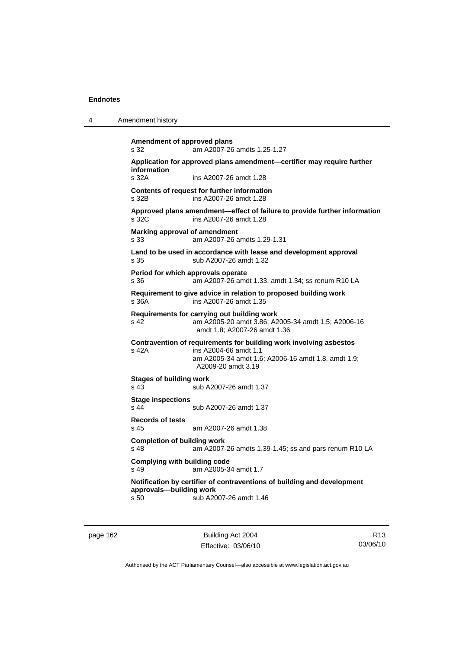4 Amendment history

| Application for approved plans amendment-certifier may require further<br>information<br>s 32A<br>ins A2007-26 amdt 1.28<br>Contents of request for further information<br>ins A2007-26 amdt 1.28<br>s 32B<br>Approved plans amendment-effect of failure to provide further information<br>ins A2007-26 amdt 1.28<br>s 32C<br>Marking approval of amendment<br>am A2007-26 amdts 1.29-1.31<br>s 33<br>Land to be used in accordance with lease and development approval<br>sub A2007-26 amdt 1.32<br>s 35<br>Period for which approvals operate<br>s 36<br>am A2007-26 amdt 1.33, amdt 1.34; ss renum R10 LA<br>Requirement to give advice in relation to proposed building work<br>s 36A<br>ins A2007-26 amdt 1.35<br>Requirements for carrying out building work<br>s 42<br>am A2005-20 amdt 3.86; A2005-34 amdt 1.5; A2006-16<br>amdt 1.8: A2007-26 amdt 1.36<br>Contravention of requirements for building work involving asbestos<br>s 42A<br>ins A2004-66 amdt 1.1<br>am A2005-34 amdt 1.6; A2006-16 amdt 1.8, amdt 1.9;<br>A2009-20 amdt 3.19<br>Stages of building work<br>s 43<br>sub A2007-26 amdt 1.37<br><b>Stage inspections</b><br>$s$ 44<br>sub A2007-26 amdt 1.37<br><b>Records of tests</b><br>s 45<br>am A2007-26 amdt 1.38<br><b>Completion of building work</b><br>s 48<br>am A2007-26 amdts 1.39-1.45; ss and pars renum R10 LA<br><b>Complying with building code</b><br>$s$ 49<br>am A2005-34 amdt 1.7<br>Notification by certifier of contraventions of building and development<br>approvals-building work | s 32 | am A2007-26 amdts 1.25-1.27 |
|-------------------------------------------------------------------------------------------------------------------------------------------------------------------------------------------------------------------------------------------------------------------------------------------------------------------------------------------------------------------------------------------------------------------------------------------------------------------------------------------------------------------------------------------------------------------------------------------------------------------------------------------------------------------------------------------------------------------------------------------------------------------------------------------------------------------------------------------------------------------------------------------------------------------------------------------------------------------------------------------------------------------------------------------------------------------------------------------------------------------------------------------------------------------------------------------------------------------------------------------------------------------------------------------------------------------------------------------------------------------------------------------------------------------------------------------------------------------------------------------------------------------------------------|------|-----------------------------|
|                                                                                                                                                                                                                                                                                                                                                                                                                                                                                                                                                                                                                                                                                                                                                                                                                                                                                                                                                                                                                                                                                                                                                                                                                                                                                                                                                                                                                                                                                                                                     |      |                             |
|                                                                                                                                                                                                                                                                                                                                                                                                                                                                                                                                                                                                                                                                                                                                                                                                                                                                                                                                                                                                                                                                                                                                                                                                                                                                                                                                                                                                                                                                                                                                     |      |                             |
|                                                                                                                                                                                                                                                                                                                                                                                                                                                                                                                                                                                                                                                                                                                                                                                                                                                                                                                                                                                                                                                                                                                                                                                                                                                                                                                                                                                                                                                                                                                                     |      |                             |
|                                                                                                                                                                                                                                                                                                                                                                                                                                                                                                                                                                                                                                                                                                                                                                                                                                                                                                                                                                                                                                                                                                                                                                                                                                                                                                                                                                                                                                                                                                                                     |      |                             |
|                                                                                                                                                                                                                                                                                                                                                                                                                                                                                                                                                                                                                                                                                                                                                                                                                                                                                                                                                                                                                                                                                                                                                                                                                                                                                                                                                                                                                                                                                                                                     |      |                             |
|                                                                                                                                                                                                                                                                                                                                                                                                                                                                                                                                                                                                                                                                                                                                                                                                                                                                                                                                                                                                                                                                                                                                                                                                                                                                                                                                                                                                                                                                                                                                     |      |                             |
|                                                                                                                                                                                                                                                                                                                                                                                                                                                                                                                                                                                                                                                                                                                                                                                                                                                                                                                                                                                                                                                                                                                                                                                                                                                                                                                                                                                                                                                                                                                                     |      |                             |
|                                                                                                                                                                                                                                                                                                                                                                                                                                                                                                                                                                                                                                                                                                                                                                                                                                                                                                                                                                                                                                                                                                                                                                                                                                                                                                                                                                                                                                                                                                                                     |      |                             |
|                                                                                                                                                                                                                                                                                                                                                                                                                                                                                                                                                                                                                                                                                                                                                                                                                                                                                                                                                                                                                                                                                                                                                                                                                                                                                                                                                                                                                                                                                                                                     |      |                             |
|                                                                                                                                                                                                                                                                                                                                                                                                                                                                                                                                                                                                                                                                                                                                                                                                                                                                                                                                                                                                                                                                                                                                                                                                                                                                                                                                                                                                                                                                                                                                     |      |                             |
|                                                                                                                                                                                                                                                                                                                                                                                                                                                                                                                                                                                                                                                                                                                                                                                                                                                                                                                                                                                                                                                                                                                                                                                                                                                                                                                                                                                                                                                                                                                                     |      |                             |
|                                                                                                                                                                                                                                                                                                                                                                                                                                                                                                                                                                                                                                                                                                                                                                                                                                                                                                                                                                                                                                                                                                                                                                                                                                                                                                                                                                                                                                                                                                                                     |      |                             |
|                                                                                                                                                                                                                                                                                                                                                                                                                                                                                                                                                                                                                                                                                                                                                                                                                                                                                                                                                                                                                                                                                                                                                                                                                                                                                                                                                                                                                                                                                                                                     |      |                             |
|                                                                                                                                                                                                                                                                                                                                                                                                                                                                                                                                                                                                                                                                                                                                                                                                                                                                                                                                                                                                                                                                                                                                                                                                                                                                                                                                                                                                                                                                                                                                     |      |                             |
|                                                                                                                                                                                                                                                                                                                                                                                                                                                                                                                                                                                                                                                                                                                                                                                                                                                                                                                                                                                                                                                                                                                                                                                                                                                                                                                                                                                                                                                                                                                                     |      |                             |
|                                                                                                                                                                                                                                                                                                                                                                                                                                                                                                                                                                                                                                                                                                                                                                                                                                                                                                                                                                                                                                                                                                                                                                                                                                                                                                                                                                                                                                                                                                                                     | s 50 | sub A2007-26 amdt 1.46      |

page 162 Building Act 2004 Effective: 03/06/10

R13 03/06/10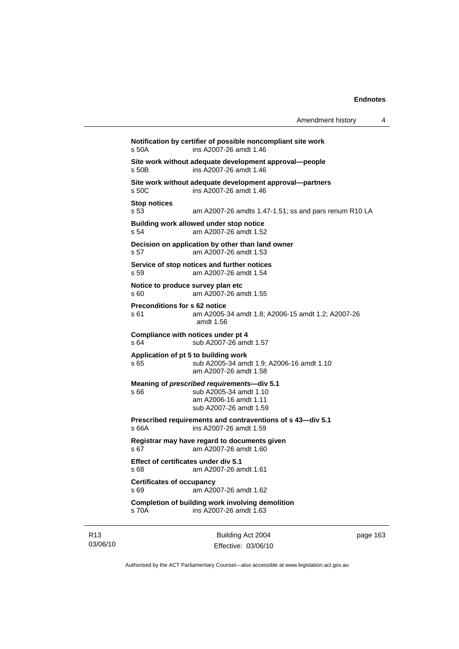| Amendment history |  |
|-------------------|--|
|-------------------|--|

**Notification by certifier of possible noncompliant site work**  s 50A ins A2007-26 amdt 1.46 **Site work without adequate development approval—people**  s 50B ins A2007-26 amdt 1.46 **Site work without adequate development approval—partners**  ins A2007-26 amdt 1.46 **Stop notices**  s 53 am A2007-26 amdts 1.47-1.51; ss and pars renum R10 LA **Building work allowed under stop notice**  s 54 am A2007-26 amdt 1.52 **Decision on application by other than land owner**  s 57 am A2007-26 amdt 1.53 **Service of stop notices and further notices**  s 59 am A2007-26 amdt 1.54 **Notice to produce survey plan etc**  s 60 am A2007-26 amdt 1.55 **Preconditions for s 62 notice**  s 61 am A2005-34 amdt 1.8; A2006-15 amdt 1.2; A2007-26 amdt 1.56 **Compliance with notices under pt 4**  s 64 sub A2007-26 amdt 1.57 **Application of pt 5 to building work**  s 65 sub A2005-34 amdt 1.9; A2006-16 amdt 1.10 am A2007-26 amdt 1.58 **Meaning of** *prescribed requirements***—div 5.1**  s 66 sub A2005-34 amdt 1.10 am A2006-16 amdt 1.11 sub A2007-26 amdt 1.59 **Prescribed requirements and contraventions of s 43—div 5.1**  s 66A ins A2007-26 amdt 1.59 **Registrar may have regard to documents given**  s 67 am A2007-26 amdt 1.60 **Effect of certificates under div 5.1**  s 68 am A2007-26 amdt 1.61 **Certificates of occupancy**  s 69 am A2007-26 amdt 1.62 **Completion of building work involving demolition**  s 70A ins A2007-26 amdt 1.63

R13 03/06/10

Building Act 2004 Effective: 03/06/10 page 163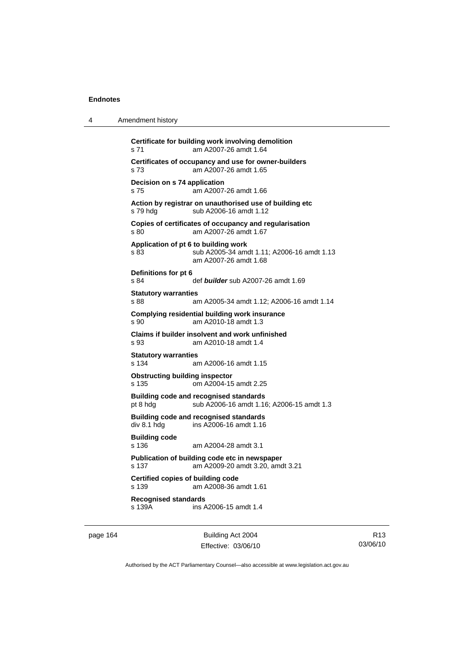| 4 | Amendment history                                                                                                   |
|---|---------------------------------------------------------------------------------------------------------------------|
|   | Certificate for building work involving demolition<br>am A2007-26 amdt 1.64<br>s 71                                 |
|   | Certificates of occupancy and use for owner-builders<br>am A2007-26 amdt 1.65<br>s 73                               |
|   | Decision on s 74 application<br>s 75<br>am A2007-26 amdt 1.66                                                       |
|   | Action by registrar on unauthorised use of building etc<br>s 79 hdg<br>sub A2006-16 amdt 1.12                       |
|   | Copies of certificates of occupancy and regularisation<br>am A2007-26 amdt 1.67<br>s 80                             |
|   | Application of pt 6 to building work<br>sub A2005-34 amdt 1.11; A2006-16 amdt 1.13<br>s 83<br>am A2007-26 amdt 1.68 |
|   | Definitions for pt 6<br>s 84<br>def builder sub A2007-26 amdt 1.69                                                  |
|   | <b>Statutory warranties</b><br>s 88.<br>am A2005-34 amdt 1.12; A2006-16 amdt 1.14                                   |
|   | Complying residential building work insurance<br>s 90<br>am A2010-18 amdt 1.3                                       |
|   | Claims if builder insolvent and work unfinished<br>s 93<br>am A2010-18 amdt 1.4                                     |
|   | <b>Statutory warranties</b><br>s 134<br>am A2006-16 amdt 1.15                                                       |
|   | <b>Obstructing building inspector</b><br>om A2004-15 amdt 2.25<br>s 135                                             |
|   | <b>Building code and recognised standards</b><br>pt 8 hdg<br>sub A2006-16 amdt 1.16; A2006-15 amdt 1.3              |
|   | <b>Building code and recognised standards</b><br>div 8.1 hdg<br>ins A2006-16 amdt 1.16                              |
|   | <b>Building code</b><br>s 136<br>am A2004-28 amdt 3.1                                                               |
|   | Publication of building code etc in newspaper<br>am A2009-20 amdt 3.20, amdt 3.21<br>s 137                          |
|   | <b>Certified copies of building code</b><br>s 139<br>am A2008-36 amdt 1.61                                          |
|   | <b>Recognised standards</b><br>s 139A<br>ins A2006-15 amdt 1.4                                                      |

page 164 Building Act 2004 Effective: 03/06/10

R13 03/06/10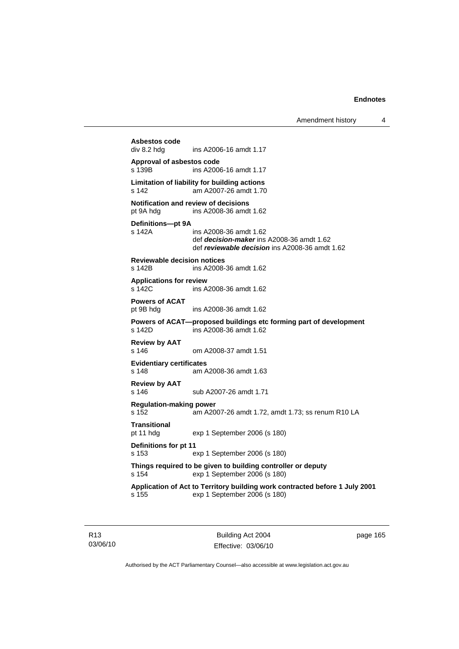Amendment history 4

```
Asbestos code 
                ins A2006-16 amdt 1.17
Approval of asbestos code 
s 139B ins A2006-16 amdt 1.17 
Limitation of liability for building actions 
s 142 am A2007-26 amdt 1.70 
Notification and review of decisions 
pt 9A hdg ins A2008-36 amdt 1.62 
Definitions—pt 9A 
                ins A2008-36 amdt 1.62
                 def decision-maker ins A2008-36 amdt 1.62 
                 def reviewable decision ins A2008-36 amdt 1.62 
Reviewable decision notices 
s 142B ins A2008-36 amdt 1.62 
Applications for review 
s 142C ins A2008-36 amdt 1.62 
Powers of ACAT 
pt 9B hdg ins A2008-36 amdt 1.62 
Powers of ACAT—proposed buildings etc forming part of development 
s 142D ins A2008-36 amdt 1.62 
Review by AAT 
                om A2008-37 amdt 1.51
Evidentiary certificates 
s 148 am A2008-36 amdt 1.63 
Review by AAT 
s 146 sub A2007-26 amdt 1.71 
Regulation-making power 
s 152 am A2007-26 amdt 1.72, amdt 1.73; ss renum R10 LA 
Transitional 
pt 11 hdg exp 1 September 2006 (s 180) 
Definitions for pt 11 
s 153 exp 1 September 2006 (s 180) 
Things required to be given to building controller or deputy 
s 154 exp 1 September 2006 (s 180) 
Application of Act to Territory building work contracted before 1 July 2001 
s 155 exp 1 September 2006 (s 180)
```
R13 03/06/10

Building Act 2004 Effective: 03/06/10 page 165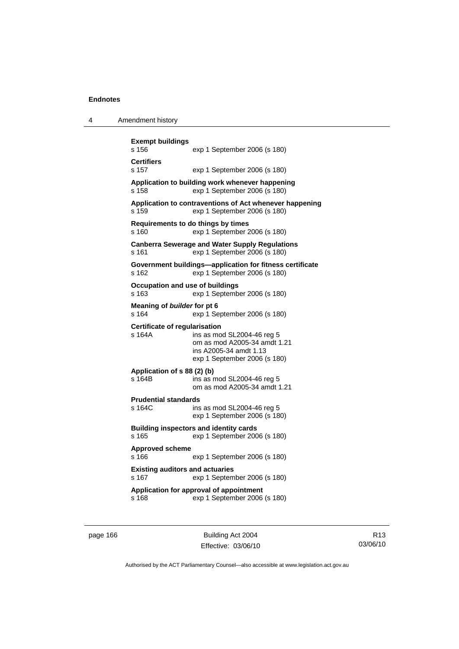|  | Amendment history |
|--|-------------------|
|--|-------------------|

| <b>Exempt buildings</b><br>s 156                | exp 1 September 2006 (s 180)                                                                                         |
|-------------------------------------------------|----------------------------------------------------------------------------------------------------------------------|
| <b>Certifiers</b><br>s 157                      | exp 1 September 2006 (s 180)                                                                                         |
| s 158                                           | Application to building work whenever happening<br>exp 1 September 2006 (s 180)                                      |
| s 159                                           | Application to contraventions of Act whenever happening<br>exp 1 September 2006 (s 180)                              |
| Requirements to do things by times<br>s 160     | exp 1 September 2006 (s 180)                                                                                         |
| s 161                                           | <b>Canberra Sewerage and Water Supply Regulations</b><br>exp 1 September 2006 (s 180)                                |
| s 162                                           | Government buildings-application for fitness certificate<br>exp 1 September 2006 (s 180)                             |
| Occupation and use of buildings<br>s 163        | exp 1 September 2006 (s 180)                                                                                         |
| Meaning of builder for pt 6<br>s 164            | exp 1 September 2006 (s 180)                                                                                         |
| <b>Certificate of regularisation</b><br>s 164A  | ins as mod SL2004-46 reg 5<br>om as mod A2005-34 amdt 1.21<br>ins A2005-34 amdt 1.13<br>exp 1 September 2006 (s 180) |
| Application of s 88 (2) (b)<br>s 164B           | ins as mod SL2004-46 reg 5<br>om as mod A2005-34 amdt 1.21                                                           |
| <b>Prudential standards</b><br>s 164C           | ins as mod SL2004-46 reg 5<br>exp 1 September 2006 (s 180)                                                           |
| s 165                                           | <b>Building inspectors and identity cards</b><br>exp 1 September 2006 (s 180)                                        |
| <b>Approved scheme</b><br>s 166                 | exp 1 September 2006 (s 180)                                                                                         |
| <b>Existing auditors and actuaries</b><br>s 167 | exp 1 September 2006 (s 180)                                                                                         |
| s 168                                           | Application for approval of appointment<br>exp 1 September 2006 (s 180)                                              |
|                                                 |                                                                                                                      |

page 166 Building Act 2004 Effective: 03/06/10

R13 03/06/10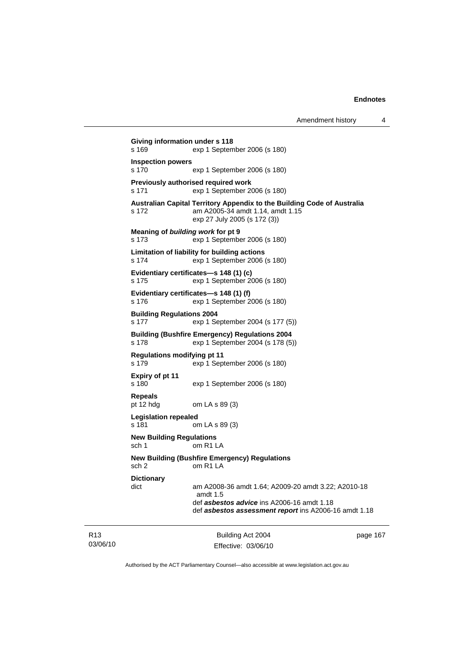```
Building Act 2004 
Giving information under s 118 
s 169 exp 1 September 2006 (s 180) 
Inspection powers 
s 170 exp 1 September 2006 (s 180) 
Previously authorised required work 
s 171 exp 1 September 2006 (s 180) 
Australian Capital Territory Appendix to the Building Code of Australia 
s 172 am A2005-34 amdt 1.14, amdt 1.15 
                 exp 27 July 2005 (s 172 (3)) 
Meaning of building work for pt 9 
s 173 exp 1 September 2006 (s 180) 
Limitation of liability for building actions 
s 174 exp 1 September 2006 (s 180) 
Evidentiary certificates—s 148 (1) (c) 
s 175 exp 1 September 2006 (s 180) 
Evidentiary certificates—s 148 (1) (f) 
s 176 exp 1 September 2006 (s 180) 
Building Regulations 2004 
s 177 exp 1 September 2004 (s 177 (5)) 
Building (Bushfire Emergency) Regulations 2004 
s 178 exp 1 September 2004 (s 178 (5)) 
Regulations modifying pt 11 
s 179 exp 1 September 2006 (s 180) 
Expiry of pt 11 
                exp 1 September 2006 (s 180)
Repeals 
pt 12 hdg om LA s 89 (3) 
Legislation repealed 
s 181 om LA s 89 (3) 
New Building Regulations 
sch 1 om R1 LA
New Building (Bushfire Emergency) Regulations 
sch 2 om R1 LA 
Dictionary 
dict am A2008-36 amdt 1.64; A2009-20 amdt 3.22; A2010-18 
                 amdt 1.5 
                 def asbestos advice ins A2006-16 amdt 1.18 
                 def asbestos assessment report ins A2006-16 amdt 1.18
```
R13 03/06/10

Effective: 03/06/10

page 167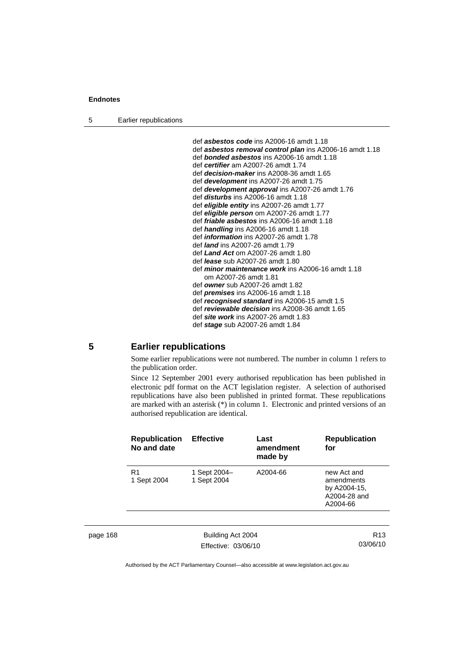5 Earlier republications

| def <i>asbestos code</i> ins A2006-16 amdt 1.18                 |
|-----------------------------------------------------------------|
| def <b>asbestos removal control plan</b> ins A2006-16 amdt 1.18 |
| def <b>bonded asbestos</b> ins A2006-16 amdt 1.18               |
| def certifier am A2007-26 amdt 1.74                             |
| def <i>decision-maker</i> ins A2008-36 amdt 1.65                |
| def <b>development</b> ins A2007-26 amdt 1.75                   |
| def <b>development approval</b> ins A2007-26 amdt 1.76          |
| def <i>disturbs</i> ins A2006-16 amdt 1.18                      |
| def eligible entity ins A2007-26 amdt 1.77                      |
| def eligible person om A2007-26 amdt 1.77                       |
| def <i>friable asbestos</i> ins A2006-16 amdt 1.18              |
| def <i>handling</i> ins A2006-16 amdt 1.18                      |
| def <i>information</i> ins A2007-26 amdt 1.78                   |
| def <i>land</i> ins A2007-26 amdt 1.79                          |
| def Land Act om A2007-26 amdt 1.80                              |
| def lease sub A2007-26 amdt 1.80                                |
| def minor maintenance work ins A2006-16 amdt 1.18               |
| om A2007-26 amdt 1.81                                           |
| def owner sub A2007-26 amdt 1.82                                |
| def <i>premises</i> ins $A2006-16$ amdt $1.18$                  |
| def recognised standard ins A2006-15 amdt 1.5                   |
| def <i>reviewable decision</i> ins A2008-36 amdt 1.65           |
| def <i>site work</i> ins A2007-26 amdt 1.83                     |
| def stage sub A2007-26 amdt 1.84                                |

# **5 Earlier republications**

Some earlier republications were not numbered. The number in column 1 refers to the publication order.

Since 12 September 2001 every authorised republication has been published in electronic pdf format on the ACT legislation register. A selection of authorised republications have also been published in printed format. These republications are marked with an asterisk (\*) in column 1. Electronic and printed versions of an authorised republication are identical.

| <b>Republication</b><br>No and date | <b>Effective</b>            | Last<br>amendment<br>made by | <b>Republication</b><br>for                                           |
|-------------------------------------|-----------------------------|------------------------------|-----------------------------------------------------------------------|
| R <sub>1</sub><br>1 Sept 2004       | 1 Sept 2004-<br>1 Sept 2004 | A2004-66                     | new Act and<br>amendments<br>by A2004-15,<br>A2004-28 and<br>A2004-66 |

page 168 Building Act 2004 Effective: 03/06/10

R13 03/06/10